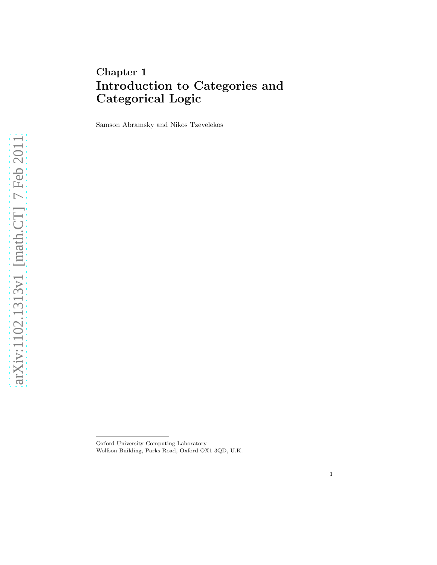# <span id="page-0-0"></span>Chapter 1 Introduction to Categories and Categorical Logic

Samson Abramsky and Nikos Tzevelekos

Oxford University Computing Laboratory

Wolfson Building, Parks Road, Oxford OX1 3QD, U.K.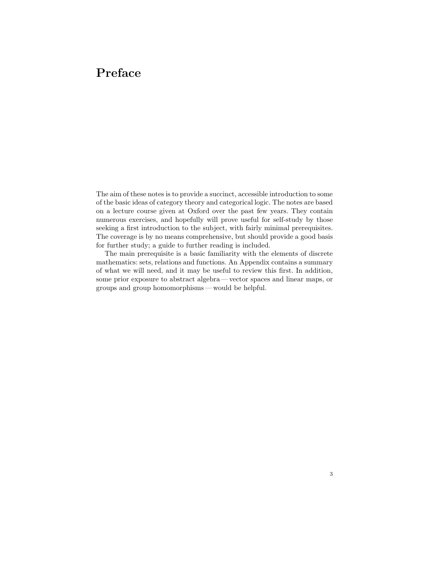# Preface

The aim of these notes is to provide a succinct, accessible introduction to some of the basic ideas of category theory and categorical logic. The notes are based on a lecture course given at Oxford over the past few years. They contain numerous exercises, and hopefully will prove useful for self-study by those seeking a first introduction to the subject, with fairly minimal prerequisites. The coverage is by no means comprehensive, but should provide a good basis for further study; a guide to further reading is included.

The main prerequisite is a basic familiarity with the elements of discrete mathematics: sets, relations and functions. An Appendix contains a summary of what we will need, and it may be useful to review this first. In addition, some prior exposure to abstract algebra— vector spaces and linear maps, or groups and group homomorphisms— would be helpful.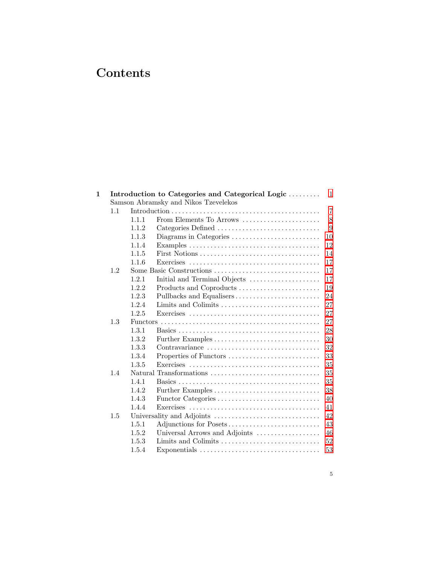# Contents

|                                      |       | Introduction to Categories and Categorical Logic                               | $\mathbf{1}$                                                                  |
|--------------------------------------|-------|--------------------------------------------------------------------------------|-------------------------------------------------------------------------------|
| Samson Abramsky and Nikos Tzevelekos |       |                                                                                |                                                                               |
| 1.1                                  |       |                                                                                | 7                                                                             |
|                                      | 1.1.1 | From Elements To Arrows                                                        | 8                                                                             |
|                                      | 1.1.2 | Categories Defined                                                             | 9                                                                             |
|                                      | 1.1.3 | Diagrams in Categories $\dots \dots \dots \dots \dots \dots \dots$             | 10                                                                            |
|                                      | 1.1.4 |                                                                                | 12                                                                            |
|                                      | 1.1.5 | $First Notions \ldots \ldots \ldots \ldots \ldots \ldots \ldots \ldots \ldots$ | 14                                                                            |
|                                      | 1.1.6 |                                                                                | 17                                                                            |
| 1.2                                  |       |                                                                                | 17                                                                            |
|                                      | 1.2.1 | Initial and Terminal Objects                                                   | 17                                                                            |
|                                      | 1.2.2 | Products and Coproducts                                                        | 19                                                                            |
|                                      | 1.2.3 | Pullbacks and Equalisers                                                       | 24                                                                            |
|                                      | 1.2.4 | Limits and Colimits                                                            | 27                                                                            |
|                                      | 1.2.5 |                                                                                | 27                                                                            |
| 1.3                                  |       |                                                                                | 27                                                                            |
|                                      | 1.3.1 |                                                                                | 28                                                                            |
|                                      | 1.3.2 |                                                                                | 30                                                                            |
|                                      | 1.3.3 | Contravariance                                                                 | 32                                                                            |
|                                      | 1.3.4 |                                                                                | 33                                                                            |
|                                      | 1.3.5 |                                                                                | 35                                                                            |
| 1.4                                  |       |                                                                                | 35                                                                            |
|                                      | 1.4.1 |                                                                                | 35                                                                            |
|                                      | 1.4.2 |                                                                                | 38                                                                            |
|                                      | 1.4.3 |                                                                                | 40                                                                            |
|                                      | 1.4.4 |                                                                                | 41                                                                            |
| $1.5\,$                              |       |                                                                                | 42                                                                            |
|                                      | 1.5.1 | Adjunctions for Posets                                                         | 43                                                                            |
|                                      | 1.5.2 | Universal Arrows and Adjoints                                                  | 46                                                                            |
|                                      | 1.5.3 | Limits and Colimits                                                            | 52                                                                            |
|                                      | 1.5.4 | Exponentials                                                                   | 53                                                                            |
|                                      |       |                                                                                | Some Basic Constructions<br>Properties of Functors<br>Natural Transformations |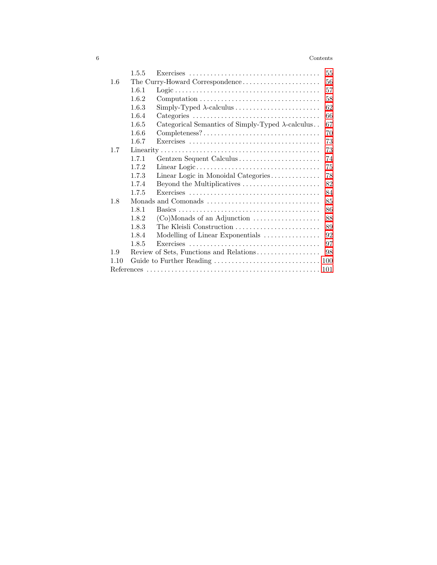#### 6 Contents

|      | 1.5.5                           |                                                                             | 55 |  |
|------|---------------------------------|-----------------------------------------------------------------------------|----|--|
| 1.6  | The Curry-Howard Correspondence |                                                                             | 56 |  |
|      | 1.6.1                           |                                                                             | 57 |  |
|      | 1.6.2                           |                                                                             | 58 |  |
|      | 1.6.3                           | $Simplify-Typed \lambda-calculus \ldots \ldots \ldots \ldots \ldots \ldots$ | 62 |  |
|      | 1.6.4                           |                                                                             | 66 |  |
|      | 1.6.5                           | Categorical Semantics of Simply-Typed $\lambda$ -calculus                   | 67 |  |
|      | 1.6.6                           |                                                                             | 70 |  |
|      | 1.6.7                           |                                                                             | 73 |  |
| 1.7  |                                 |                                                                             | 73 |  |
|      | 1.7.1                           | Gentzen Sequent Calculus                                                    | 74 |  |
|      | 1.7.2                           |                                                                             | 75 |  |
|      | 1.7.3                           | Linear Logic in Monoidal Categories                                         | 78 |  |
|      | 1.7.4                           | Beyond the Multiplicatives                                                  | 82 |  |
|      | 1.7.5                           |                                                                             | 84 |  |
| 1.8  |                                 | Monads and Comonads                                                         | 85 |  |
|      | 1.8.1                           |                                                                             | 86 |  |
|      | 1.8.2                           | $(Co)$ Monads of an Adjunction $\dots\dots\dots\dots\dots\dots$             | 88 |  |
|      | 1.8.3                           | The Kleisli Construction                                                    | 89 |  |
|      | 1.8.4                           | Modelling of Linear Exponentials                                            | 92 |  |
|      | 1.8.5                           |                                                                             | 97 |  |
| 1.9  |                                 | Review of Sets, Functions and Relations                                     | 98 |  |
| 1.10 |                                 |                                                                             |    |  |
|      |                                 |                                                                             |    |  |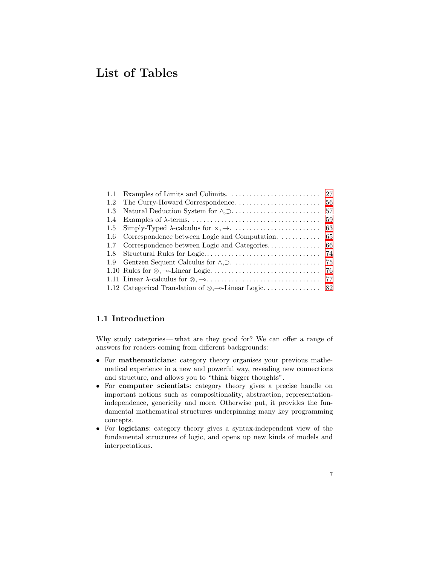| 1.2 |                                                                                                             |  |
|-----|-------------------------------------------------------------------------------------------------------------|--|
| 1.3 | Natural Deduction System for $\wedge, \supset \ldots \ldots \ldots \ldots \ldots \ldots \ldots 57$          |  |
|     |                                                                                                             |  |
|     | 1.5 Simply-Typed $\lambda$ -calculus for $\times, \rightarrow \ldots \ldots \ldots \ldots \ldots \ldots$ 63 |  |
|     |                                                                                                             |  |
| 1.7 |                                                                                                             |  |
|     |                                                                                                             |  |
|     |                                                                                                             |  |
|     |                                                                                                             |  |
|     |                                                                                                             |  |
|     |                                                                                                             |  |

# <span id="page-6-0"></span>1.1 Introduction

Why study categories— what are they good for? We can offer a range of answers for readers coming from different backgrounds:

- For mathematicians: category theory organises your previous mathematical experience in a new and powerful way, revealing new connections and structure, and allows you to "think bigger thoughts".
- For computer scientists: category theory gives a precise handle on important notions such as compositionality, abstraction, representationindependence, genericity and more. Otherwise put, it provides the fundamental mathematical structures underpinning many key programming concepts.
- For logicians: category theory gives a syntax-independent view of the fundamental structures of logic, and opens up new kinds of models and interpretations.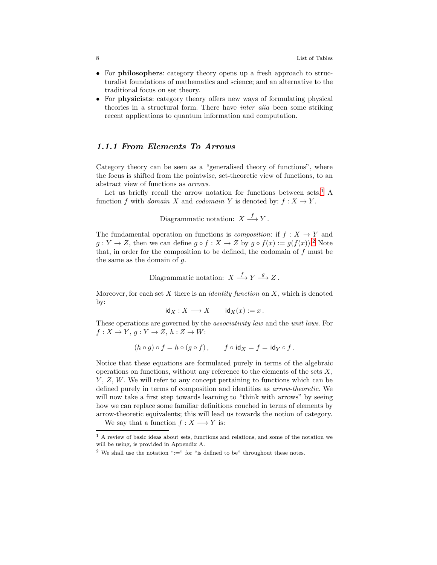- For philosophers: category theory opens up a fresh approach to structuralist foundations of mathematics and science; and an alternative to the traditional focus on set theory.
- For physicists: category theory offers new ways of formulating physical theories in a structural form. There have inter alia been some striking recent applications to quantum information and computation.

## <span id="page-7-0"></span>1.1.1 From Elements To Arrows

Category theory can be seen as a "generalised theory of functions", where the focus is shifted from the pointwise, set-theoretic view of functions, to an abstract view of functions as arrows.

Let us briefly recall the arrow notation for functions between sets.<sup>[1](#page-7-1)</sup> A function f with domain X and codomain Y is denoted by:  $f: X \to Y$ .

Diagrammatic notation:  $X \stackrel{f}{\longrightarrow} Y$ .

The fundamental operation on functions is *composition*: if  $f : X \to Y$  and  $g: Y \to Z$ , then we can define  $g \circ f: X \to Z$  by  $g \circ f(x) := g(f(x))$ .<sup>[2](#page-7-2)</sup> Note that, in order for the composition to be defined, the codomain of  $f$  must be the same as the domain of  $q$ .

$$
Diagrammatic notation: X \xrightarrow{f} Y \xrightarrow{g} Z.
$$

Moreover, for each set X there is an *identity function* on  $X$ , which is denoted by:

$$
id_X: X \longrightarrow X \qquad id_X(x) := x \, .
$$

These operations are governed by the *associativity law* and the *unit laws*. For  $f: X \to Y, g: Y \to Z, h: Z \to W$ :

$$
(h \circ g) \circ f = h \circ (g \circ f),
$$
  $f \circ id_X = f = id_Y \circ f.$ 

Notice that these equations are formulated purely in terms of the algebraic operations on functions, without any reference to the elements of the sets  $X$ ,  $Y, Z, W$ . We will refer to any concept pertaining to functions which can be defined purely in terms of composition and identities as arrow-theoretic. We will now take a first step towards learning to "think with arrows" by seeing how we can replace some familiar definitions couched in terms of elements by arrow-theoretic equivalents; this will lead us towards the notion of category.

We say that a function  $f : X \longrightarrow Y$  is:

<span id="page-7-1"></span><sup>1</sup> A review of basic ideas about sets, functions and relations, and some of the notation we will be using, is provided in Appendix A.

<span id="page-7-2"></span><sup>&</sup>lt;sup>2</sup> We shall use the notation " $:=$ " for "is defined to be" throughout these notes.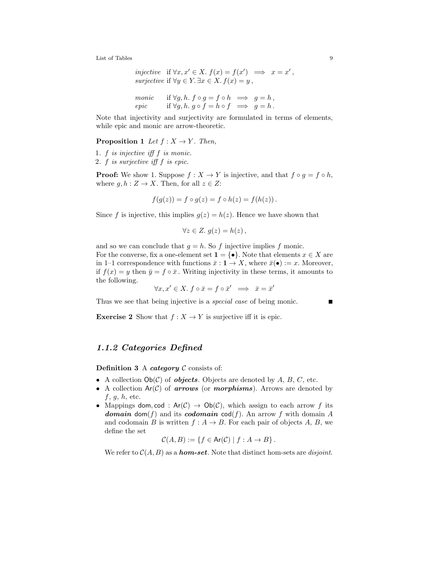$$
injective \text{ if } \forall x, x' \in X. \ f(x) = f(x') \implies x = x',
$$
  
*surjective* if  $\forall y \in Y. \ \exists x \in X. \ f(x) = y$ ,

$$
\begin{array}{llll} \textit{monic} & \textit{if $\forall g, h \text{.} \ f \circ g = f \circ h$} & \Longrightarrow & g = h \,, \\ \textit{epic} & \textit{if $\forall g, h \text{.} \ g \circ f = h \circ f$} & \Longrightarrow & g = h \,. \end{array}
$$

Note that injectivity and surjectivity are formulated in terms of elements, while epic and monic are arrow-theoretic.

#### **Proposition 1** Let  $f : X \rightarrow Y$ . Then,

1.  $f$  is injective iff  $f$  is monic.

2. f is surjective iff f is epic.

**Proof:** We show 1. Suppose  $f : X \to Y$  is injective, and that  $f \circ g = f \circ h$ , where  $g, h: Z \to X$ . Then, for all  $z \in Z$ :

$$
f(g(z)) = f \circ g(z) = f \circ h(z) = f(h(z)).
$$

Since f is injective, this implies  $g(z) = h(z)$ . Hence we have shown that

$$
\forall z \in Z. g(z) = h(z),
$$

and so we can conclude that  $g = h$ . So f injective implies f monic. For the converse, fix a one-element set  $\mathbf{1} = \{ \bullet \}$ . Note that elements  $x \in X$  are in 1–1 correspondence with functions  $\bar{x}: 1 \to X$ , where  $\bar{x}(\bullet) := x$ . Moreover, if  $f(x) = y$  then  $\bar{y} = f \circ \bar{x}$ . Writing injectivity in these terms, it amounts to the following.

$$
\forall x, x' \in X. \ f \circ \bar{x} = f \circ \bar{x}' \implies \bar{x} = \bar{x}'
$$

Thus we see that being injective is a *special case* of being monic.

**Exercise 2** Show that  $f : X \to Y$  is surjective iff it is epic.

#### <span id="page-8-0"></span>1.1.2 Categories Defined

**Definition 3** A *category*  $\mathcal C$  consists of:

- A collection  $Ob(\mathcal{C})$  of *objects*. Objects are denoted by A, B, C, etc.
- A collection  $Ar(C)$  of **arrows** (or **morphisms**). Arrows are denoted by  $f, g, h,$  etc.
- Mappings dom, cod :  $Ar(\mathcal{C}) \rightarrow Ob(\mathcal{C})$ , which assign to each arrow f its **domain** dom(f) and its **codomain** cod(f). An arrow f with domain A and codomain B is written  $f : A \to B$ . For each pair of objects A, B, we define the set

$$
\mathcal{C}(A, B) := \{ f \in \text{Ar}(\mathcal{C}) \mid f : A \to B \}.
$$

We refer to  $C(A, B)$  as a **hom-set**. Note that distinct hom-sets are *disjoint*.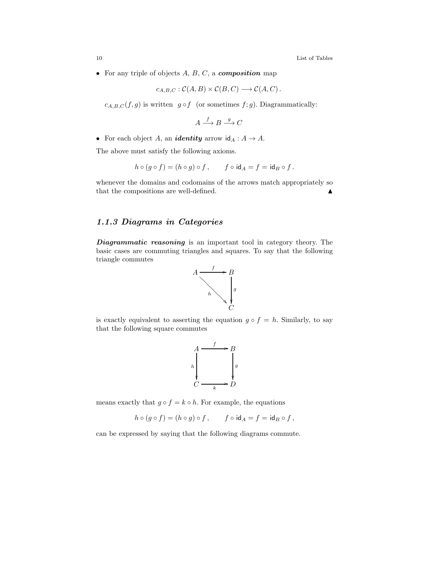• For any triple of objects  $A, B, C$ , a *composition* map

$$
c_{A,B,C}: \mathcal{C}(A,B)\times \mathcal{C}(B,C)\longrightarrow \mathcal{C}(A,C).
$$

 $c_{A,B,C}(f,g)$  is written  $g \circ f$  (or sometimes  $f;g$ ). Diagrammatically:

$$
A \stackrel{f}{\longrightarrow} B \stackrel{g}{\longrightarrow} C
$$

• For each object A, an *identity* arrow  $\mathsf{id}_A : A \to A$ .

The above must satisfy the following axioms.

$$
h \circ (g \circ f) = (h \circ g) \circ f, \qquad f \circ id_A = f = id_B \circ f.
$$

whenever the domains and codomains of the arrows match appropriately so that the compositions are well-defined.

## <span id="page-9-0"></span>1.1.3 Diagrams in Categories

Diagrammatic reasoning is an important tool in category theory. The basic cases are commuting triangles and squares. To say that the following triangle commutes



is exactly equivalent to asserting the equation  $g \circ f = h$ . Similarly, to say that the following square commutes



means exactly that  $g \circ f = k \circ h$ . For example, the equations

$$
h\circ (g\circ f)=(h\circ g)\circ f,\qquad f\circ \mathrm{id}_A=f=\mathrm{id}_B\circ f,
$$

can be expressed by saying that the following diagrams commute.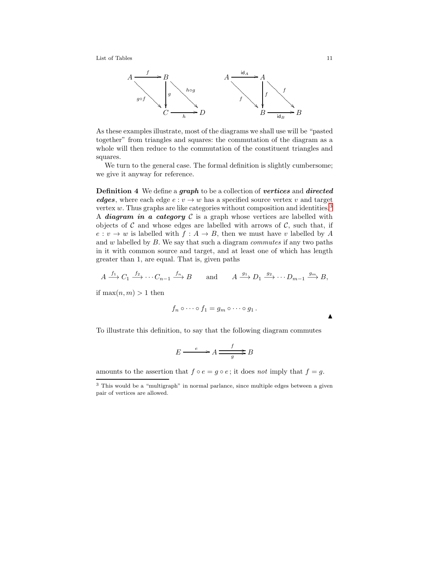

As these examples illustrate, most of the diagrams we shall use will be "pasted together" from triangles and squares: the commutation of the diagram as a whole will then reduce to the commutation of the constituent triangles and squares.

<span id="page-10-1"></span>We turn to the general case. The formal definition is slightly cumbersome; we give it anyway for reference.

Definition 4 We define a graph to be a collection of vertices and directed **edges**, where each edge  $e: v \to w$  has a specified source vertex v and target vertex  $w$ . Thus graphs are like categories without composition and identities.<sup>[3](#page-10-0)</sup> A *diagram in a category*  $\mathcal C$  is a graph whose vertices are labelled with objects of  $\mathcal C$  and whose edges are labelled with arrows of  $\mathcal C$ , such that, if  $e: v \to w$  is labelled with  $f: A \to B$ , then we must have v labelled by A and  $w$  labelled by  $B$ . We say that such a diagram *commutes* if any two paths in it with common source and target, and at least one of which has length greater than 1, are equal. That is, given paths

$$
A \xrightarrow{f_1} C_1 \xrightarrow{f_2} \cdots C_{n-1} \xrightarrow{f_n} B
$$
 and  $A \xrightarrow{g_1} D_1 \xrightarrow{g_2} \cdots D_{m-1} \xrightarrow{g_m} B$ ,

if  $\max(n, m) > 1$  then

$$
f_n\circ\cdots\circ f_1=g_m\circ\cdots\circ g_1.
$$

To illustrate this definition, to say that the following diagram commutes

$$
E \xrightarrow{e} A \xrightarrow{f} B
$$

amounts to the assertion that  $f \circ e = g \circ e$ ; it does not imply that  $f = g$ .

N

<span id="page-10-0"></span><sup>3</sup> This would be a "multigraph" in normal parlance, since multiple edges between a given pair of vertices are allowed.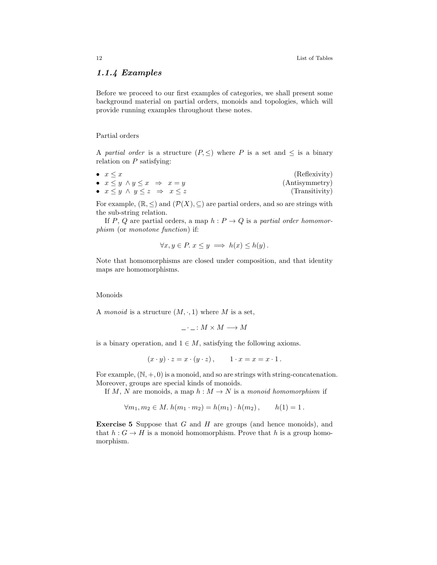# 1.1.4 Examples

Before we proceed to our first examples of categories, we shall present some background material on partial orders, monoids and topologies, which will provide running examples throughout these notes.

Partial orders

A partial order is a structure  $(P, \leq)$  where P is a set and  $\leq$  is a binary relation on  $P$  satisfying:

| $x \leq x$                                       | (Reflexivity)  |
|--------------------------------------------------|----------------|
| • $x \leq y \land y \leq x \Rightarrow x = y$    | (Antisymmetry) |
| • $x \leq y \land y \leq z \Rightarrow x \leq z$ | (Transitivity) |

For example,  $(\mathbb{R}, \le)$  and  $(\mathcal{P}(X), \subseteq)$  are partial orders, and so are strings with the sub-string relation.

If P, Q are partial orders, a map  $h : P \to Q$  is a partial order homomorphism (or monotone function) if:

$$
\forall x, y \in P. \ x \leq y \implies h(x) \leq h(y).
$$

Note that homomorphisms are closed under composition, and that identity maps are homomorphisms.

Monoids

A monoid is a structure  $(M, \cdot, 1)$  where M is a set,

$$
\overline{\cdot} \cdot \underline{\phantom{X}} : M \times M \longrightarrow M
$$

is a binary operation, and  $1 \in M$ , satisfying the following axioms.

$$
(x \cdot y) \cdot z = x \cdot (y \cdot z), \qquad 1 \cdot x = x = x \cdot 1.
$$

For example,  $(N, +, 0)$  is a monoid, and so are strings with string-concatenation. Moreover, groups are special kinds of monoids.

If M, N are monoids, a map  $h : M \to N$  is a monoid homomorphism if

 $\forall m_1, m_2 \in M. h(m_1 \cdot m_2) = h(m_1) \cdot h(m_2), \quad h(1) = 1.$ 

<span id="page-11-1"></span>**Exercise 5** Suppose that  $G$  and  $H$  are groups (and hence monoids), and that  $h: G \to H$  is a monoid homomorphism. Prove that h is a group homomorphism.

<span id="page-11-0"></span>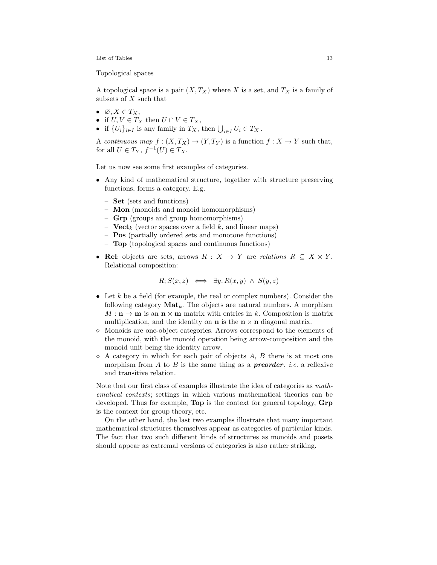Topological spaces

A topological space is a pair  $(X, T_X)$  where X is a set, and  $T_X$  is a family of subsets of  $X$  such that

- $\varnothing, X \in T_X,$
- if  $U, V \in T_X$  then  $U \cap V \in T_X$ ,
- if  $\{U_i\}_{i\in I}$  is any family in  $T_X$ , then  $\bigcup_{i\in I} U_i \in T_X$ .

A continuous map  $f : (X, T_X) \to (Y, T_Y)$  is a function  $f : X \to Y$  such that, for all  $U \in T_Y$ ,  $f^{-1}(U) \in T_X$ .

Let us now see some first examples of categories.

- Any kind of mathematical structure, together with structure preserving functions, forms a category. E.g.
	- Set (sets and functions)
	- Mon (monoids and monoid homomorphisms)
	- Grp (groups and group homomorphisms)
	- **Vect**<sub>k</sub> (vector spaces over a field k, and linear maps)
	- Pos (partially ordered sets and monotone functions)
	- Top (topological spaces and continuous functions)
- Rel: objects are sets, arrows  $R : X \to Y$  are relations  $R \subseteq X \times Y$ . Relational composition:

$$
R; S(x, z) \iff \exists y. R(x, y) \land S(y, z)
$$

- Let  $k$  be a field (for example, the real or complex numbers). Consider the following category  $\mathbf{Mat}_k$ . The objects are natural numbers. A morphism  $M: \mathbf{n} \to \mathbf{m}$  is an  $\mathbf{n} \times \mathbf{m}$  matrix with entries in k. Composition is matrix multiplication, and the identity on  $\bf{n}$  is the  $\bf{n} \times \bf{n}$  diagonal matrix.
- $\diamond$  Monoids are one-object categories. Arrows correspond to the elements of the monoid, with the monoid operation being arrow-composition and the monoid unit being the identity arrow.
- $\Diamond$  A category in which for each pair of objects A, B there is at most one morphism from A to B is the same thing as a **preorder**, *i.e.* a reflexive and transitive relation.

Note that our first class of examples illustrate the idea of categories as mathematical contexts; settings in which various mathematical theories can be developed. Thus for example, Top is the context for general topology, Grp is the context for group theory, etc.

On the other hand, the last two examples illustrate that many important mathematical structures themselves appear as categories of particular kinds. The fact that two such different kinds of structures as monoids and posets should appear as extremal versions of categories is also rather striking.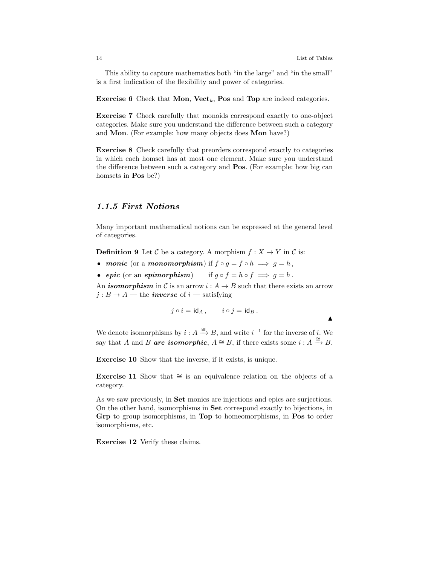N

This ability to capture mathematics both "in the large" and "in the small" is a first indication of the flexibility and power of categories.

**Exercise 6** Check that **Mon**,  $Vect_k$ , **Pos** and **Top** are indeed categories.

Exercise 7 Check carefully that monoids correspond exactly to one-object categories. Make sure you understand the difference between such a category and Mon. (For example: how many objects does Mon have?)

Exercise 8 Check carefully that preorders correspond exactly to categories in which each homset has at most one element. Make sure you understand the difference between such a category and Pos. (For example: how big can homsets in Pos be?)

#### <span id="page-13-0"></span>1.1.5 First Notions

Many important mathematical notions can be expressed at the general level of categories.

**Definition 9** Let C be a category. A morphism  $f: X \to Y$  in C is:

- monic (or a monomorphism) if  $f \circ g = f \circ h \implies g = h$ ,
- epic (or an epimorphism) if  $g \circ f = h \circ f \implies g = h$ .

An *isomorphism* in C is an arrow  $i : A \rightarrow B$  such that there exists an arrow  $j: B \to A$  — the *inverse* of  $i$  — satisfying

$$
j \circ i = \mathrm{id}_A, \qquad i \circ j = \mathrm{id}_B.
$$

We denote isomorphisms by  $i : A \overset{\cong}{\to} B$ , and write  $i^{-1}$  for the inverse of i. We say that A and B are isomorphic,  $A \cong B$ , if there exists some  $i : A \xrightarrow{\cong} B$ .

Exercise 10 Show that the inverse, if it exists, is unique.

Exercise 11 Show that  $\cong$  is an equivalence relation on the objects of a category.

As we saw previously, in Set monics are injections and epics are surjections. On the other hand, isomorphisms in Set correspond exactly to bijections, in Grp to group isomorphisms, in Top to homeomorphisms, in Pos to order isomorphisms, etc.

Exercise 12 Verify these claims.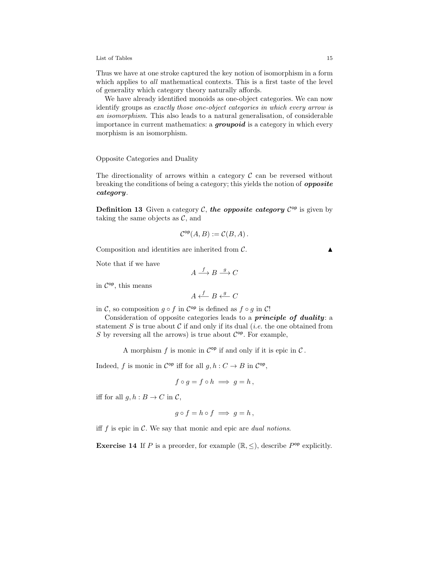Thus we have at one stroke captured the key notion of isomorphism in a form which applies to *all* mathematical contexts. This is a first taste of the level of generality which category theory naturally affords.

We have already identified monoids as one-object categories. We can now identify groups as exactly those one-object categories in which every arrow is an isomorphism. This also leads to a natural generalisation, of considerable importance in current mathematics: a **groupoid** is a category in which every morphism is an isomorphism.

Opposite Categories and Duality

The directionality of arrows within a category  $\mathcal C$  can be reversed without breaking the conditions of being a category; this yields the notion of **opposite** category.

**Definition 13** Given a category  $\mathcal{C}$ , the opposite category  $\mathcal{C}^{\text{op}}$  is given by taking the same objects as  $\mathcal{C}$ , and

$$
\mathcal{C}^{\mathrm{op}}(A,B) := \mathcal{C}(B,A) \, .
$$

Composition and identities are inherited from  $C$ .

Note that if we have

$$
A \xrightarrow{f} B \xrightarrow{g} C
$$

in  $\mathcal{C}^{\mathsf{op}},$  this means

 $A \xleftarrow{f} B \xleftarrow{g} C$ 

in C, so composition  $g \circ f$  in  $C^{\mathsf{op}}$  is defined as  $f \circ g$  in C!

Consideration of opposite categories leads to a *principle of duality*: a statement S is true about C if and only if its dual (*i.e.* the one obtained from S by reversing all the arrows) is true about  $\mathcal{C}^{\mathsf{op}}$ . For example,

A morphism  $f$  is monic in  $\mathcal{C}^{\mathsf{op}}$  if and only if it is epic in  $\mathcal{C}$ .

Indeed, f is monic in  $\mathcal{C}^{\mathsf{op}}$  iff for all  $g, h: C \to B$  in  $\mathcal{C}^{\mathsf{op}}$ ,

$$
f \circ g = f \circ h \implies g = h,
$$

iff for all  $q, h : B \to C$  in C,

$$
g \circ f = h \circ f \implies g = h,
$$

iff f is epic in  $\mathcal C$ . We say that monic and epic are *dual notions*.

**Exercise 14** If P is a preorder, for example  $(\mathbb{R}, \leq)$ , describe P<sup>op</sup> explicitly.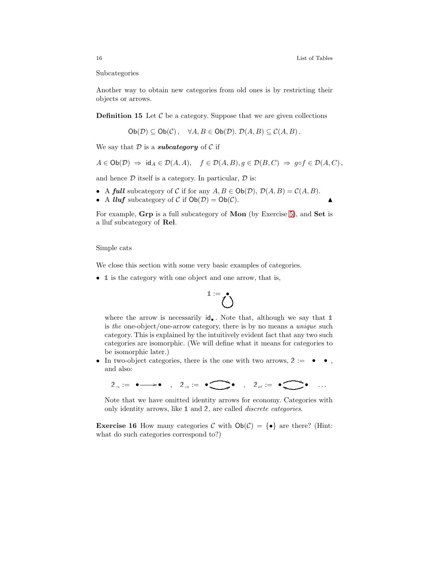Subcategories

Another way to obtain new categories from old ones is by restricting their objects or arrows.

**Definition 15** Let  $\mathcal{C}$  be a category. Suppose that we are given collections

 $Ob(\mathcal{D}) \subseteq Ob(\mathcal{C}), \quad \forall A, B \in Ob(\mathcal{D}). \mathcal{D}(A, B) \subseteq \mathcal{C}(A, B).$ 

We say that  $\mathcal D$  is a **subcategory** of  $\mathcal C$  if

$$
A\in\mathrm{Ob}(\mathcal{D})\ \Rightarrow\ \mathrm{id}_A\in\mathcal{D}(A,A),\quad f\in\mathcal{D}(A,B), g\in\mathcal{D}(B,C)\ \Rightarrow\ g\circ f\in\mathcal{D}(A,C)\,,
$$

and hence  $\mathcal D$  itself is a category. In particular,  $\mathcal D$  is:

- A full subcategory of C if for any  $A, B \in \mathsf{Ob}(\mathcal{D}), \mathcal{D}(A, B) = \mathcal{C}(A, B).$
- A *lluf* subcategory of C if  $Ob(\mathcal{D}) = Ob(\mathcal{C})$ .

For example, Grp is a full subcategory of Mon (by Exercise [5\)](#page-11-1), and Set is a lluf subcategory of Rel.

Simple cats

We close this section with some very basic examples of categories.

• <sup>1</sup> is the category with one object and one arrow, that is,

# $1 := \rightarrow$

where the arrow is necessarily  $\mathsf{id}_{\bullet}$ . Note that, although we say that 1 is the one-object/one-arrow category, there is by no means a unique such category. This is explained by the intuitively evident fact that any two such categories are isomorphic. (We will define what it means for categories to be isomorphic later.)

• In two-object categories, there is the one with two arrows,  $2 := \bullet \bullet$ , and also:

 $2_{\rightarrow} := \bullet \longrightarrow \bullet \quad , \quad 2_{\rightarrow} := \bullet \longrightarrow \bullet \quad , \quad 2_{\rightleftarrows} := \bullet \longrightarrow \bullet \quad \dots$ 

Note that we have omitted identity arrows for economy. Categories with only identity arrows, like <sup>1</sup> and <sup>2</sup>, are called discrete categories.

**Exercise 16** How many categories C with  $Ob(C) = \{ \bullet \}$  are there? (Hint: what do such categories correspond to?)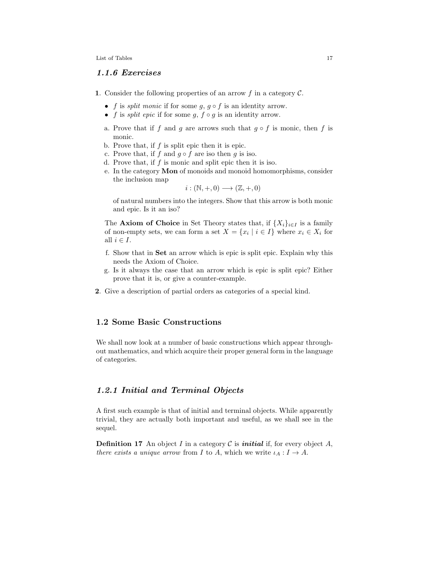## <span id="page-16-0"></span>1.1.6 Exercises

- 1. Consider the following properties of an arrow f in a category  $\mathcal{C}$ .
	- f is *split monic* if for some  $g, g \circ f$  is an identity arrow.
	- f is *split epic* if for some  $g, f \circ g$  is an identity arrow.
	- a. Prove that if f and g are arrows such that  $g \circ f$  is monic, then f is monic.
	- b. Prove that, if  $f$  is split epic then it is epic.
	- c. Prove that, if f and  $q \circ f$  are iso then q is iso.
	- d. Prove that, if  $f$  is monic and split epic then it is iso.
	- e. In the category Mon of monoids and monoid homomorphisms, consider the inclusion map

$$
i: (\mathbb{N}, +, 0) \longrightarrow (\mathbb{Z}, +, 0)
$$

of natural numbers into the integers. Show that this arrow is both monic and epic. Is it an iso?

The **Axiom of Choice** in Set Theory states that, if  $\{X_i\}_{i\in I}$  is a family of non-empty sets, we can form a set  $X = \{x_i \mid i \in I\}$  where  $x_i \in X_i$  for all  $i \in I$ .

- f. Show that in Set an arrow which is epic is split epic. Explain why this needs the Axiom of Choice.
- g. Is it always the case that an arrow which is epic is split epic? Either prove that it is, or give a counter-example.
- 2. Give a description of partial orders as categories of a special kind.

# <span id="page-16-1"></span>1.2 Some Basic Constructions

We shall now look at a number of basic constructions which appear throughout mathematics, and which acquire their proper general form in the language of categories.

#### <span id="page-16-2"></span>1.2.1 Initial and Terminal Objects

A first such example is that of initial and terminal objects. While apparently trivial, they are actually both important and useful, as we shall see in the sequel.

**Definition 17** An object I in a category C is *initial* if, for every object A, there exists a unique arrow from I to A, which we write  $\iota_A: I \to A$ .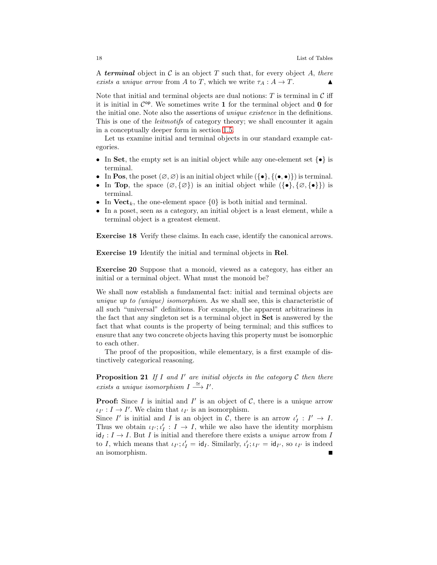A terminal object in C is an object T such that, for every object A, there exists a unique arrow from A to T, which we write  $\tau_A : A \to T$ .

Note that initial and terminal objects are dual notions:  $T$  is terminal in  $\mathcal C$  iff it is initial in  $\mathcal{C}^{op}$ . We sometimes write 1 for the terminal object and 0 for the initial one. Note also the assertions of unique existence in the definitions. This is one of the *leitmotifs* of category theory; we shall encounter it again in a conceptually deeper form in section [1.5.](#page-41-0)

Let us examine initial and terminal objects in our standard example categories.

- In Set, the empty set is an initial object while any one-element set  $\{\bullet\}$  is terminal.
- In Pos, the poset  $(\emptyset, \emptyset)$  is an initial object while  $({\{\bullet\}}, {\{\bullet,\bullet\}})$  is terminal.
- In Top, the space  $(\emptyset, \{\emptyset\})$  is an initial object while  $(\{\bullet\}, \{\emptyset, \{\bullet\}\})$  is terminal.
- In  $\mathbf{Vect}_k$ , the one-element space  $\{0\}$  is both initial and terminal.
- In a poset, seen as a category, an initial object is a least element, while a terminal object is a greatest element.

Exercise 18 Verify these claims. In each case, identify the canonical arrows.

Exercise 19 Identify the initial and terminal objects in Rel.

Exercise 20 Suppose that a monoid, viewed as a category, has either an initial or a terminal object. What must the monoid be?

We shall now establish a fundamental fact: initial and terminal objects are unique up to *(unique)* isomorphism. As we shall see, this is characteristic of all such "universal" definitions. For example, the apparent arbitrariness in the fact that any singleton set is a terminal object in Set is answered by the fact that what counts is the property of being terminal; and this suffices to ensure that any two concrete objects having this property must be isomorphic to each other.

<span id="page-17-0"></span>The proof of the proposition, while elementary, is a first example of distinctively categorical reasoning.

**Proposition 21** If I and I' are initial objects in the category  $C$  then there exists a unique isomorphism  $I \stackrel{\cong}{\longrightarrow} I'.$ 

**Proof:** Since I is initial and I' is an object of C, there is a unique arrow  $\iota_{I'}: I \to I'$ . We claim that  $\iota_{I'}$  is an isomorphism.

Since I' is initial and I is an object in C, there is an arrow  $\iota'_I : I' \to I$ . Thus we obtain  $\iota_{I'}$ ;  $\iota'_I : I \to I$ , while we also have the identity morphism  $id_I : I \to I$ . But I is initial and therefore there exists a *unique* arrow from I to I, which means that  $\iota_{I'}$ ;  $\iota'_{I} = id_I$ . Similarly,  $\iota'_{I}$ ;  $\iota_{I'} = id_{I'}$ , so  $\iota_{I'}$  is indeed an isomorphism.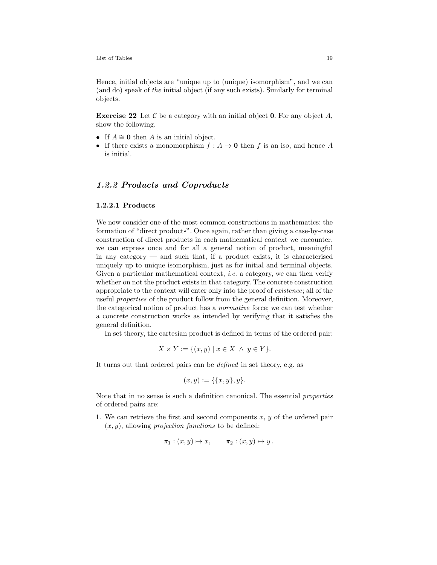Hence, initial objects are "unique up to (unique) isomorphism", and we can (and do) speak of the initial object (if any such exists). Similarly for terminal objects.

**Exercise 22** Let C be a category with an initial object 0. For any object A, show the following.

- If  $A \cong 0$  then A is an initial object.
- If there exists a monomorphism  $f : A \to \mathbf{0}$  then f is an iso, and hence A is initial.

# <span id="page-18-0"></span>1.2.2 Products and Coproducts

#### 1.2.2.1 Products

We now consider one of the most common constructions in mathematics: the formation of "direct products". Once again, rather than giving a case-by-case construction of direct products in each mathematical context we encounter, we can express once and for all a general notion of product, meaningful in any category — and such that, if a product exists, it is characterised uniquely up to unique isomorphism, just as for initial and terminal objects. Given a particular mathematical context, *i.e.* a category, we can then verify whether on not the product exists in that category. The concrete construction appropriate to the context will enter only into the proof of existence; all of the useful properties of the product follow from the general definition. Moreover, the categorical notion of product has a normative force; we can test whether a concrete construction works as intended by verifying that it satisfies the general definition.

In set theory, the cartesian product is defined in terms of the ordered pair:

$$
X \times Y := \{(x, y) \mid x \in X \land y \in Y\}.
$$

It turns out that ordered pairs can be defined in set theory, e.g. as

$$
(x, y) := \{\{x, y\}, y\}.
$$

Note that in no sense is such a definition canonical. The essential properties of ordered pairs are:

1. We can retrieve the first and second components  $x, y$  of the ordered pair  $(x, y)$ , allowing projection functions to be defined:

$$
\pi_1: (x, y) \mapsto x, \qquad \pi_2: (x, y) \mapsto y.
$$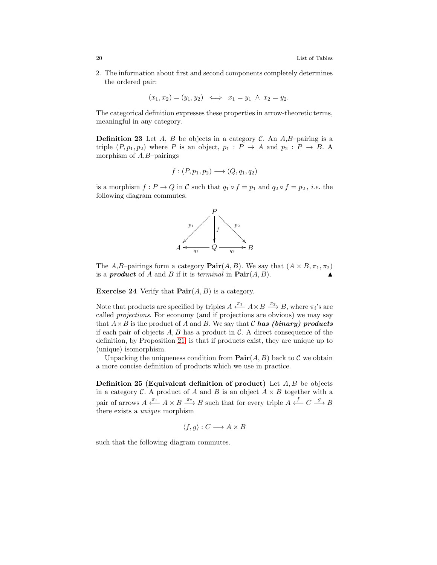2. The information about first and second components completely determines the ordered pair:

$$
(x_1, x_2) = (y_1, y_2) \iff x_1 = y_1 \land x_2 = y_2.
$$

The categorical definition expresses these properties in arrow-theoretic terms, meaningful in any category.

**Definition 23** Let A, B be objects in a category C. An  $A, B$ -pairing is a triple  $(P, p_1, p_2)$  where P is an object,  $p_1 : P \to A$  and  $p_2 : P \to B$ . A morphism of  $A, B$ –pairings

$$
f:(P,p_1,p_2)\longrightarrow (Q,q_1,q_2)
$$

is a morphism  $f: P \to Q$  in C such that  $q_1 \circ f = p_1$  and  $q_2 \circ f = p_2$ , *i.e.* the following diagram commutes.



The A,B–pairings form a category **Pair** $(A, B)$ . We say that  $(A \times B, \pi_1, \pi_2)$ is a **product** of A and B if it is terminal in  $Pair(A, B)$ .

**Exercise 24** Verify that  $Pair(A, B)$  is a category.

Note that products are specified by triples  $A \xleftarrow{\pi_1} A \times B \xrightarrow{\pi_2} B$ , where  $\pi_i$ 's are called projections. For economy (and if projections are obvious) we may say that  $A \times B$  is the product of A and B. We say that C has (binary) products if each pair of objects  $A, B$  has a product in  $C$ . A direct consequence of the definition, by Proposition [21,](#page-17-0) is that if products exist, they are unique up to (unique) isomorphism.

Unpacking the uniqueness condition from  $\text{Pair}(A, B)$  back to C we obtain a more concise definition of products which we use in practice.

**Definition 25 (Equivalent definition of product)** Let  $A, B$  be objects in a category  $\mathcal C$ . A product of A and B is an object  $A \times B$  together with a pair of arrows  $A \xleftarrow{\pi_1} A \times B \xrightarrow{\pi_2} B$  such that for every triple  $A \xleftarrow{f} C \xrightarrow{g} B$ there exists a unique morphism

$$
\langle f, g \rangle : C \longrightarrow A \times B
$$

such that the following diagram commutes.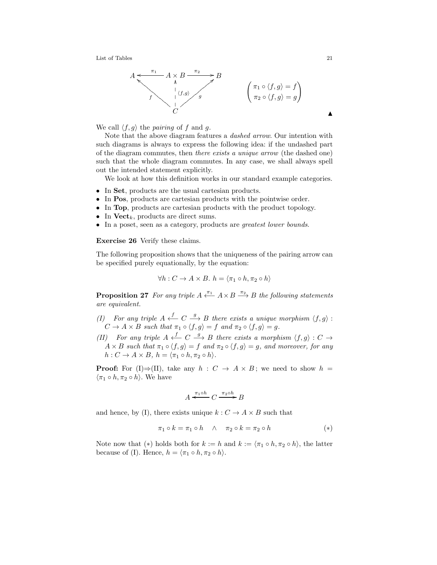

We call  $\langle f, g \rangle$  the *pairing* of f and g.

Note that the above diagram features a dashed arrow. Our intention with such diagrams is always to express the following idea: if the undashed part of the diagram commutes, then there exists a unique arrow (the dashed one) such that the whole diagram commutes. In any case, we shall always spell out the intended statement explicitly.

We look at how this definition works in our standard example categories.

- In Set, products are the usual cartesian products.
- In Pos, products are cartesian products with the pointwise order.
- In Top, products are cartesian products with the product topology.
- In  $Vect_k$ , products are direct sums.
- In a poset, seen as a category, products are greatest lower bounds.

Exercise 26 Verify these claims.

The following proposition shows that the uniqueness of the pairing arrow can be specified purely equationally, by the equation:

$$
\forall h : C \to A \times B. \ h = \langle \pi_1 \circ h, \pi_2 \circ h \rangle
$$

**Proposition 27** For any triple  $A \xleftarrow{\pi_1} A \times B \xrightarrow{\pi_2} B$  the following statements are equivalent.

- (I) For any triple  $A \stackrel{f}{\longleftarrow} C \stackrel{g}{\longrightarrow} B$  there exists a unique morphism  $\langle f, g \rangle$ :  $C \to A \times B$  such that  $\pi_1 \circ \langle f, g \rangle = f$  and  $\pi_2 \circ \langle f, g \rangle = g$ .
- (II) For any triple  $A \stackrel{f}{\longleftarrow} C \stackrel{g}{\longrightarrow} B$  there exists a morphism  $\langle f, g \rangle : C \rightarrow$  $A \times B$  such that  $\pi_1 \circ \langle f, g \rangle = f$  and  $\pi_2 \circ \langle f, g \rangle = g$ , and moreover, for any  $h: C \to A \times B$ ,  $h = \langle \pi_1 \circ h, \pi_2 \circ h \rangle$ .

**Proof:** For (I) $\Rightarrow$ (II), take any h : C  $\rightarrow$  A  $\times$  B; we need to show h =  $\langle \pi_1 \circ h, \pi_2 \circ h \rangle$ . We have

$$
A \xleftarrow{\pi_1 \circ h} C \xrightarrow{\pi_2 \circ h} B
$$

and hence, by (I), there exists unique  $k: C \to A \times B$  such that

$$
\pi_1 \circ k = \pi_1 \circ h \quad \wedge \quad \pi_2 \circ k = \pi_2 \circ h \tag{*}
$$

Note now that (\*) holds both for  $k := h$  and  $k := \langle \pi_1 \circ h, \pi_2 \circ h \rangle$ , the latter because of (I). Hence,  $h = \langle \pi_1 \circ h, \pi_2 \circ h \rangle$ .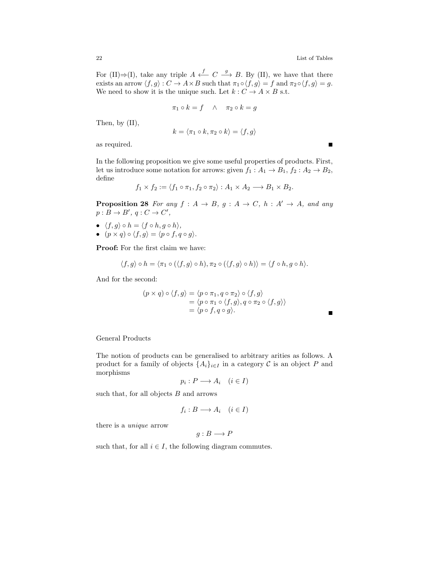For (II)⇒(I), take any triple  $A \stackrel{f}{\longleftarrow} C \stackrel{g}{\longrightarrow} B$ . By (II), we have that there exists an arrow  $\langle f, g \rangle : C \to A \times B$  such that  $\pi_1 \circ \langle f, g \rangle = f$  and  $\pi_2 \circ \langle f, g \rangle = g$ . We need to show it is the unique such. Let  $k: C \to A \times B$  s.t.

$$
\pi_1 \circ k = f \quad \wedge \quad \pi_2 \circ k = g
$$

Then, by (II),

$$
k = \langle \pi_1 \circ k, \pi_2 \circ k \rangle = \langle f, g \rangle
$$

as required.

In the following proposition we give some useful properties of products. First, let us introduce some notation for arrows: given  $f_1: A_1 \to B_1$ ,  $f_2: A_2 \to B_2$ , define

$$
f_1 \times f_2 := \langle f_1 \circ \pi_1, f_2 \circ \pi_2 \rangle : A_1 \times A_2 \longrightarrow B_1 \times B_2.
$$

<span id="page-21-0"></span>**Proposition 28** For any  $f : A \rightarrow B$ ,  $g : A \rightarrow C$ ,  $h : A' \rightarrow A$ , and any  $p: B \to B', q: C \to C',$ 

- $\langle f, g \rangle \circ h = \langle f \circ h, g \circ h \rangle,$
- $(p \times q) \circ \langle f, g \rangle = \langle p \circ f, q \circ g \rangle.$

Proof: For the first claim we have:

$$
\langle f,g\rangle \circ h = \langle \pi_1 \circ (\langle f,g\rangle \circ h), \pi_2 \circ (\langle f,g\rangle \circ h) \rangle = \langle f \circ h, g \circ h \rangle.
$$

And for the second:

$$
(p \times q) \circ \langle f, g \rangle = \langle p \circ \pi_1, q \circ \pi_2 \rangle \circ \langle f, g \rangle
$$
  
=  $\langle p \circ \pi_1 \circ \langle f, g \rangle, q \circ \pi_2 \circ \langle f, g \rangle \rangle$   
=  $\langle p \circ f, q \circ g \rangle$ .

General Products

The notion of products can be generalised to arbitrary arities as follows. A product for a family of objects  $\{A_i\}_{i\in I}$  in a category C is an object P and morphisms

$$
p_i: P \longrightarrow A_i \quad (i \in I)
$$

such that, for all objects  $B$  and arrows

$$
f_i: B \longrightarrow A_i \quad (i \in I)
$$

there is a unique arrow

$$
g:B\longrightarrow P
$$

such that, for all  $i \in I$ , the following diagram commutes.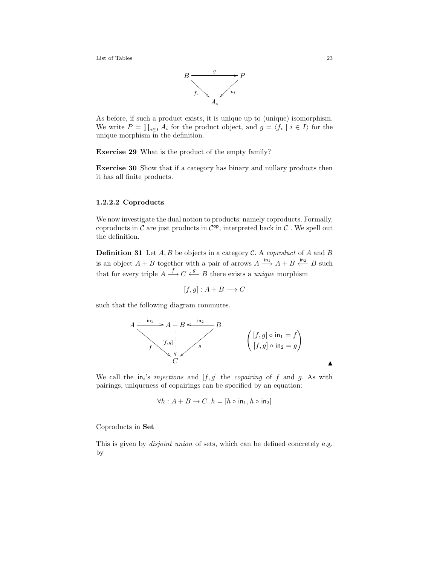

As before, if such a product exists, it is unique up to (unique) isomorphism. We write  $P = \prod_{i \in I} A_i$  for the product object, and  $g = \langle f_i | i \in I \rangle$  for the unique morphism in the definition.

Exercise 29 What is the product of the empty family?

Exercise 30 Show that if a category has binary and nullary products then it has all finite products.

#### 1.2.2.2 Coproducts

We now investigate the dual notion to products: namely coproducts. Formally, coproducts in  $\mathcal C$  are just products in  $\mathcal C^{\mathsf{op}}$ , interpreted back in  $\mathcal C$ . We spell out the definition.

**Definition 31** Let  $A, B$  be objects in a category  $C$ . A coproduct of  $A$  and  $B$ is an object  $A + B$  together with a pair of arrows  $A \xrightarrow{\text{in}_1} A + B \xleftarrow{\text{in}_2} B$  such that for every triple  $A \stackrel{f}{\longrightarrow} C \stackrel{g}{\longleftarrow} B$  there exists a *unique* morphism

$$
[f,g]:A+B\longrightarrow C
$$

such that the following diagram commutes.

$$
A \xrightarrow{\text{in}_1} A + B \xleftarrow{\text{in}_2} B
$$
\n
$$
f \xrightarrow{\text{[f,g]} \atop{f \atop C}} g
$$
\n
$$
\left( \begin{array}{c} [f,g] \circ \text{in}_1 = f \\ [f,g] \circ \text{in}_2 = g \end{array} \right)
$$

We call the  $in_i$ 's *injections* and  $[f, g]$  the *copairing* of f and g. As with pairings, uniqueness of copairings can be specified by an equation:

$$
\forall h:A+B\to C.\ h=[h\circ\mathsf{in}_1,h\circ\mathsf{in}_2]
$$

Coproducts in Set

This is given by *disjoint union* of sets, which can be defined concretely e.g. by

N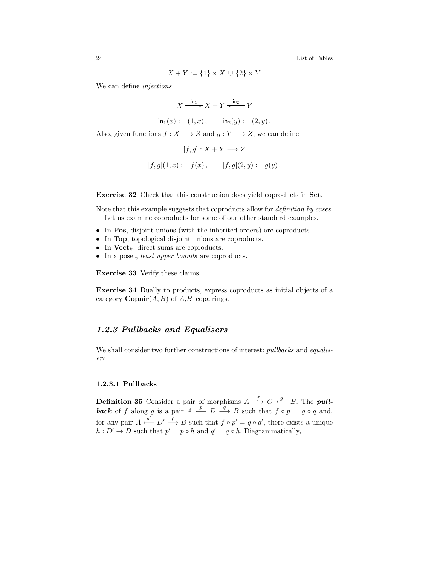$$
X + Y := \{1\} \times X \cup \{2\} \times Y.
$$

We can define injections

$$
X \xrightarrow{\text{in}_1} X + Y \xleftarrow{\text{in}_2} Y
$$

$$
\text{in}_1(x) := (1, x), \qquad \text{in}_2(y) := (2, y).
$$

Also, given functions  $f: X \longrightarrow Z$  and  $g: Y \longrightarrow Z$ , we can define

$$
[f,g]:X+Y\longrightarrow Z
$$
  

$$
[f,g](1,x):=f(x)\,,\qquad [f,g](2,y):=g(y)\,.
$$

Exercise 32 Check that this construction does yield coproducts in Set.

Note that this example suggests that coproducts allow for definition by cases. Let us examine coproducts for some of our other standard examples.

- In Pos, disjoint unions (with the inherited orders) are coproducts.
- In Top, topological disjoint unions are coproducts.
- In  $Vect_k$ , direct sums are coproducts.
- In a poset, *least upper bounds* are coproducts.

Exercise 33 Verify these claims.

Exercise 34 Dually to products, express coproducts as initial objects of a category  $\mathbf{Copair}(A, B)$  of  $A, B$ –copairings.

## <span id="page-23-0"></span>1.2.3 Pullbacks and Equalisers

We shall consider two further constructions of interest: *pullbacks* and *equalis*ers.

#### 1.2.3.1 Pullbacks

**Definition 35** Consider a pair of morphisms  $A \xrightarrow{f} C \xleftarrow{g} B$ . The *pull***back** of f along g is a pair  $A \xleftarrow{p} D \xrightarrow{q} B$  such that  $f \circ p = g \circ q$  and, for any pair  $A \xleftarrow{p'} D' \xrightarrow{q'} B$  such that  $f \circ p' = g \circ q'$ , there exists a unique  $h: D' \to D$  such that  $p' = p \circ h$  and  $q' = q \circ h$ . Diagrammatically,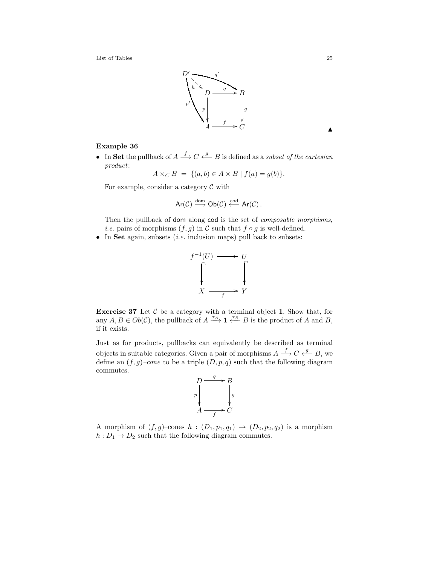

#### Example 36

• In Set the pullback of  $A \stackrel{f}{\longrightarrow} C \stackrel{g}{\longleftarrow} B$  is defined as a *subset of the cartesian* product:

$$
A \times_C B = \{ (a, b) \in A \times B \mid f(a) = g(b) \}.
$$

For example, consider a category  $\mathcal C$  with

$$
\mathsf{Ar}(\mathcal{C}) \xrightarrow{\mathsf{dom}} \mathsf{Ob}(\mathcal{C}) \xleftarrow{\mathsf{cod}} \mathsf{Ar}(\mathcal{C})\,.
$$

Then the pullback of dom along cod is the set of *composable morphisms*, *i.e.* pairs of morphisms  $(f, g)$  in C such that  $f \circ g$  is well-defined.

• In Set again, subsets *(i.e.* inclusion maps) pull back to subsets:



**Exercise 37** Let  $\mathcal C$  be a category with a terminal object 1. Show that, for any  $A, B \in Ob(\mathcal{C})$ , the pullback of  $A \xrightarrow{\tau_A} 1 \xleftarrow{\tau_B} B$  is the product of A and B, if it exists.

Just as for products, pullbacks can equivalently be described as terminal objects in suitable categories. Given a pair of morphisms  $A \stackrel{f}{\longrightarrow} C \stackrel{g}{\longleftarrow} B$ , we define an  $(f, g)$ –cone to be a triple  $(D, p, q)$  such that the following diagram commutes.



A morphism of  $(f, g)$ –cones  $h : (D_1, p_1, q_1) \rightarrow (D_2, p_2, q_2)$  is a morphism  $h: D_1 \to D_2$  such that the following diagram commutes.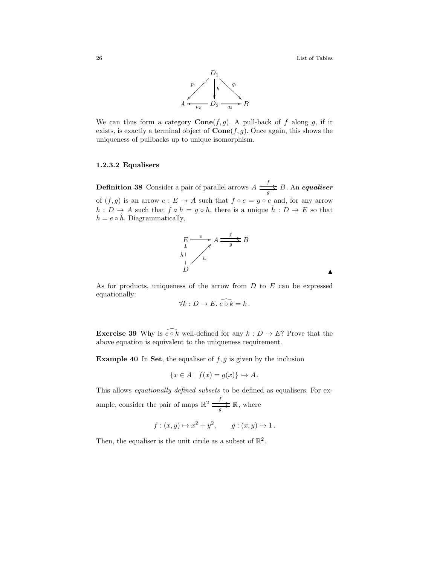$\blacktriangle$ 



We can thus form a category  $\text{Cone}(f, g)$ . A pull-back of f along g, if it exists, is exactly a terminal object of  $\text{Cone}(f, g)$ . Once again, this shows the uniqueness of pullbacks up to unique isomorphism.

#### 1.2.3.2 Equalisers

**Definition 38** Consider a pair of parallel arrows  $A \frac{\longrightarrow}{g}$ .  $\stackrel{f}{\Longrightarrow} B$ . An equaliser of  $(f, g)$  is an arrow  $e : E \to A$  such that  $f \circ e = g \circ e$  and, for any arrow  $h: D \to A$  such that  $f \circ h = g \circ h$ , there is a unique  $\hat{h}: D \to E$  so that  $h = e \circ \hat{h}$ . Diagrammatically,



As for products, uniqueness of the arrow from  $D$  to  $E$  can be expressed equationally:

$$
\forall k : D \to E. \ e \circ k = k \, .
$$

**Exercise 39** Why is  $\widehat{e \circ k}$  well-defined for any  $k : D \to E$ ? Prove that the above equation is equivalent to the uniqueness requirement.

**Example 40** In Set, the equaliser of  $f, g$  is given by the inclusion

$$
\{x \in A \mid f(x) = g(x)\} \hookrightarrow A.
$$

This allows equationally defined subsets to be defined as equalisers. For example, consider the pair of maps  $\mathbb{R}^2$  $\frac{1}{g}$  $\Rightarrow$  R, where

$$
f: (x, y) \mapsto x^2 + y^2
$$
,  $g: (x, y) \mapsto 1$ .

Then, the equaliser is the unit circle as a subset of  $\mathbb{R}^2$ .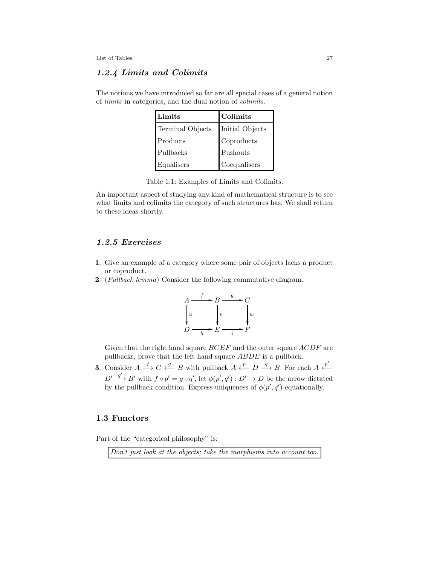# <span id="page-26-0"></span>1.2.4 Limits and Colimits

The notions we have introduced so far are all special cases of a general notion of limits in categories, and the dual notion of colimits.

| Limits           | Colimits        |
|------------------|-----------------|
| Terminal Objects | Initial Objects |
| Products         | Coproducts      |
| Pullbacks        | Pushouts        |
| Equalisers       | Coequalisers    |

<span id="page-26-3"></span>Table 1.1: Examples of Limits and Colimits.

An important aspect of studying any kind of mathematical structure is to see what limits and colimits the category of such structures has. We shall return to these ideas shortly.

# <span id="page-26-1"></span>1.2.5 Exercises

- 1. Give an example of a category where some pair of objects lacks a product or coproduct.
- 2. (Pullback lemma) Consider the following commutative diagram.



Given that the right hand square  $BCEF$  and the outer square  $ACDF$  are pullbacks, prove that the left hand square ABDE is a pullback.

**3.** Consider  $A \xrightarrow{f} C \xleftarrow{g} B$  with pullback  $A \xleftarrow{p} D \xrightarrow{q} B$ . For each  $A \xleftarrow{p'}$  $D' \stackrel{q'}{\longrightarrow} B'$  with  $f \circ p' = g \circ q'$ , let  $\phi(p', q') : D' \to D$  be the arrow dictated by the pullback condition. Express uniqueness of  $\phi(p', q')$  equationally.

#### <span id="page-26-2"></span>1.3 Functors

Part of the "categorical philosophy" is:

Don't just look at the objects; take the morphisms into account too.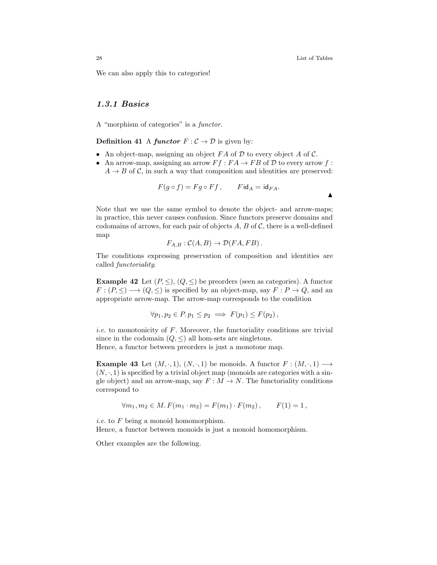$\blacktriangle$ 

We can also apply this to categories!

## <span id="page-27-0"></span>1.3.1 Basics

A "morphism of categories" is a functor.

**Definition 41** A *functor*  $F: \mathcal{C} \to \mathcal{D}$  is given by:

- An object-map, assigning an object  $FA$  of  $D$  to every object  $A$  of  $C$ .
- An arrow-map, assigning an arrow  $F f : FA \to FB$  of  $D$  to every arrow f:  $A \rightarrow B$  of C, in such a way that composition and identities are preserved:

$$
F(g \circ f) = Fg \circ Ff, \qquad Fid_A = id_{FA}.
$$

Note that we use the same symbol to denote the object- and arrow-maps; in practice, this never causes confusion. Since functors preserve domains and codomains of arrows, for each pair of objects  $A, B$  of  $C$ , there is a well-defined map

$$
F_{A,B}: \mathcal{C}(A,B) \to \mathcal{D}(FA, FB).
$$

The conditions expressing preservation of composition and identities are called functoriality.

Example 42 Let  $(P, \leq), (Q, \leq)$  be preorders (seen as categories). A functor  $F:(P,\leq)\longrightarrow (Q,\leq)$  is specified by an object-map, say  $F:P\to Q$ , and an appropriate arrow-map. The arrow-map corresponds to the condition

$$
\forall p_1, p_2 \in P. \ p_1 \leq p_2 \implies F(p_1) \leq F(p_2),
$$

*i.e.* to monotonicity of  $F$ . Moreover, the functoriality conditions are trivial since in the codomain  $(Q, \leq)$  all hom-sets are singletons. Hence, a functor between preorders is just a monotone map.

**Example 43** Let  $(M, \cdot, 1), (N, \cdot, 1)$  be monoids. A functor  $F : (M, \cdot, 1) \longrightarrow$  $(N, \cdot, 1)$  is specified by a trivial object map (monoids are categories with a single object) and an arrow-map, say  $F : M \to N$ . The functoriality conditions correspond to

$$
\forall m_1, m_2 \in M. F(m_1 \cdot m_2) = F(m_1) \cdot F(m_2), \qquad F(1) = 1,
$$

i.e. to F being a monoid homomorphism.

Hence, a functor between monoids is just a monoid homomorphism.

Other examples are the following.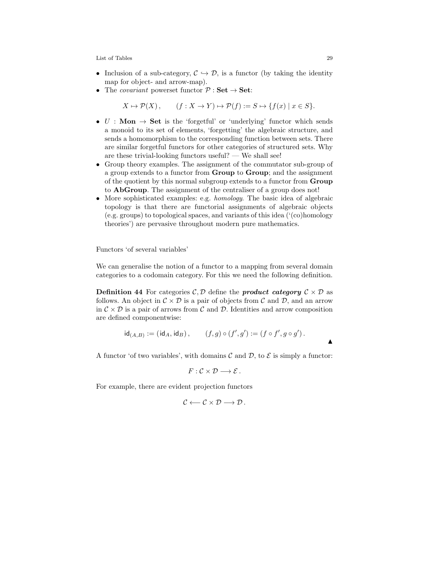- Inclusion of a sub-category,  $\mathcal{C} \hookrightarrow \mathcal{D}$ , is a functor (by taking the identity map for object- and arrow-map).
- The *covariant* powerset functor  $P : Set \rightarrow Set$ :

$$
X \mapsto \mathcal{P}(X), \qquad (f: X \to Y) \mapsto \mathcal{P}(f) := S \mapsto \{f(x) \mid x \in S\}.
$$

- $U : \mathbf{Mon} \to \mathbf{Set}$  is the 'forgetful' or 'underlying' functor which sends a monoid to its set of elements, 'forgetting' the algebraic structure, and sends a homomorphism to the corresponding function between sets. There are similar forgetful functors for other categories of structured sets. Why are these trivial-looking functors useful? — We shall see!
- Group theory examples. The assignment of the commutator sub-group of a group extends to a functor from **Group** to **Group**; and the assignment of the quotient by this normal subgroup extends to a functor from Group to AbGroup. The assignment of the centraliser of a group does not!
- More sophisticated examples: e.g. *homology*. The basic idea of algebraic topology is that there are functorial assignments of algebraic objects (e.g. groups) to topological spaces, and variants of this idea ('(co)homology theories') are pervasive throughout modern pure mathematics.

Functors 'of several variables'

We can generalise the notion of a functor to a mapping from several domain categories to a codomain category. For this we need the following definition.

**Definition 44** For categories C, D define the **product category**  $C \times D$  as follows. An object in  $\mathcal{C} \times \mathcal{D}$  is a pair of objects from  $\mathcal{C}$  and  $\mathcal{D}$ , and an arrow in  $\mathcal{C} \times \mathcal{D}$  is a pair of arrows from  $\mathcal{C}$  and  $\mathcal{D}$ . Identities and arrow composition are defined componentwise:

$$
\mathrm{id}_{(A,B)}:=\big(\mathrm{id}_A,\mathrm{id}_B\big)\,,\qquad (f,g)\circ (f',g'):= (f\circ f',g\circ g')\,.
$$

A functor 'of two variables', with domains  $\mathcal C$  and  $\mathcal D$ , to  $\mathcal E$  is simply a functor:

$$
F:\mathcal{C}\times \mathcal{D}\longrightarrow \mathcal{E}\,.
$$

For example, there are evident projection functors

$$
\mathcal{C} \longleftarrow \mathcal{C} \times \mathcal{D} \longrightarrow \mathcal{D}\,.
$$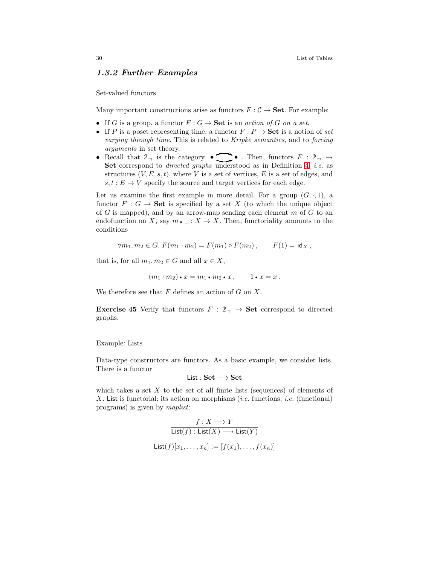#### <span id="page-29-0"></span>1.3.2 Further Examples

Set-valued functors

Many important constructions arise as functors  $F : C \to \mathbf{Set}$ . For example:

- If G is a group, a functor  $F: G \to \mathbf{Set}$  is an *action of G on a set*.
- If P is a poset representing time, a functor  $F: P \to \mathbf{Set}$  is a notion of set varying through time. This is related to Kripke semantics, and to forcing arguments in set theory.
- Recall that  $2_{\Rightarrow}$  is the category  $\bullet$  . Then, functors  $F : 2_{\Rightarrow} \rightarrow$ Set correspond to *directed graphs* understood as in Definition [4,](#page-10-1) *i.e.* as structures  $(V, E, s, t)$ , where V is a set of vertices, E is a set of edges, and  $s, t : E \to V$  specify the source and target vertices for each edge.

Let us examine the first example in more detail. For a group  $(G, \cdot, 1)$ , a functor  $F: G \to \mathbf{Set}$  is specified by a set X (to which the unique object of G is mapped), and by an arrow-map sending each element  $m$  of G to an endofunction on X, say  $m \bullet = : X \to X$ . Then, functoriality amounts to the conditions

$$
\forall m_1, m_2 \in G. \ F(m_1 \cdot m_2) = F(m_1) \circ F(m_2), \qquad F(1) = id_X,
$$

that is, for all  $m_1, m_2 \in G$  and all  $x \in X$ ,

$$
(m_1\cdot m_2)\bullet x=m_1\bullet m_2\bullet x\,,\qquad 1\bullet x=x\,.
$$

We therefore see that  $F$  defines an action of  $G$  on  $X$ .

**Exercise 45** Verify that functors  $F : 2 \rightarrow$  **Set** correspond to directed graphs.

#### Example: Lists

Data-type constructors are functors. As a basic example, we consider lists. There is a functor

$$
\mathsf{List} : \mathbf{Set} \longrightarrow \mathbf{Set}
$$

which takes a set  $X$  to the set of all finite lists (sequences) of elements of X. List is functorial: its action on morphisms (i.e. functions, i.e. (functional) programs) is given by maplist:

$$
f: X \longrightarrow Y
$$
  
List(f): List(X) \longrightarrow List(Y)  
List(f)[x<sub>1</sub>,...,x<sub>n</sub>] := [f(x<sub>1</sub>),...,f(x<sub>n</sub>)]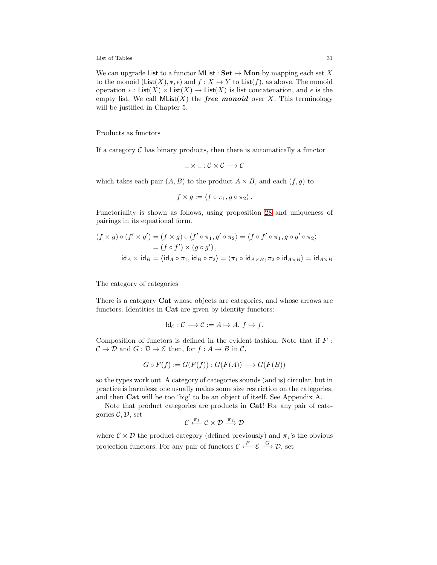We can upgrade List to a functor MList :  $\textbf{Set} \to \textbf{Mon}$  by mapping each set X to the monoid  $(\text{List}(X), *, \epsilon)$  and  $f : X \to Y$  to  $\text{List}(f)$ , as above. The monoid operation  $\ast:$  List(X)  $\times$  List(X)  $\rightarrow$  List(X) is list concatenation, and  $\epsilon$  is the empty list. We call  $MList(X)$  the *free monoid* over X. This terminology will be justified in Chapter 5.

Products as functors

If a category  $\mathcal C$  has binary products, then there is automatically a functor

$$
\_\times \_\colon \mathcal{C} \times \mathcal{C} \longrightarrow \mathcal{C}
$$

which takes each pair  $(A, B)$  to the product  $A \times B$ , and each  $(f, g)$  to

$$
f \times g := \langle f \circ \pi_1, g \circ \pi_2 \rangle.
$$

Functoriality is shown as follows, using proposition [28](#page-21-0) and uniqueness of pairings in its equational form.

$$
(f \times g) \circ (f' \times g') = (f \times g) \circ \langle f' \circ \pi_1, g' \circ \pi_2 \rangle = \langle f \circ f' \circ \pi_1, g \circ g' \circ \pi_2 \rangle
$$
  
=  $(f \circ f') \times (g \circ g')$ ,  

$$
id_A \times id_B = \langle id_A \circ \pi_1, id_B \circ \pi_2 \rangle = \langle \pi_1 \circ id_{A \times B}, \pi_2 \circ id_{A \times B} \rangle = id_{A \times B}.
$$

The category of categories

There is a category Cat whose objects are categories, and whose arrows are functors. Identities in **Cat** are given by identity functors:

$$
Id_{\mathcal{C}} : \mathcal{C} \longrightarrow \mathcal{C} := A \mapsto A, \, f \mapsto f.
$$

Composition of functors is defined in the evident fashion. Note that if  $F$ :  $\mathcal{C} \to \mathcal{D}$  and  $G : \mathcal{D} \to \mathcal{E}$  then, for  $f : A \to B$  in  $\mathcal{C}$ ,

$$
G \circ F(f) := G(F(f)) : G(F(A)) \longrightarrow G(F(B))
$$

so the types work out. A category of categories sounds (and is) circular, but in practice is harmless: one usually makes some size restriction on the categories, and then Cat will be too 'big' to be an object of itself. See Appendix A.

Note that product categories are products in Cat! For any pair of categories  $C, D$ , set

$$
\mathcal{C} \xleftarrow{\pi_1} \mathcal{C} \times \mathcal{D} \xrightarrow{\pi_2} \mathcal{D}
$$

where  $\mathcal{C} \times \mathcal{D}$  the product category (defined previously) and  $\pi_i$ 's the obvious projection functors. For any pair of functors  $\mathcal{C} \xleftarrow{F} \mathcal{E} \xrightarrow{G} \mathcal{D}$ , set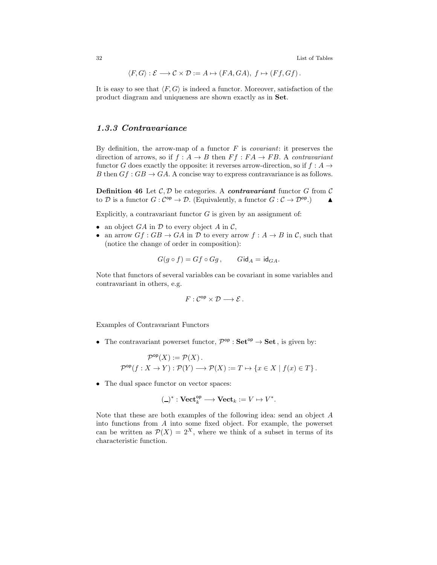$$
\langle F, G \rangle : \mathcal{E} \longrightarrow \mathcal{C} \times \mathcal{D} := A \mapsto (FA, GA), \ f \mapsto (Ff, Gf).
$$

It is easy to see that  $\langle F, G \rangle$  is indeed a functor. Moreover, satisfaction of the product diagram and uniqueness are shown exactly as in Set.

#### <span id="page-31-0"></span>1.3.3 Contravariance

By definition, the arrow-map of a functor  $F$  is *covariant*: it preserves the direction of arrows, so if  $f : A \rightarrow B$  then  $Ff : FA \rightarrow FB$ . A contravariant functor G does exactly the opposite: it reverses arrow-direction, so if  $f : A \rightarrow$ B then  $Gf : GB \to GA$ . A concise way to express contravariance is as follows.

**Definition 46** Let  $\mathcal{C}, \mathcal{D}$  be categories. A *contravariant* functor G from  $\mathcal{C}$ to D is a functor  $G: \mathcal{C}^{\mathsf{op}} \to \mathcal{D}$ . (Equivalently, a functor  $G: \mathcal{C} \to \mathcal{D}^{\mathsf{op}}$ .)

Explicitly, a contravariant functor  $G$  is given by an assignment of:

- an object  $GA$  in  $D$  to every object  $A$  in  $C$ ,
- an arrow  $Gf : GB \to GA$  in  $D$  to every arrow  $f : A \to B$  in  $C$ , such that (notice the change of order in composition):

$$
G(g \circ f) = Gf \circ Gg, \qquad G \mathrm{id}_A = \mathrm{id}_{GA}.
$$

Note that functors of several variables can be covariant in some variables and contravariant in others, e.g.

$$
F:\mathcal{C}^{\mathrm{op}}\times\mathcal{D}\longrightarrow\mathcal{E}.
$$

Examples of Contravariant Functors

• The contravariant powerset functor,  $\mathcal{P}^{\mathsf{op}}$  :  $\mathbf{Set}^{\mathsf{op}} \to \mathbf{Set}$ , is given by:

$$
\mathcal{P}^{\mathrm{op}}(X) := \mathcal{P}(X).
$$
  

$$
\mathcal{P}^{\mathrm{op}}(f : X \to Y) : \mathcal{P}(Y) \longrightarrow \mathcal{P}(X) := T \mapsto \{x \in X \mid f(x) \in T\}.
$$

• The dual space functor on vector spaces:

$$
(\_)^*:\mathbf{Vect}^{\mathsf{op}}_k\longrightarrow \mathbf{Vect}_k:=V\mapsto V^*.
$$

Note that these are both examples of the following idea: send an object A into functions from A into some fixed object. For example, the powerset can be written as  $\mathcal{P}(X) = 2^X$ , where we think of a subset in terms of its characteristic function.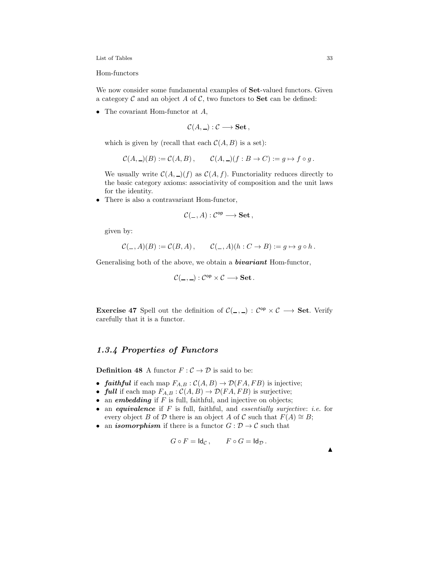Hom-functors

We now consider some fundamental examples of Set-valued functors. Given a category  $\mathcal C$  and an object  $A$  of  $\mathcal C$ , two functors to **Set** can be defined:

• The covariant Hom-functor at  $A$ ,

$$
\mathcal{C}(A, \underline{\hspace{1ex}}): \mathcal{C} \longrightarrow \mathbf{Set}\,,
$$

which is given by (recall that each  $C(A, B)$  is a set):

$$
\mathcal{C}(A, \_)(B) := \mathcal{C}(A, B), \qquad \mathcal{C}(A, \_)(f : B \to C) := g \mapsto f \circ g.
$$

We usually write  $C(A, \_)(f)$  as  $C(A, f)$ . Functoriality reduces directly to the basic category axioms: associativity of composition and the unit laws for the identity.

• There is also a contravariant Hom-functor,

$$
\mathcal{C}(\_,A): \mathcal{C}^{\mathrm{op}} \longrightarrow \mathbf{Set}\,,
$$

given by:

$$
\mathcal{C}(\_,A)(B) := \mathcal{C}(B,A), \qquad \mathcal{C}(\_,A)(h:C \to B) := g \mapsto g \circ h.
$$

Generalising both of the above, we obtain a **bivariant** Hom-functor,

$$
\mathcal{C}(\underline{\hspace{0.3cm}},\underline{\hspace{0.3cm}}): \mathcal{C}^{op} \times \mathcal{C} \longrightarrow \mathbf{Set} \, .
$$

**Exercise 47** Spell out the definition of  $C(-, -)$ :  $C^{op} \times C \longrightarrow$  **Set**. Verify carefully that it is a functor.

# <span id="page-32-0"></span>1.3.4 Properties of Functors

**Definition 48** A functor  $F : \mathcal{C} \to \mathcal{D}$  is said to be:

- faithful if each map  $F_{A,B}: \mathcal{C}(A, B) \to \mathcal{D}(FA, FB)$  is injective;
- full if each map  $F_{A,B}: \mathcal{C}(A,B) \to \mathcal{D}(FA,FB)$  is surjective;
- an *embedding* if  $F$  is full, faithful, and injective on objects;
- an equivalence if  $F$  is full, faithful, and essentially surjective: *i.e.* for every object B of D there is an object A of C such that  $F(A) \cong B$ ;
- an *isomorphism* if there is a functor  $G: \mathcal{D} \to \mathcal{C}$  such that

$$
G \circ F = \mathsf{Id}_{\mathcal{C}}\,, \qquad F \circ G = \mathsf{Id}_{\mathcal{D}}\,.
$$

 $\blacktriangle$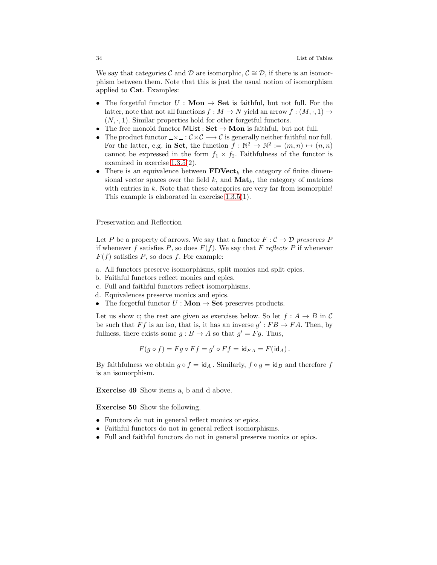We say that categories C and D are isomorphic,  $\mathcal{C} \cong \mathcal{D}$ , if there is an isomorphism between them. Note that this is just the usual notion of isomorphism applied to Cat. Examples:

- The forgetful functor  $U : \mathbf{Mon} \to \mathbf{Set}$  is faithful, but not full. For the latter, note that not all functions  $f : M \to N$  yield an arrow  $f : (M, \cdot, 1) \to$  $(N, \cdot, 1)$ . Similar properties hold for other forgetful functors.
- The free monoid functor  $MList : Set \rightarrow Mon$  is faithful, but not full.
- The product functor  $\_\times$ :  $\mathcal{C}\times\mathcal{C}\longrightarrow\mathcal{C}$  is generally neither faithful nor full. For the latter, e.g. in Set, the function  $f : \mathbb{N}^2 \to \mathbb{N}^2 := (m, n) \mapsto (n, n)$ cannot be expressed in the form  $f_1 \times f_2$ . Faithfulness of the functor is examined in exercise [1.3.5\(](#page-34-0)2).
- There is an equivalence between  $\textbf{FDVect}_k$  the category of finite dimensional vector spaces over the field k, and  $\mathbf{Mat}_k$ , the category of matrices with entries in  $k$ . Note that these categories are very far from isomorphic! This example is elaborated in exercise [1.3.5\(](#page-34-0)1).

Preservation and Reflection

Let P be a property of arrows. We say that a functor  $F : \mathcal{C} \to \mathcal{D}$  preserves P if whenever f satisfies P, so does  $F(f)$ . We say that F reflects P if whenever  $F(f)$  satisfies P, so does f. For example:

- a. All functors preserve isomorphisms, split monics and split epics.
- b. Faithful functors reflect monics and epics.
- c. Full and faithful functors reflect isomorphisms.
- d. Equivalences preserve monics and epics.
- The forgetful functor  $U : \mathbf{Mon} \to \mathbf{Set}$  preserves products.

Let us show c; the rest are given as exercises below. So let  $f : A \rightarrow B$  in C be such that  $Ff$  is an iso, that is, it has an inverse  $g':FB \to FA$ . Then, by fullness, there exists some  $g : B \to A$  so that  $g' = Fg$ . Thus,

$$
F(g \circ f) = Fg \circ Ff = g' \circ Ff = id_{FA} = F(id_A).
$$

By faithfulness we obtain  $g \circ f = id_A$ . Similarly,  $f \circ g = id_B$  and therefore f is an isomorphism.

Exercise 49 Show items a, b and d above.

Exercise 50 Show the following.

- Functors do not in general reflect monics or epics.
- Faithful functors do not in general reflect isomorphisms.
- Full and faithful functors do not in general preserve monics or epics.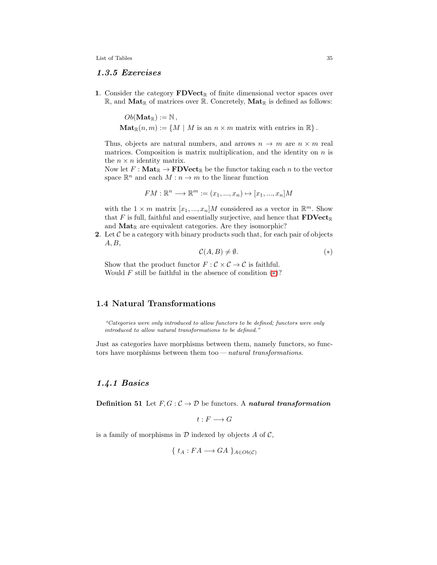#### <span id="page-34-0"></span>1.3.5 Exercises

1. Consider the category  $\mathbf{FDVect}_{\mathbb{R}}$  of finite dimensional vector spaces over  $\mathbb{R}$ , and Mat<sub>R</sub> of matrices over  $\mathbb{R}$ . Concretely, Mat<sub>R</sub> is defined as follows:

> $Ob(\mathbf{Mat}_{\mathbb{R}}) := \mathbb{N},$  $\text{Mat}_{\mathbb{R}}(n, m) := \{M \mid M \text{ is an } n \times m \text{ matrix with entries in } \mathbb{R}\}.$

Thus, objects are natural numbers, and arrows  $n \to m$  are  $n \times m$  real matrices. Composition is matrix multiplication, and the identity on  $n$  is the  $n \times n$  identity matrix.

Now let  $F: \mathbf{Mat}_{\mathbb{R}} \to \mathbf{FDVect}_{\mathbb{R}}$  be the functor taking each n to the vector space  $\mathbb{R}^n$  and each  $M: n \to m$  to the linear function

$$
FM: \mathbb{R}^n \longrightarrow \mathbb{R}^m := (x_1, ..., x_n) \mapsto [x_1, ..., x_n]M
$$

with the  $1 \times m$  matrix  $[x_1, ..., x_n]M$  considered as a vector in  $\mathbb{R}^m$ . Show that F is full, faithful and essentially surjective, and hence that  $\mathbf{FDVect}_{\mathbb{R}}$ and  $\text{Mat}_{\mathbb{R}}$  are equivalent categories. Are they isomorphic?

2. Let  $\mathcal C$  be a category with binary products such that, for each pair of objects  $A, B,$ 

<span id="page-34-3"></span>
$$
\mathcal{C}(A,B) \neq \emptyset. \tag{*}
$$

Show that the product functor  $F : \mathcal{C} \times \mathcal{C} \to \mathcal{C}$  is faithful. Would F still be faithful in the absence of condition  $(*)$ ?

# <span id="page-34-1"></span>1.4 Natural Transformations

"Categories were only introduced to allow functors to be defined; functors were only introduced to allow natural transformations to be defined."

Just as categories have morphisms between them, namely functors, so functors have morphisms between them too— natural transformations.

#### <span id="page-34-2"></span>1.4.1 Basics

**Definition 51** Let  $F, G: \mathcal{C} \to \mathcal{D}$  be functors. A natural transformation

$$
t:F\longrightarrow G
$$

is a family of morphisms in  $\mathcal D$  indexed by objects  $A$  of  $\mathcal C$ ,

$$
\{ t_A : FA \longrightarrow GA \}_{A \in Ob(\mathcal{C})}
$$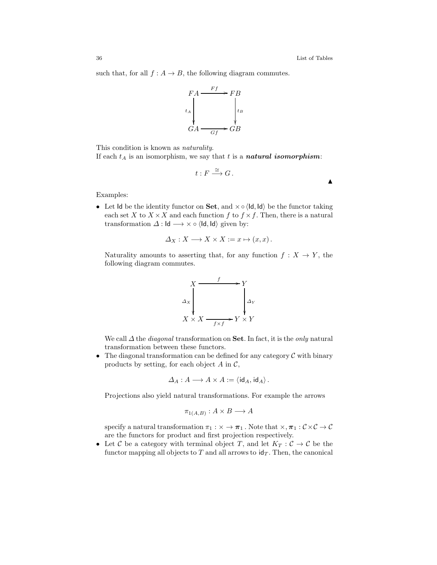$\blacktriangle$ 

such that, for all  $f : A \to B$ , the following diagram commutes.



This condition is known as naturality.

If each  $t_A$  is an isomorphism, we say that t is a **natural isomorphism**:

$$
t: F \stackrel{\cong}{\longrightarrow} G.
$$

Examples:

• Let Id be the identity functor on Set, and  $\times \circ \langle \mathsf{Id}, \mathsf{Id} \rangle$  be the functor taking each set X to  $X \times X$  and each function f to  $f \times f$ . Then, there is a natural transformation  $\Delta : \mathsf{Id} \longrightarrow \mathsf{x} \circ \langle \mathsf{Id}, \mathsf{Id} \rangle$  given by:

$$
\Delta_X: X \longrightarrow X \times X := x \mapsto (x, x).
$$

Naturality amounts to asserting that, for any function  $f: X \to Y$ , the following diagram commutes.



We call  $\Delta$  the *diagonal* transformation on **Set**. In fact, it is the *only* natural transformation between these functors.

• The diagonal transformation can be defined for any category  $\mathcal C$  with binary products by setting, for each object  $A$  in  $C$ ,

$$
\varDelta_A:A\longrightarrow A\times A:=\langle \text{id}_A,\text{id}_A\rangle\,.
$$

Projections also yield natural transformations. For example the arrows

$$
\pi_{1(A,B)}: A \times B \longrightarrow A
$$

specify a natural transformation  $\pi_1 : \times \to \pi_1$ . Note that  $\times, \pi_1 : \mathcal{C} \times \mathcal{C} \to \mathcal{C}$ are the functors for product and first projection respectively.

• Let C be a category with terminal object T, and let  $K_T : \mathcal{C} \to \mathcal{C}$  be the functor mapping all objects to  $T$  and all arrows to  $\mathsf{id}_T$ . Then, the canonical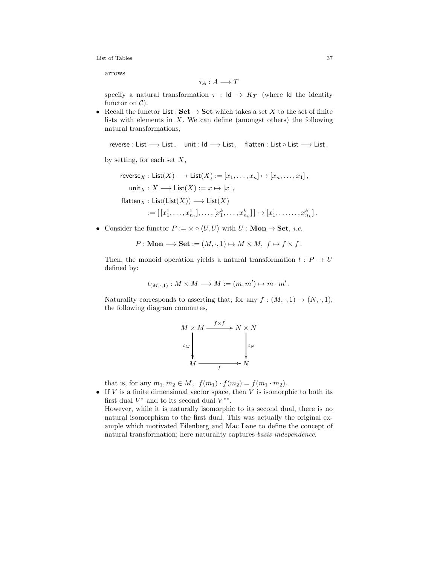arrows

$$
\tau_A: A \longrightarrow T
$$

specify a natural transformation  $\tau$  : Id  $\rightarrow$  K<sub>T</sub> (where Id the identity functor on  $\mathcal{C}$ ).

• Recall the functor List :  $Set \rightarrow Set$  which takes a set X to the set of finite lists with elements in  $X$ . We can define (amongst others) the following natural transformations,

reverse : List  $\longrightarrow$  List, unit : Id  $\longrightarrow$  List, flatten : List  $\circ$  List  $\longrightarrow$  List,

by setting, for each set  $X$ ,

$$
\begin{aligned}\n\text{reverse}_X: \text{List}(X) &\longrightarrow \text{List}(X) := [x_1, \dots, x_n] \mapsto [x_n, \dots, x_1], \\
\text{unit}_X: X &\longrightarrow \text{List}(X) := x \mapsto [x], \\
\text{flatten}_X: \text{List}(\text{List}(X)) &\longrightarrow \text{List}(X) \\
&:= \left[ [x_1^1, \dots, x_{n_1}^1], \dots, [x_1^k, \dots, x_{n_k}^k] \right] \mapsto [x_1^1, \dots, x_{n_k}^k].\n\end{aligned}
$$

• Consider the functor  $P := \times \circ \langle U, U \rangle$  with  $U : \mathbf{Mon} \to \mathbf{Set}$ , *i.e.* 

$$
P: \mathbf{Mon} \longrightarrow \mathbf{Set} := (M, \cdot, 1) \mapsto M \times M, \ f \mapsto f \times f.
$$

Then, the monoid operation yields a natural transformation  $t: P \to U$ defined by:

$$
t_{(M,\cdot,1)}: M \times M \longrightarrow M := (m,m') \mapsto m \cdot m'.
$$

Naturality corresponds to asserting that, for any  $f : (M, \cdot, 1) \to (N, \cdot, 1)$ , the following diagram commutes,

$$
M \times M \xrightarrow{f \times f} N \times N
$$
  
\n
$$
t_M
$$
\n
$$
M \xrightarrow{f} N
$$
\n
$$
M \xrightarrow{f} N
$$

that is, for any  $m_1, m_2 \in M$ ,  $f(m_1) \cdot f(m_2) = f(m_1 \cdot m_2)$ .

• If  $V$  is a finite dimensional vector space, then  $V$  is isomorphic to both its first dual  $V^*$  and to its second dual  $V^{**}$ .

However, while it is naturally isomorphic to its second dual, there is no natural isomorphism to the first dual. This was actually the original example which motivated Eilenberg and Mac Lane to define the concept of natural transformation; here naturality captures basis independence.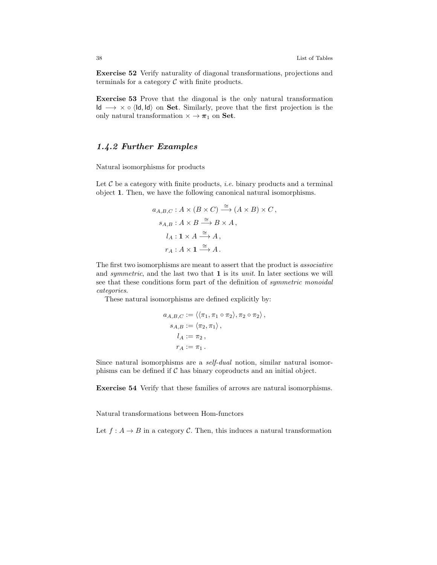Exercise 52 Verify naturality of diagonal transformations, projections and terminals for a category  $C$  with finite products.

Exercise 53 Prove that the diagonal is the only natural transformation Id  $\rightarrow \times \circ \langle \mathsf{Id}, \mathsf{Id} \rangle$  on Set. Similarly, prove that the first projection is the only natural transformation  $\times \rightarrow \pi_1$  on **Set**.

#### 1.4.2 Further Examples

Natural isomorphisms for products

Let  $\mathcal C$  be a category with finite products, *i.e.* binary products and a terminal object 1. Then, we have the following canonical natural isomorphisms.

$$
a_{A,B,C}: A \times (B \times C) \xrightarrow{\cong} (A \times B) \times C,
$$
  
\n
$$
s_{A,B}: A \times B \xrightarrow{\cong} B \times A,
$$
  
\n
$$
l_A: \mathbf{1} \times A \xrightarrow{\cong} A,
$$
  
\n
$$
r_A: A \times \mathbf{1} \xrightarrow{\cong} A.
$$

The first two isomorphisms are meant to assert that the product is *associative* and symmetric, and the last two that 1 is its unit. In later sections we will see that these conditions form part of the definition of *symmetric monoidal* categories.

These natural isomorphisms are defined explicitly by:

$$
a_{A,B,C} := \langle \langle \pi_1, \pi_1 \circ \pi_2 \rangle, \pi_2 \circ \pi_2 \rangle,
$$
  
\n
$$
s_{A,B} := \langle \pi_2, \pi_1 \rangle,
$$
  
\n
$$
l_A := \pi_2,
$$
  
\n
$$
r_A := \pi_1.
$$

Since natural isomorphisms are a self-dual notion, similar natural isomorphisms can be defined if  $C$  has binary coproducts and an initial object.

Exercise 54 Verify that these families of arrows are natural isomorphisms.

Natural transformations between Hom-functors

Let  $f: A \to B$  in a category C. Then, this induces a natural transformation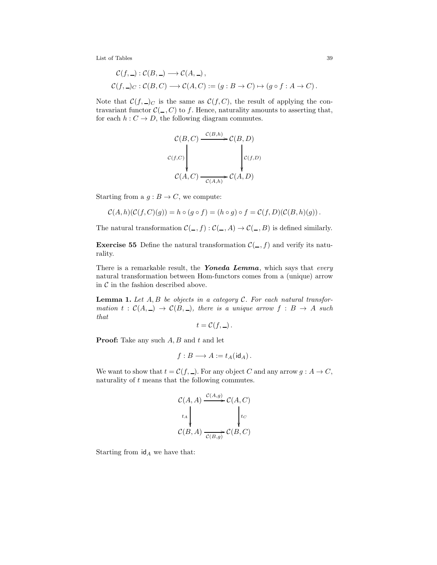$$
\mathcal{C}(f, \underline{\hspace{1cm}}) : \mathcal{C}(B, \underline{\hspace{1cm}}) \longrightarrow \mathcal{C}(A, \underline{\hspace{1cm}}),
$$
  

$$
\mathcal{C}(f, \underline{\hspace{1cm}})C : \mathcal{C}(B, C) \longrightarrow \mathcal{C}(A, C) := (g : B \longrightarrow C) \mapsto (g \circ f : A \longrightarrow C).
$$

Note that  $C(f, \_)C$  is the same as  $C(f, C)$ , the result of applying the contravariant functor  $\mathcal{C}(\_,\_C)$  to f. Hence, naturality amounts to asserting that, for each  $h: C \to D$ , the following diagram commutes.

$$
\mathcal{C}(B,C) \xrightarrow{\mathcal{C}(B,h)} \mathcal{C}(B,D)
$$
  
\n
$$
\mathcal{C}(f,C) \xrightarrow{\mathcal{C}(B,h)} \mathcal{C}(f,D)
$$
  
\n
$$
\mathcal{C}(A,C) \xrightarrow{\mathcal{C}(A,h)} \mathcal{C}(A,D)
$$

Starting from a  $g : B \to C$ , we compute:

$$
\mathcal{C}(A,h)(\mathcal{C}(f,C)(g)) = h \circ (g \circ f) = (h \circ g) \circ f = \mathcal{C}(f,D)(\mathcal{C}(B,h)(g)).
$$

The natural transformation  $\mathcal{C}(\_,f) : \mathcal{C}(\_,A) \to \mathcal{C}(\_,B)$  is defined similarly.

**Exercise 55** Define the natural transformation  $\mathcal{C}(\_, f)$  and verify its naturality.

There is a remarkable result, the Yoneda Lemma, which says that every natural transformation between Hom-functors comes from a (unique) arrow in  $C$  in the fashion described above.

**Lemma 1.** Let  $A, B$  be objects in a category  $C$ . For each natural transformation  $t : C(A, \underline{\hspace{1cm}}) \rightarrow C(B, \underline{\hspace{1cm}})$ , there is a unique arrow  $f : B \rightarrow A$  such that

$$
t=\mathcal{C}(f,\_).
$$

**Proof:** Take any such  $A, B$  and  $t$  and let

$$
f: B \longrightarrow A := t_A(\mathrm{id}_A).
$$

We want to show that  $t = \mathcal{C}(f, \_)$ . For any object C and any arrow  $g : A \to C$ , naturality of t means that the following commutes.

$$
\mathcal{C}(A, A) \xrightarrow{\mathcal{C}(A, g)} \mathcal{C}(A, C)
$$
\n
$$
\downarrow t_A
$$
\n
$$
\downarrow t_C
$$
\n
$$
\mathcal{C}(B, A) \xrightarrow[\mathcal{C}(B, g)]{} \mathcal{C}(B, C)
$$

Starting from  $\mathsf{id}_A$  we have that: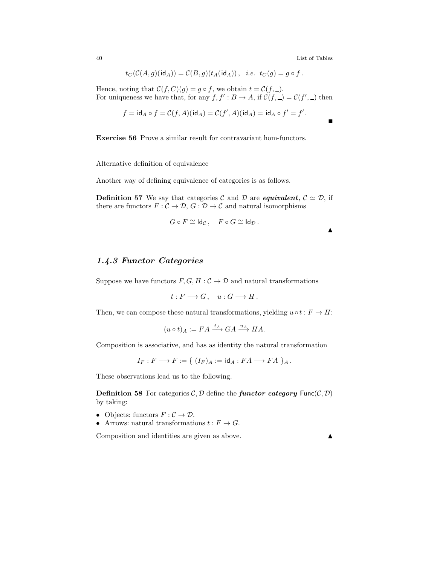$\blacksquare$ 

<span id="page-39-0"></span>N

$$
t_C(\mathcal{C}(A,g)(\mathsf{id}_A)) = \mathcal{C}(B,g)(t_A(\mathsf{id}_A)), \quad i.e. \quad t_C(g) = g \circ f.
$$

Hence, noting that  $\mathcal{C}(f, C)(g) = g \circ f$ , we obtain  $t = \mathcal{C}(f, \_)$ . For uniqueness we have that, for any  $f, f' : B \to A$ , if  $\mathcal{C}(f, \_) = \mathcal{C}(f', \_)$  then

$$
f = id_A \circ f = C(f, A)(id_A) = C(f', A)(id_A) = id_A \circ f' = f'.
$$

<span id="page-39-1"></span>Exercise 56 Prove a similar result for contravariant hom-functors.

Alternative definition of equivalence

Another way of defining equivalence of categories is as follows.

**Definition 57** We say that categories C and D are equivalent,  $C \simeq D$ , if there are functors  $F: \mathcal{C} \to \mathcal{D}, G: \mathcal{D} \to \mathcal{C}$  and natural isomorphisms

$$
G\circ F\cong \mathsf{Id}_{\mathcal{C}}\,,\quad F\circ G\cong \mathsf{Id}_{\mathcal{D}}\,.
$$

1.4.3 Functor Categories

Suppose we have functors  $F, G, H : \mathcal{C} \to \mathcal{D}$  and natural transformations

 $t : F \longrightarrow G$ ,  $u : G \longrightarrow H$ .

Then, we can compose these natural transformations, yielding  $u \circ t : F \to H$ :

$$
(u \circ t)_A := FA \xrightarrow{t_A} GA \xrightarrow{u_A} HA.
$$

Composition is associative, and has as identity the natural transformation

 $I_F : F \longrightarrow F := \{ (I_F)_A := \text{id}_A : FA \longrightarrow FA \} \dots$ 

These observations lead us to the following.

**Definition 58** For categories C, D define the **functor category** Func $(C, D)$ by taking:

- Objects: functors  $F: \mathcal{C} \to \mathcal{D}$ .
- Arrows: natural transformations  $t : F \to G$ .

Composition and identities are given as above.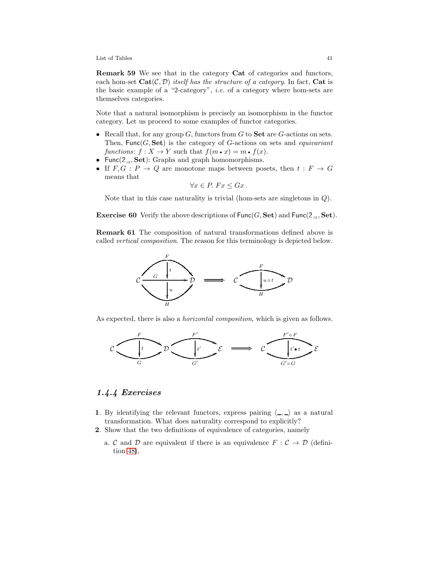Remark 59 We see that in the category Cat of categories and functors, each hom-set  $Cat(\mathcal{C}, \mathcal{D})$  itself has the structure of a category. In fact, Cat is the basic example of a "2-category", i.e. of a category where hom-sets are themselves categories.

Note that a natural isomorphism is precisely an isomorphism in the functor category. Let us proceed to some examples of functor categories.

- Recall that, for any group  $G$ , functors from  $G$  to **Set** are  $G$ -actions on sets. Then, Func $(G, Set)$  is the category of G-actions on sets and *equivariant* functions:  $f: X \to Y$  such that  $f(m \cdot x) = m \cdot f(x)$ .
- Func( $2\rightarrow$ , Set): Graphs and graph homomorphisms.
- If  $F, G : P \to Q$  are monotone maps between posets, then  $t : F \to G$ means that

$$
\forall x \in P. \; Fx \leq Gx \, .
$$

Note that in this case naturality is trivial (hom-sets are singletons in Q).

**Exercise 60** Verify the above descriptions of  $Func(G, Set)$  and  $Func(2_{\Rightarrow}, Set)$ .

Remark 61 The composition of natural transformations defined above is called vertical composition. The reason for this terminology is depicted below.



As expected, there is also a *horizontal composition*, which is given as follows.



## 1.4.4 Exercises

- 1. By identifying the relevant functors, express pairing  $\langle \_ \rangle$  as a natural transformation. What does naturality correspond to explicitly?
- 2. Show that the two definitions of equivalence of categories, namely
	- a. C and D are equivalent if there is an equivalence  $F : C \to D$  (definition [48\)](#page-32-0),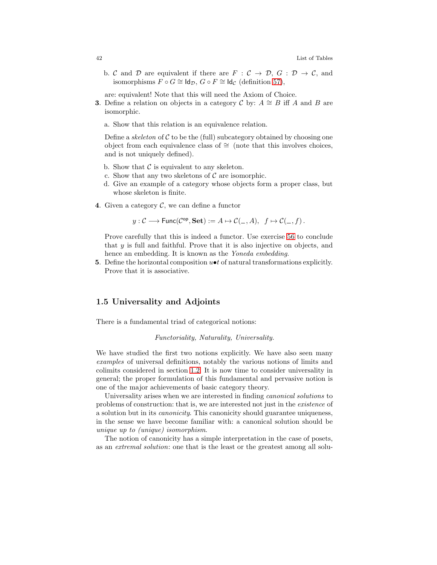b. C and D are equivalent if there are  $F : C \to D$ ,  $G : D \to C$ , and isomorphisms  $F \circ G \cong \mathsf{Id}_{\mathcal{D}}$ ,  $G \circ F \cong \mathsf{Id}_{\mathcal{C}}$  (definition [57\)](#page-39-0),

are: equivalent! Note that this will need the Axiom of Choice.

- **3.** Define a relation on objects in a category C by:  $A \cong B$  iff A and B are isomorphic.
	- a. Show that this relation is an equivalence relation.

Define a *skeleton* of  $\mathcal C$  to be the (full) subcategory obtained by choosing one object from each equivalence class of  $\cong$  (note that this involves choices, and is not uniquely defined).

- b. Show that  $\mathcal C$  is equivalent to any skeleton.
- c. Show that any two skeletons of  $\mathcal C$  are isomorphic.
- d. Give an example of a category whose objects form a proper class, but whose skeleton is finite.
- 4. Given a category  $\mathcal{C}$ , we can define a functor

$$
y: \mathcal{C} \longrightarrow \mathsf{Func}(\mathcal{C}^{\mathsf{op}}, \mathbf{Set}) := A \mapsto \mathcal{C}(\_, A), \ \ f \mapsto \mathcal{C}(\_, f).
$$

Prove carefully that this is indeed a functor. Use exercise [56](#page-39-1) to conclude that  $y$  is full and faithful. Prove that it is also injective on objects, and hence an embedding. It is known as the Yoneda embedding.

5. Define the horizontal composition  $u \bullet t$  of natural transformations explicitly. Prove that it is associative.

### 1.5 Universality and Adjoints

There is a fundamental triad of categorical notions:

#### Functoriality, Naturality, Universality.

We have studied the first two notions explicitly. We have also seen many examples of universal definitions, notably the various notions of limits and colimits considered in section [1.2.](#page-16-0) It is now time to consider universality in general; the proper formulation of this fundamental and pervasive notion is one of the major achievements of basic category theory.

Universality arises when we are interested in finding canonical solutions to problems of construction: that is, we are interested not just in the existence of a solution but in its canonicity. This canonicity should guarantee uniqueness, in the sense we have become familiar with: a canonical solution should be unique up to (unique) isomorphism.

The notion of canonicity has a simple interpretation in the case of posets, as an extremal solution: one that is the least or the greatest among all solu-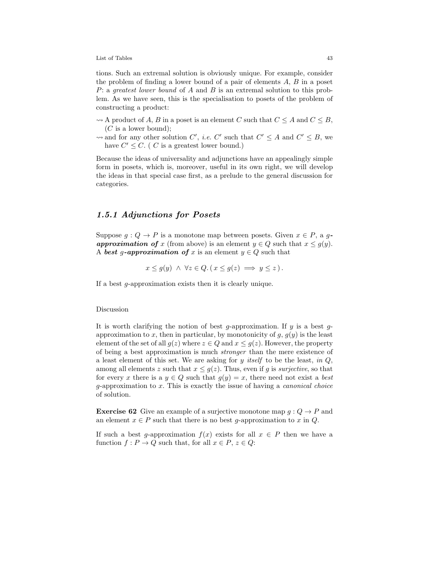tions. Such an extremal solution is obviously unique. For example, consider the problem of finding a lower bound of a pair of elements A, B in a poset P: a greatest lower bound of A and B is an extremal solution to this problem. As we have seen, this is the specialisation to posets of the problem of constructing a product:

- $\rightsquigarrow$  A product of A, B in a poset is an element C such that  $C \leq A$  and  $C \leq B$ ,  $(C$  is a lower bound);
- $\rightsquigarrow$  and for any other solution C', *i.e.* C' such that  $C' \leq A$  and  $C' \leq B$ , we have  $C' \leq C$ . ( C is a greatest lower bound.)

Because the ideas of universality and adjunctions have an appealingly simple form in posets, which is, moreover, useful in its own right, we will develop the ideas in that special case first, as a prelude to the general discussion for categories.

## 1.5.1 Adjunctions for Posets

Suppose  $g: Q \to P$  is a monotone map between posets. Given  $x \in P$ , a g**approximation of** x (from above) is an element  $y \in Q$  such that  $x \le g(y)$ . A best q-approximation of x is an element  $y \in Q$  such that

$$
x \le g(y) \land \forall z \in Q. \, (x \le g(z) \implies y \le z).
$$

If a best g-approximation exists then it is clearly unique.

#### Discussion

It is worth clarifying the notion of best g-approximation. If  $y$  is a best  $g$ approximation to x, then in particular, by monotonicity of  $q, q(y)$  is the least element of the set of all  $g(z)$  where  $z \in Q$  and  $x \leq g(z)$ . However, the property of being a best approximation is much stronger than the mere existence of a least element of this set. We are asking for  $y$  itself to be the least, in  $Q$ , among all elements z such that  $x \leq g(z)$ . Thus, even if g is surjective, so that for every x there is a  $y \in Q$  such that  $g(y) = x$ , there need not exist a best  $q$ -approximation to x. This is exactly the issue of having a *canonical choice* of solution.

**Exercise 62** Give an example of a surjective monotone map  $q: Q \to P$  and an element  $x \in P$  such that there is no best g-approximation to x in Q.

If such a best g-approximation  $f(x)$  exists for all  $x \in P$  then we have a function  $f : P \to Q$  such that, for all  $x \in P$ ,  $z \in Q$ :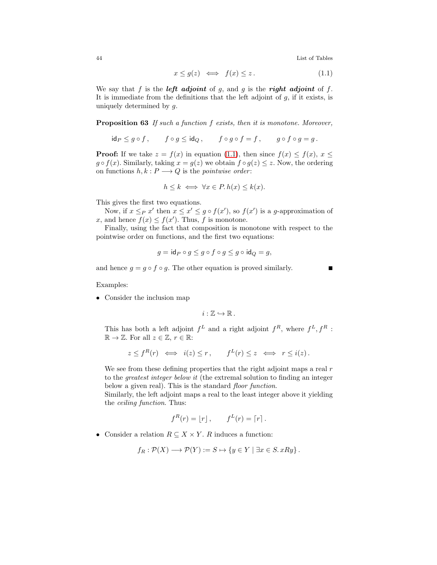<span id="page-43-0"></span>
$$
x \le g(z) \iff f(x) \le z. \tag{1.1}
$$

We say that f is the *left adjoint* of g, and g is the right adjoint of f. It is immediate from the definitions that the left adjoint of  $q$ , if it exists, is uniquely determined by  $g$ .

Proposition 63 If such a function f exists, then it is monotone. Moreover,

 $\mathsf{id}_P \leq g \circ f$ ,  $f \circ g \leq \mathsf{id}_Q$ ,  $f \circ g \circ f = f$ ,  $g \circ f \circ g = g$ .

**Proof:** If we take  $z = f(x)$  in equation [\(1.1\)](#page-43-0), then since  $f(x) \le f(x)$ ,  $x \le f(x)$  $g \circ f(x)$ . Similarly, taking  $x = g(z)$  we obtain  $f \circ g(z) \leq z$ . Now, the ordering on functions  $h, k : P \longrightarrow Q$  is the *pointwise order*:

$$
h \le k \iff \forall x \in P. \, h(x) \le k(x).
$$

This gives the first two equations.

Now, if  $x \leq_P x'$  then  $x \leq x' \leq g \circ f(x')$ , so  $f(x')$  is a g-approximation of x, and hence  $f(x) \leq f(x')$ . Thus, f is monotone.

Finally, using the fact that composition is monotone with respect to the pointwise order on functions, and the first two equations:

$$
g = \mathsf{id}_P \circ g \leq g \circ f \circ g \leq g \circ \mathsf{id}_Q = g,
$$

and hence  $g = g \circ f \circ g$ . The other equation is proved similarly.

Examples:

• Consider the inclusion map

$$
i:\mathbb{Z}\hookrightarrow\mathbb{R}.
$$

This has both a left adjoint  $f^L$  and a right adjoint  $f^R$ , where  $f^L, f^R$ :  $\mathbb{R} \to \mathbb{Z}$ . For all  $z \in \mathbb{Z}$ ,  $r \in \mathbb{R}$ :

$$
z \le f^R(r) \iff i(z) \le r
$$
,  $f^L(r) \le z \iff r \le i(z)$ .

We see from these defining properties that the right adjoint maps a real  $r$ to the greatest integer below it (the extremal solution to finding an integer below a given real). This is the standard *floor function*.

Similarly, the left adjoint maps a real to the least integer above it yielding the ceiling function. Thus:

$$
f^{R}(r) = \lfloor r \rfloor, \qquad f^{L}(r) = \lceil r \rceil.
$$

• Consider a relation  $R \subseteq X \times Y$ . R induces a function:

$$
f_R: \mathcal{P}(X) \longrightarrow \mathcal{P}(Y) := S \mapsto \{y \in Y \mid \exists x \in S. xRy\}.
$$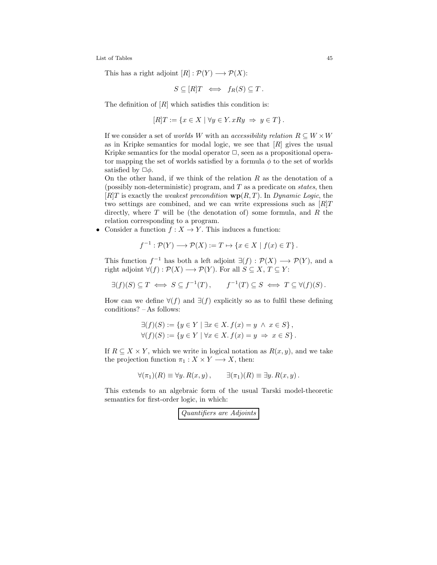This has a right adjoint  $[R]: \mathcal{P}(Y) \longrightarrow \mathcal{P}(X)$ :

$$
S \subseteq [R]T \iff f_R(S) \subseteq T.
$$

The definition of  $[R]$  which satisfies this condition is:

$$
[R]T := \{ x \in X \mid \forall y \in Y. xRy \implies y \in T \}.
$$

If we consider a set of worlds W with an accessibility relation  $R \subseteq W \times W$ as in Kripke semantics for modal logic, we see that  $[R]$  gives the usual Kripke semantics for the modal operator  $\Box$ , seen as a propositional operator mapping the set of worlds satisfied by a formula  $\phi$  to the set of worlds satisfied by  $\Box \phi$ .

On the other hand, if we think of the relation  $R$  as the denotation of a (possibly non-deterministic) program, and  $T$  as a predicate on *states*, then  $[R]T$  is exactly the weakest precondition  $wp(R, T)$ . In Dynamic Logic, the two settings are combined, and we can write expressions such as  $[R]T$ directly, where  $T$  will be (the denotation of) some formula, and  $R$  the relation corresponding to a program.

• Consider a function  $f: X \to Y$ . This induces a function:

$$
f^{-1} : \mathcal{P}(Y) \longrightarrow \mathcal{P}(X) := T \mapsto \{x \in X \mid f(x) \in T\}.
$$

This function  $f^{-1}$  has both a left adjoint  $\exists (f) : \mathcal{P}(X) \longrightarrow \mathcal{P}(Y)$ , and a right adjoint  $\forall (f): \mathcal{P}(X) \longrightarrow \mathcal{P}(Y)$ . For all  $S \subseteq X, T \subseteq Y$ :

 $\exists (f)(S) \subseteq T \iff S \subseteq f^{-1}(T), \qquad f^{-1}(T) \subseteq S \iff T \subseteq \forall (f)(S).$ 

How can we define  $\forall (f)$  and  $\exists (f)$  explicitly so as to fulfil these defining conditions? – As follows:

$$
\exists (f)(S) := \{ y \in Y \mid \exists x \in X. f(x) = y \land x \in S \},
$$
  

$$
\forall (f)(S) := \{ y \in Y \mid \forall x \in X. f(x) = y \implies x \in S \}.
$$

If  $R \subseteq X \times Y$ , which we write in logical notation as  $R(x, y)$ , and we take the projection function  $\pi_1 : X \times Y \longrightarrow X$ , then:

$$
\forall (\pi_1)(R) \equiv \forall y. R(x, y), \qquad \exists (\pi_1)(R) \equiv \exists y. R(x, y).
$$

This extends to an algebraic form of the usual Tarski model-theoretic semantics for first-order logic, in which:

Quantifiers are Adjoints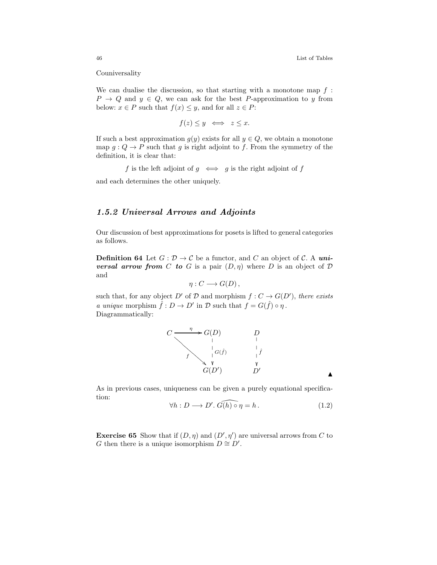Couniversality

We can dualise the discussion, so that starting with a monotone map  $f$ :  $P \rightarrow Q$  and  $y \in Q$ , we can ask for the best P-approximation to y from below:  $x \in P$  such that  $f(x) \leq y$ , and for all  $z \in P$ :

```
f(z) \leq y \iff z \leq x.
```
If such a best approximation  $g(y)$  exists for all  $y \in Q$ , we obtain a monotone map  $g: Q \to P$  such that g is right adjoint to f. From the symmetry of the definition, it is clear that:

f is the left adjoint of  $g \iff g$  is the right adjoint of f and each determines the other uniquely.

# 1.5.2 Universal Arrows and Adjoints

Our discussion of best approximations for posets is lifted to general categories as follows.

**Definition 64** Let  $G : \mathcal{D} \to \mathcal{C}$  be a functor, and C an object of C. A uni**versal arrow from** C to G is a pair  $(D, \eta)$  where D is an object of D and

$$
\eta: C \longrightarrow G(D),
$$

such that, for any object D' of D and morphism  $f: C \to G(D')$ , there exists a unique morphism  $\hat{f}: D \to D'$  in  $D$  such that  $f = G(\hat{f}) \circ \eta$ . Diagrammatically:



As in previous cases, uniqueness can be given a purely equational specification:

<span id="page-45-0"></span>
$$
\forall h : D \longrightarrow D'. \widehat{G(h) \circ \eta} = h. \tag{1.2}
$$

**Exercise 65** Show that if  $(D, \eta)$  and  $(D', \eta')$  are universal arrows from C to G then there is a unique isomorphism  $D \cong D'$ .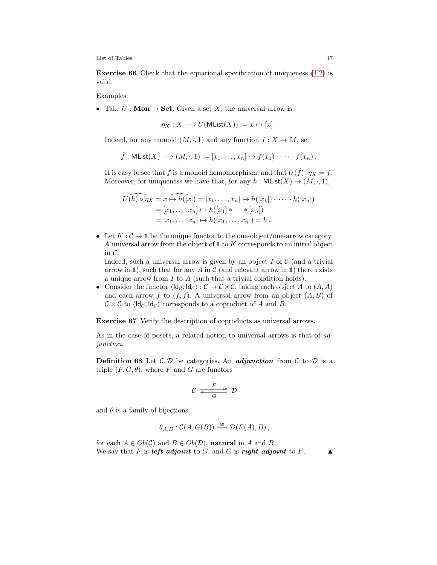Exercise 66 Check that the equational specification of uniqueness [\(1.2\)](#page-45-0) is valid.

Examples:

• Take  $U : \mathbf{Mon} \to \mathbf{Set}$ . Given a set X, the universal arrow is

$$
\eta_X: X \longrightarrow U(\mathsf{MList}(X)) := x \mapsto [x].
$$

Indeed, for any monoid  $(M, \cdot, 1)$  and any function  $f : X \to M$ , set

$$
\hat{f} : \mathsf{MList}(X) \longrightarrow (M, \cdot, 1) := [x_1, \ldots, x_n] \mapsto f(x_1) \cdot \cdots \cdot f(x_n) .
$$

It is easy to see that  $\hat{f}$  is a monoid homomorphism, and that  $U(\hat{f}) \circ \eta_X = f$ . Moreover, for uniqueness we have that, for any  $h : \mathsf{MList}(X) \to (M, \cdot, 1)$ ,

$$
\widehat{U(h)} \circ \eta_X = x \mapsto \widehat{h([x])} = [x_1, \dots, x_n] \mapsto h([x_1]) \cdot \dots \cdot h([x_n])
$$
  
= 
$$
[x_1, \dots, x_n] \mapsto h([x_1] * \dots * [x_n])
$$
  
= 
$$
[x_1, \dots, x_n] \mapsto h([x_1, \dots, x_n]) = h.
$$

• Let  $K: \mathcal{C} \to \mathbb{1}$  be the unique functor to the one-object/one-arrow category. A universal arrow from the object of  $\mathbb 1$  to K corresponds to an initial object in C.

Indeed, such a universal arrow is given by an object  $I$  of  $C$  (and a trivial arrow in 1), such that for any A in  $\mathcal C$  (and relevant arrow in 1) there exists a unique arrow from  $I$  to  $A$  (such that a trivial condition holds).

• Consider the functor  $\langle \mathsf{Id}_c, \mathsf{Id}_c \rangle : \mathcal{C} \to \mathcal{C} \times \mathcal{C}$ , taking each object A to  $(A, A)$ and each arrow f to  $(f, f)$ . A universal arrow from an object  $(A, B)$  of  $\mathcal{C} \times \mathcal{C}$  to  $\langle \mathsf{Id}_{\mathcal{C}}, \mathsf{Id}_{\mathcal{C}} \rangle$  corresponds to a coproduct of A and B.

Exercise 67 Verify the description of coproducts as universal arrows.

As in the case of posets, a related notion to universal arrows is that of adjunction.

**Definition 68** Let  $\mathcal{C}, \mathcal{D}$  be categories. An *adjunction* from  $\mathcal{C}$  to  $\mathcal{D}$  is a triple  $(F, G, \theta)$ , where F and G are functors

$$
C \xrightarrow[G]{} \mathcal{D}
$$

and  $\theta$  is a family of bijections

$$
\theta_{A,B} : \mathcal{C}(A, G(B)) \stackrel{\cong}{\longrightarrow} \mathcal{D}(F(A), B) ,
$$

for each  $A \in Ob(\mathcal{C})$  and  $B \in Ob(\mathcal{D})$ , **natural** in A and B. We say that F is *left adjoint* to G, and G is right adjoint to F.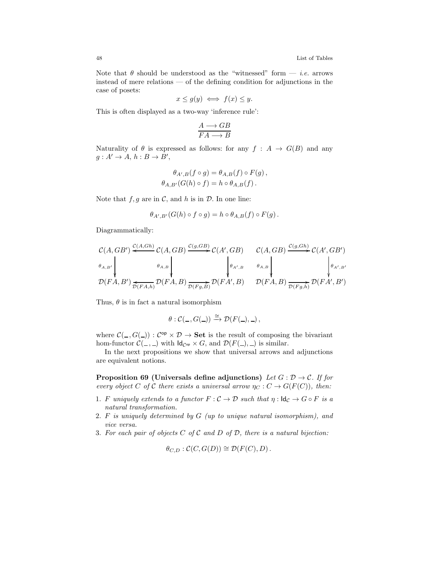Note that  $\theta$  should be understood as the "witnessed" form  $- i.e.$  arrows instead of mere relations — of the defining condition for adjunctions in the case of posets:

$$
x \le g(y) \iff f(x) \le y.
$$

This is often displayed as a two-way 'inference rule':

$$
\frac{A \longrightarrow GB}{FA \longrightarrow B}
$$

Naturality of  $\theta$  is expressed as follows: for any  $f : A \to G(B)$  and any  $g: A' \rightarrow A, h: B \rightarrow B',$ 

$$
\theta_{A',B}(f \circ g) = \theta_{A,B}(f) \circ F(g),
$$
  

$$
\theta_{A,B'}(G(h) \circ f) = h \circ \theta_{A,B}(f).
$$

Note that  $f, g$  are in  $\mathcal{C}$ , and  $h$  is in  $\mathcal{D}$ . In one line:

$$
\theta_{A',B'}(G(h)\circ f\circ g)=h\circ \theta_{A,B}(f)\circ F(g).
$$

Diagrammatically:

$$
\mathcal{C}(A, GB') \xleftarrow{\mathcal{C}(A, GB)} \mathcal{C}(A, GB) \xrightarrow{\mathcal{C}(g, GB)} \mathcal{C}(A', GB) \xrightarrow{\mathcal{C}(g, GB)} \mathcal{C}(A', GB) \xrightarrow{\mathcal{C}(g, Gh)} \mathcal{C}(A', GB')
$$
\n
$$
\theta_{A,B'} \downarrow \qquad \theta_{A',B} \downarrow \qquad \theta_{A',B}
$$
\n
$$
\mathcal{D}(FA, B') \xleftarrow{\mathcal{D}(FA, B)} \mathcal{D}(FA, B) \xrightarrow{\mathcal{D}(Fg, B)} \mathcal{D}(FA', B) \xrightarrow{\mathcal{D}(FA, B)} \mathcal{D}(FA', B')
$$

Thus,  $\theta$  is in fact a natural isomorphism

$$
\theta:\mathcal{C}(\underline{\hspace{0.3cm}}\phantom{0},G(\underline{\hspace{0.3cm}}\phantom{0}))\xrightarrow{\cong}\mathcal{D}(F(\underline{\hspace{0.3cm}}\phantom{0},\underline{\hspace{0.3cm}}\phantom{0}),
$$

where  $\mathcal{C}(-, G(-)) : \mathcal{C}^{op} \times \mathcal{D} \to \mathbf{Set}$  is the result of composing the bivariant hom-functor  $\mathcal{C}(\_,\_)$  with  $\mathsf{Id}_{\mathcal{C}^\mathrm{op}} \times G$ , and  $\mathcal{D}(F(\_),\_)$  is similar.

In the next propositions we show that universal arrows and adjunctions are equivalent notions.

**Proposition 69 (Universals define adjunctions)** Let  $G : \mathcal{D} \to \mathcal{C}$ . If for every object C of C there exists a universal arrow  $\eta_C : C \to G(F(C))$ , then:

- 1. F uniquely extends to a functor  $F: \mathcal{C} \to \mathcal{D}$  such that  $\eta: \mathsf{Id}_{\mathcal{C}} \to G \circ F$  is a natural transformation.
- 2. F is uniquely determined by G (up to unique natural isomorphism), and vice versa.
- 3. For each pair of objects  $C$  of  $C$  and  $D$  of  $D$ , there is a natural bijection:

$$
\theta_{C,D} : \mathcal{C}(C, G(D)) \cong \mathcal{D}(F(C), D).
$$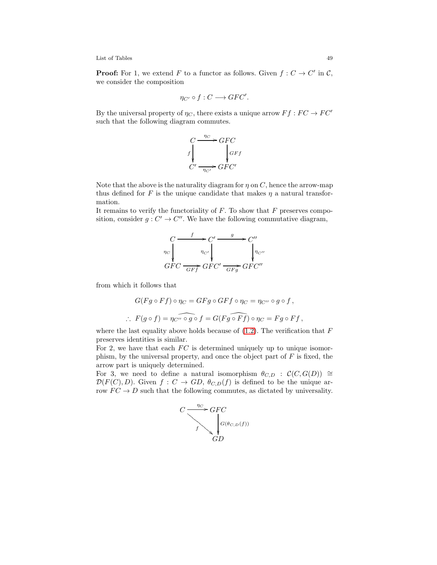**Proof:** For 1, we extend F to a functor as follows. Given  $f: C \to C'$  in C, we consider the composition

$$
\eta_{C'} \circ f: C \longrightarrow GFC'.
$$

By the universal property of  $\eta_C$ , there exists a unique arrow  $Ff : FC \to FC'$ such that the following diagram commutes.



Note that the above is the naturality diagram for  $\eta$  on C, hence the arrow-map thus defined for F is the unique candidate that makes  $\eta$  a natural transformation.

It remains to verify the functoriality of  $F$ . To show that  $F$  preserves composition, consider  $g: C' \to C''$ . We have the following commutative diagram,



from which it follows that

$$
G(Fg \circ Ff) \circ \eta_C = GFg \circ GFf \circ \eta_C = \eta_{C''} \circ g \circ f,
$$
  
 
$$
\therefore F(g \circ f) = \eta_{C''} \circ g \circ f = G(Fg \circ Ff) \circ \eta_C = Fg \circ Ff,
$$

where the last equality above holds because of  $(1.2)$ . The verification that F preserves identities is similar.

For 2, we have that each  $FC$  is determined uniquely up to unique isomorphism, by the universal property, and once the object part of  $F$  is fixed, the arrow part is uniquely determined.

For 3, we need to define a natural isomorphism  $\theta_{C,D} : \mathcal{C}(C, G(D)) \cong$  $\mathcal{D}(F(C), D)$ . Given  $f: C \to GD$ ,  $\theta_{C,D}(f)$  is defined to be the unique arrow  $FC \rightarrow D$  such that the following commutes, as dictated by universality.

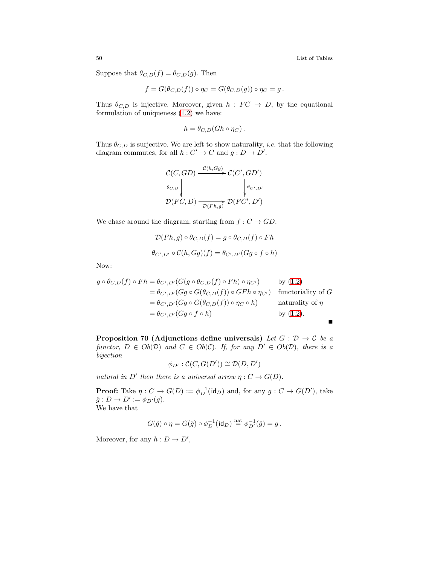Suppose that  $\theta_{C,D}(f) = \theta_{C,D}(g)$ . Then

$$
f = G(\theta_{C,D}(f)) \circ \eta_C = G(\theta_{C,D}(g)) \circ \eta_C = g.
$$

Thus  $\theta_{C,D}$  is injective. Moreover, given  $h : FC \rightarrow D$ , by the equational formulation of uniqueness [\(1.2\)](#page-45-0) we have:

$$
h = \theta_{C,D}(Gh \circ \eta_C).
$$

Thus  $\theta_{C,D}$  is surjective. We are left to show naturality, *i.e.* that the following diagram commutes, for all  $h: C' \to C$  and  $g: D \to D'$ .

$$
\mathcal{C}(C, GD) \xrightarrow{\mathcal{C}(h,Gg)} \mathcal{C}(C',GD')
$$
  
\n
$$
\theta_{C,D}
$$
  
\n
$$
\mathcal{D}(FC, D) \xrightarrow{\mathcal{D}(Fh,g)} \mathcal{D}(FC', D')
$$

We chase around the diagram, starting from  $f : C \to GD$ .

$$
\mathcal{D}(Fh,g) \circ \theta_{C,D}(f) = g \circ \theta_{C,D}(f) \circ Fh
$$

$$
\theta_{C',D'} \circ \mathcal{C}(h,Gg)(f) = \theta_{C',D'}(Gg \circ f \circ h)
$$

Now:

$$
g \circ \theta_{C,D}(f) \circ Fh = \theta_{C',D'}(G(g \circ \theta_{C,D}(f) \circ Fh) \circ \eta_{C'}) \qquad \text{by (1.2)}
$$
  
=  $\theta_{C',D'}(Gg \circ G(\theta_{C,D}(f)) \circ GFh \circ \eta_{C'})$  functoriality of  $G$   
=  $\theta_{C',D'}(Gg \circ G(\theta_{C,D}(f)) \circ \eta_C \circ h)$  naturality of  $\eta$   
=  $\theta_{C',D'}(Gg \circ f \circ h)$  by (1.2).

Proposition 70 (Adjunctions define universals) Let  $G: \mathcal{D} \to \mathcal{C}$  be a functor,  $D \in Ob(\mathcal{D})$  and  $C \in Ob(\mathcal{C})$ . If, for any  $D' \in Ob(\mathcal{D})$ , there is a bijection

$$
\phi_{D'} : \mathcal{C}(C, G(D')) \cong \mathcal{D}(D, D')
$$

natural in D' then there is a universal arrow  $\eta : C \to G(D)$ .

**Proof:** Take  $\eta: C \to G(D) := \phi_D^{-1}(\text{id}_D)$  and, for any  $g: C \to G(D')$ , take  $\hat{g}: D \to D' := \phi_{D'}(g).$ We have that

$$
G(\hat{g})\circ \eta = G(\hat{g})\circ \phi_D^{-1}(\mathop{\mathrm{id}}\nolimits_D) \stackrel{\text{nat}}{=} \phi_{D'}^{-1}(\hat{g}) = g \, .
$$

Moreover, for any  $h: D \to D'$ ,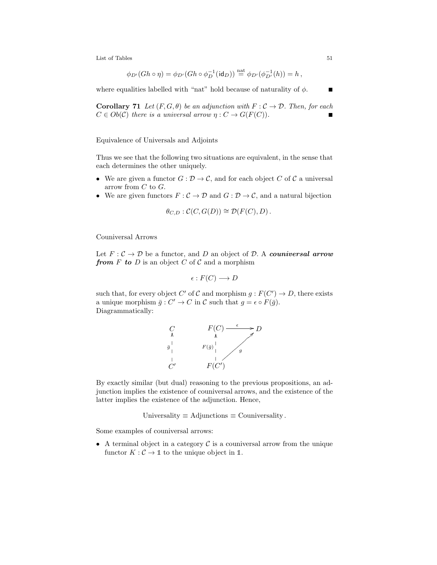$$
\phi_{D'}(Gh\circ\eta)=\phi_{D'}(Gh\circ\phi_D^{-1}(\mathop{\mathrm{id}}\nolimits_D))\stackrel{\mathrm{nat}}{=}\phi_{D'}(\phi_{D'}^{-1}(h))=h\,,
$$

where equalities labelled with "nat" hold because of naturality of  $\phi$ .

**Corollary 71** Let  $(F, G, \theta)$  be an adjunction with  $F : C \to \mathcal{D}$ . Then, for each  $C \in Ob(\mathcal{C})$  there is a universal arrow  $\eta : C \to G(F(C)).$ 

Equivalence of Universals and Adjoints

Thus we see that the following two situations are equivalent, in the sense that each determines the other uniquely.

- We are given a functor  $G: \mathcal{D} \to \mathcal{C}$ , and for each object C of C a universal arrow from C to G.
- We are given functors  $F: \mathcal{C} \to \mathcal{D}$  and  $G: \mathcal{D} \to \mathcal{C}$ , and a natural bijection

$$
\theta_{C,D} : \mathcal{C}(C, G(D)) \cong \mathcal{D}(F(C), D).
$$

Couniversal Arrows

Let  $F: \mathcal{C} \to \mathcal{D}$  be a functor, and D an object of D. A couniversal arrow from  $F$  to  $D$  is an object  $C$  of  $C$  and a morphism

$$
\epsilon: F(C) \longrightarrow D
$$

such that, for every object C' of C and morphism  $g : F(C') \to D$ , there exists a unique morphism  $\bar{g}: C' \to C$  in  $\mathcal C$  such that  $g = \epsilon \circ F(\bar{g})$ . Diagrammatically:



By exactly similar (but dual) reasoning to the previous propositions, an adjunction implies the existence of couniversal arrows, and the existence of the latter implies the existence of the adjunction. Hence,

Universality  $\equiv$  Adjunctions  $\equiv$  Couniversality.

Some examples of couniversal arrows:

• A terminal object in a category  $\mathcal C$  is a couniversal arrow from the unique functor  $K: \mathcal{C} \to \mathbb{1}$  to the unique object in  $\mathbb{1}$ .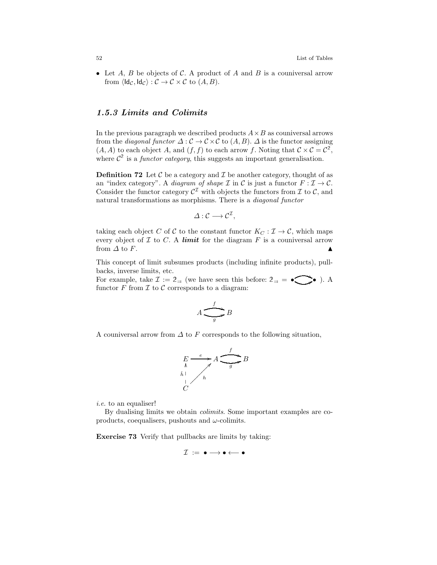• Let  $A, B$  be objects of C. A product of A and B is a couniversal arrow from  $\langle \mathsf{Id}_{\mathcal{C}}, \mathsf{Id}_{\mathcal{C}} \rangle : \mathcal{C} \to \mathcal{C} \times \mathcal{C}$  to  $(A, B)$ .

#### 1.5.3 Limits and Colimits

In the previous paragraph we described products  $A \times B$  as couniversal arrows from the *diagonal functor*  $\Delta : \mathcal{C} \to \mathcal{C} \times \mathcal{C}$  to  $(A, B)$ .  $\Delta$  is the functor assigning  $(A, A)$  to each object A, and  $(f, f)$  to each arrow f. Noting that  $\mathcal{C} \times \mathcal{C} = \mathcal{C}^2$ , where  $\mathcal{C}^2$  is a *functor category*, this suggests an important generalisation.

**Definition 72** Let C be a category and T be another category, thought of as an "index category". A *diagram of shape*  $\mathcal I$  in  $\mathcal C$  is just a functor  $F: \mathcal I \to \mathcal C$ . Consider the functor category  $\mathcal{C}^{\mathcal{I}}$  with objects the functors from  $\mathcal{I}$  to  $\mathcal{C}$ , and natural transformations as morphisms. There is a diagonal functor

$$
\Delta: \mathcal{C} \longrightarrow \mathcal{C}^{\mathcal{I}},
$$

taking each object C of C to the constant functor  $K_C : \mathcal{I} \to \mathcal{C}$ , which maps every object of  $\mathcal I$  to  $C$ . A *limit* for the diagram  $F$  is a couniversal arrow from  $\Delta$  to F.

This concept of limit subsumes products (including infinite products), pullbacks, inverse limits, etc.

For example, take  $\mathcal{I} := 2$ <sub> $\Rightarrow$ </sub> (we have seen this before:  $2 \Rightarrow \bullet \Rightarrow \bullet$ ). A functor  $F$  from  $\mathcal I$  to  $\mathcal C$  corresponds to a diagram:

$$
A \xrightarrow{f} B
$$

A couniversal arrow from  $\Delta$  to F corresponds to the following situation,



i.e. to an equaliser!

By dualising limits we obtain colimits. Some important examples are coproducts, coequalisers, pushouts and  $\omega$ -colimits.

Exercise 73 Verify that pullbacks are limits by taking:

$$
\mathcal{I}\,:=\,\bullet\longrightarrow\bullet\longleftarrow\bullet
$$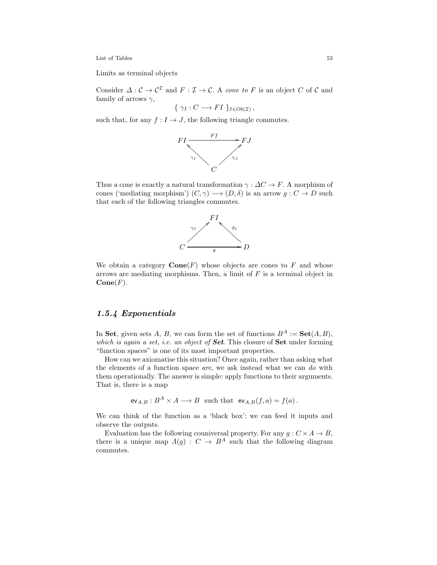Limits as terminal objects

Consider  $\Delta: \mathcal{C} \to \mathcal{C}^{\mathcal{I}}$  and  $F: \mathcal{I} \to \mathcal{C}$ . A cone to F is an object C of C and family of arrows  $\gamma$ ,

$$
\{ \gamma_I : C \longrightarrow FI \}_{I \in Ob(\mathcal{I})},
$$

such that, for any  $f: I \to J$ , the following triangle commutes.



Thus a cone is exactly a natural transformation  $\gamma : \Delta C \to F$ . A morphism of cones ('mediating morphism')  $(C, \gamma) \longrightarrow (D, \delta)$  is an arrow  $g : C \to D$  such that each of the following triangles commutes.



We obtain a category  $\mathbf{Cone}(F)$  whose objects are cones to F and whose arrows are mediating morphisms. Then, a limit of  $F$  is a terminal object in  $Cone(F).$ 

## 1.5.4 Exponentials

In Set, given sets A, B, we can form the set of functions  $B^A := \mathbf{Set}(A, B)$ , which is again a set, i.e. an object of **Set**. This closure of **Set** under forming "function spaces" is one of its most important properties.

How can we axiomatise this situation? Once again, rather than asking what the elements of a function space are, we ask instead what we can do with them operationally. The answer is simple: apply functions to their arguments. That is, there is a map

$$
\text{ev}_{A,B}: B^A \times A \longrightarrow B \text{ such that } \text{ev}_{A,B}(f,a) = f(a).
$$

We can think of the function as a 'black box': we can feed it inputs and observe the outputs.

Evaluation has the following couniversal property. For any  $g: C \times A \rightarrow B$ , there is a unique map  $\Lambda(g) : C \to B^A$  such that the following diagram commutes.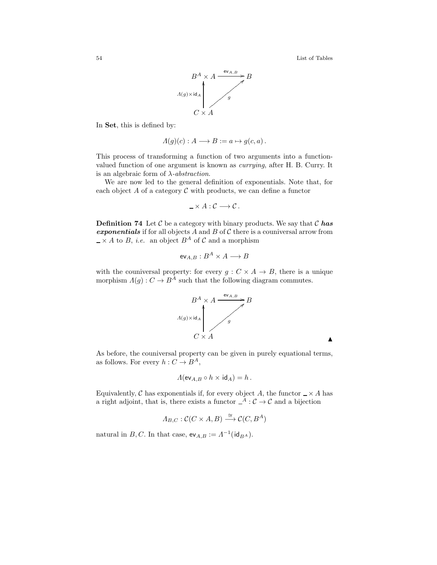

In Set, this is defined by:

$$
\Lambda(g)(c) : A \longrightarrow B := a \mapsto g(c, a) .
$$

This process of transforming a function of two arguments into a functionvalued function of one argument is known as currying, after H. B. Curry. It is an algebraic form of  $\lambda$ -abstraction.

We are now led to the general definition of exponentials. Note that, for each object  $A$  of a category  $C$  with products, we can define a functor

$$
\_\times A: \mathcal{C} \longrightarrow \mathcal{C}.
$$

<span id="page-53-0"></span>**Definition 74** Let  $\mathcal C$  be a category with binary products. We say that  $\mathcal C$  has exponentials if for all objects  $A$  and  $B$  of  $C$  there is a couniversal arrow from  $\Box \times A$  to B, *i.e.* an object  $B^A$  of C and a morphism

$$
\text{ev}_{A,B}:B^A\times A\longrightarrow B
$$

with the couniversal property: for every  $g: C \times A \rightarrow B$ , there is a unique morphism  $\Lambda(q): C \to B^A$  such that the following diagram commutes.



As before, the couniversal property can be given in purely equational terms, as follows. For every  $h: C \to B^A$ ,

$$
\Lambda(\mathrm{ev}_{A,B} \circ h \times \mathrm{id}_A) = h.
$$

Equivalently, C has exponentials if, for every object A, the functor  $\Box \times A$  has a right adjoint, that is, there exists a functor  $A : \mathcal{C} \to \mathcal{C}$  and a bijection

$$
\Lambda_{B,C} : \mathcal{C}(C \times A, B) \xrightarrow{\cong} \mathcal{C}(C, B^A)
$$

natural in B, C. In that case,  $ev_{A,B} := \Lambda^{-1}(\mathrm{id}_{B^A}).$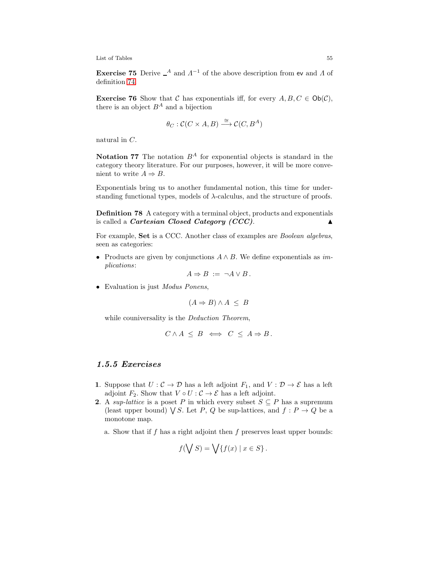**Exercise 75** Derive  $\Lambda$  and  $\Lambda$ <sup>-1</sup> of the above description from ev and  $\Lambda$  of definition [74.](#page-53-0)

**Exercise 76** Show that C has exponentials iff, for every  $A, B, C \in Ob(\mathcal{C})$ , there is an object  $B^A$  and a bijection

$$
\theta_C : \mathcal{C}(C \times A, B) \xrightarrow{\cong} \mathcal{C}(C, B^A)
$$

natural in C.

Notation 77 The notation  $B^A$  for exponential objects is standard in the category theory literature. For our purposes, however, it will be more convenient to write  $A \Rightarrow B$ .

Exponentials bring us to another fundamental notion, this time for understanding functional types, models of  $\lambda$ -calculus, and the structure of proofs.

Definition 78 A category with a terminal object, products and exponentials is called a *Cartesian Closed Category (CCC)*.

For example, Set is a CCC. Another class of examples are Boolean algebras, seen as categories:

• Products are given by conjunctions  $A \wedge B$ . We define exponentials as implications:

$$
A \Rightarrow B := \neg A \vee B.
$$

• Evaluation is just Modus Ponens,

 $(A \Rightarrow B) \land A \leq B$ 

while couniversality is the *Deduction Theorem*,

$$
C \wedge A \leq B \iff C \leq A \Rightarrow B.
$$

### 1.5.5 Exercises

- 1. Suppose that  $U: \mathcal{C} \to \mathcal{D}$  has a left adjoint  $F_1$ , and  $V: \mathcal{D} \to \mathcal{E}$  has a left adjoint  $F_2$ . Show that  $V \circ U : \mathcal{C} \to \mathcal{E}$  has a left adjoint.
- 2. A sup-lattice is a poset P in which every subset  $S \subseteq P$  has a supremum (least upper bound)  $\bigvee S$ . Let P, Q be sup-lattices, and  $f: P \to Q$  be a monotone map.
	- a. Show that if  $f$  has a right adjoint then  $f$  preserves least upper bounds:

$$
f(\bigvee S) = \bigvee \{ f(x) \mid x \in S \}.
$$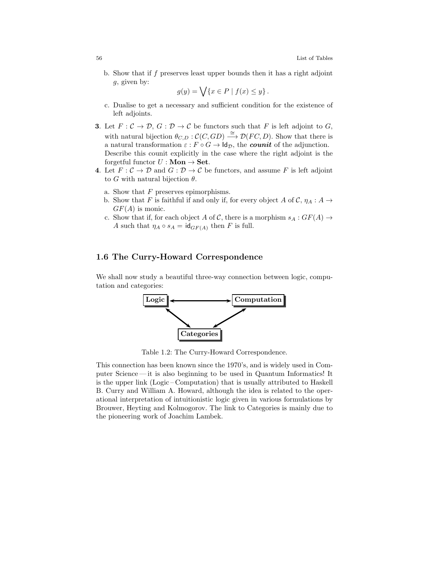b. Show that if f preserves least upper bounds then it has a right adjoint g, given by:

$$
g(y) = \bigvee \{x \in P \mid f(x) \le y\}.
$$

- c. Dualise to get a necessary and sufficient condition for the existence of left adjoints.
- **3.** Let  $F: \mathcal{C} \to \mathcal{D}, G: \mathcal{D} \to \mathcal{C}$  be functors such that F is left adjoint to G, with natural bijection  $\theta_{C,D} : \mathcal{C}(C, GD) \stackrel{\cong}{\longrightarrow} \mathcal{D}(FC, D)$ . Show that there is a natural transformation  $\varepsilon : F \circ G \to \mathsf{Id}_{\mathcal{D}}$ , the **counit** of the adjunction. Describe this counit explicitly in the case where the right adjoint is the forgetful functor  $U : \mathbf{Mon} \to \mathbf{Set}$ .
- 4. Let  $F: \mathcal{C} \to \mathcal{D}$  and  $G: \mathcal{D} \to \mathcal{C}$  be functors, and assume F is left adjoint to G with natural bijection  $\theta$ .
	- a. Show that  $F$  preserves epimorphisms.
	- b. Show that F is faithful if and only if, for every object A of  $\mathcal{C}, \eta_A : A \to$  $GF(A)$  is monic.
	- c. Show that if, for each object A of C, there is a morphism  $s_A : GF(A) \rightarrow$ A such that  $\eta_A \circ s_A = \text{id}_{GF(A)}$  then F is full.

# 1.6 The Curry-Howard Correspondence

We shall now study a beautiful three-way connection between logic, computation and categories:



Table 1.2: The Curry-Howard Correspondence.

This connection has been known since the 1970's, and is widely used in Computer Science — it is also beginning to be used in Quantum Informatics! It is the upper link (Logic – Computation) that is usually attributed to Haskell B. Curry and William A. Howard, although the idea is related to the operational interpretation of intuitionistic logic given in various formulations by Brouwer, Heyting and Kolmogorov. The link to Categories is mainly due to the pioneering work of Joachim Lambek.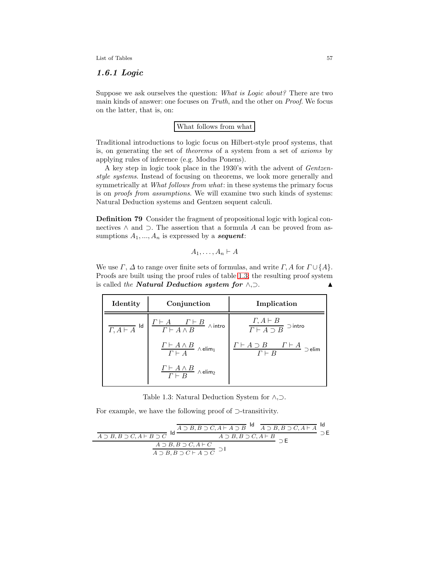### 1.6.1 Logic

Suppose we ask ourselves the question: What is Logic about? There are two main kinds of answer: one focuses on Truth, and the other on Proof. We focus on the latter, that is, on:

#### What follows from what

Traditional introductions to logic focus on Hilbert-style proof systems, that is, on generating the set of theorems of a system from a set of axioms by applying rules of inference (e.g. Modus Ponens).

A key step in logic took place in the 1930's with the advent of Gentzenstyle systems. Instead of focusing on theorems, we look more generally and symmetrically at What follows from what: in these systems the primary focus is on proofs from assumptions. We will examine two such kinds of systems: Natural Deduction systems and Gentzen sequent calculi.

Definition 79 Consider the fragment of propositional logic with logical connectives  $\wedge$  and  $\supset$ . The assertion that a formula A can be proved from assumptions  $A_1, ..., A_n$  is expressed by a **sequent**:

$$
A_1,\ldots,A_n\vdash A
$$

We use  $\Gamma$ ,  $\Delta$  to range over finite sets of formulas, and write  $\Gamma$ , A for  $\Gamma \cup \{A\}$ . Proofs are built using the proof rules of table [1.3;](#page-56-0) the resulting proof system is called the **Natural Deduction system for**  $\land$ ,  $\supset$ .

| Identity                           | Conjunction                                                                                       | Implication                                                                                         |
|------------------------------------|---------------------------------------------------------------------------------------------------|-----------------------------------------------------------------------------------------------------|
| $\overline{\Gamma, A \vdash A}$ ld | $\frac{\varGamma\vdash A\qquad \varGamma\vdash B}{\varGamma\vdash A\wedge B}\wedge\mathsf{intro}$ | $\frac{\Gamma,A\vdash B}{\Gamma\vdash A\supset B}$ $\supset$ intro                                  |
|                                    | $\frac{\varGamma\vdash A\wedge B}{\varGamma\vdash A}\wedge \mathsf{elim}_1$                       | $\frac{\varGamma\vdash A\supset B\qquad \varGamma\vdash A}{\varGamma\vdash B}\supset \mathsf{elim}$ |
|                                    | $\frac{\varGamma\vdash A\wedge B}{\varGamma\vdash B}\wedge \mathsf{elim_2}$                       |                                                                                                     |

<span id="page-56-0"></span>

|  |  | Table 1.3: Natural Deduction System for $\wedge$ , $\supset$ . |  |  |  |
|--|--|----------------------------------------------------------------|--|--|--|
|--|--|----------------------------------------------------------------|--|--|--|

For example, we have the following proof of ⊃-transitivity.

$$
\frac{\overline{A \supset B, B \supset C, A \vdash B \supset C}}{A \supset B, B \supset C, A \vdash B \supset C} \text{Id} \xrightarrow{\overline{A \supset B, B \supset C, A \vdash A \supset B}} \frac{\text{Id}}{A \supset B, B \supset C, A \vdash B} \xrightarrow{\text{Id}} \frac{\text{Id}}{A \supset B, B \vdash C, A \vdash B} \frac{\text{Id}}{A \supset B, B \vdash C, A \vdash C} \frac{\text{Id}}{A \supset B, B \vdash C} \frac{\text{Id}}{A \supset B} \frac{\text{Id}}{A \supset B} \frac{\text{Id}}{A \supset B} \frac{\text{Id}}{A \supset B} \frac{\text{Id}}{A \supset B} \frac{\text{Id}}{A \supset B} \frac{\text{Id}}{A \supset B} \frac{\text{Id}}{A \supset B} \frac{\text{Id}}{A \supset B} \frac{\text{Id}}{A} \frac{\text{Id}}{A} \frac{\text{Id}}{A} \frac{\text{Id}}{A} \frac{\text{Id}}{A} \frac{\text{Id}}{A} \frac{\text{Id}}{A} \frac{\text{Id}}{A} \frac{\text{Id}}{A} \frac{\text{Id}}{A} \frac{\text{Id}}{A} \frac{\text{Id}}{A} \frac{\text{Id}}{A} \frac{\text{Id}}{A} \frac{\text{Id}}{A} \frac{\text{Id}}{A} \frac{\text{Id}}{A} \frac{\text{Id}}{A} \frac{\text{Id}}{A} \frac{\text{Id}}{A} \frac{\text{Id}}{A} \frac{\text{Id}}{A} \frac{\text{Id}}{A} \frac{\text{Id}}{A} \frac{\text{Id}}{A} \frac{\text{Id}}{A} \frac{\text{Id}}{A} \frac{\text{Id}}{A} \frac{\text{Id}}{A} \frac{\text{Id}}{A} \frac{\text{Id}}{A} \frac{\text{Id}}{A} \frac{\text{Id}}{A} \frac{\text{Id}}{A} \frac{\text{Id}}{A} \frac{\text{Id}}{A} \frac{\text{Id}}{A} \frac{\text{Id}}{A} \frac{\text{Id}}{A} \frac{\text{Id}}{A} \frac{\text{Id}}{A} \frac{\text{Id}}{A} \frac{\text{Id}}{A} \frac{\text{Id}}{A} \frac{\
$$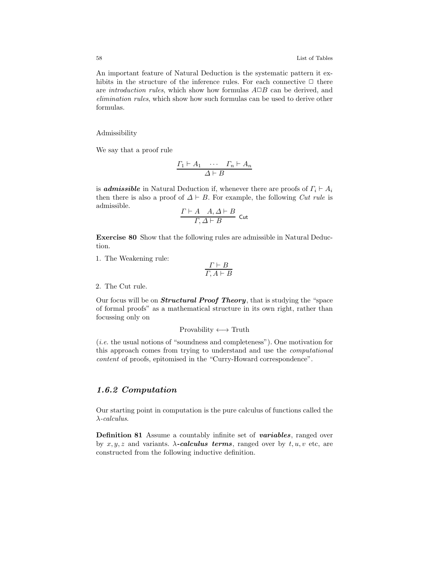An important feature of Natural Deduction is the systematic pattern it exhibits in the structure of the inference rules. For each connective  $\Box$  there are *introduction rules*, which show how formulas  $A \Box B$  can be derived, and elimination rules, which show how such formulas can be used to derive other formulas.

#### Admissibility

We say that a proof rule

$$
\frac{\Gamma_1 \vdash A_1 \quad \cdots \quad \Gamma_n \vdash A_n}{\Delta \vdash B}
$$

is **admissible** in Natural Deduction if, whenever there are proofs of  $\Gamma_i \vdash A_i$ then there is also a proof of  $\Delta \vdash B$ . For example, the following *Cut rule* is admissible.

$$
\frac{\Gamma \vdash A \quad A, \Delta \vdash B}{\Gamma, \Delta \vdash B} \text{ Cut}
$$

Exercise 80 Show that the following rules are admissible in Natural Deduction.

1. The Weakening rule:

$$
\frac{\Gamma \vdash B}{\Gamma, A \vdash B}
$$

2. The Cut rule.

Our focus will be on **Structural Proof Theory**, that is studying the "space" of formal proofs" as a mathematical structure in its own right, rather than focussing only on

$$
Provability \longleftrightarrow Truth
$$

(i.e. the usual notions of "soundness and completeness"). One motivation for this approach comes from trying to understand and use the computational content of proofs, epitomised in the "Curry-Howard correspondence".

#### 1.6.2 Computation

Our starting point in computation is the pure calculus of functions called the λ-calculus.

Definition 81 Assume a countably infinite set of *variables*, ranged over by  $x, y, z$  and variants.  $\lambda$ -calculus terms, ranged over by  $t, u, v$  etc, are constructed from the following inductive definition.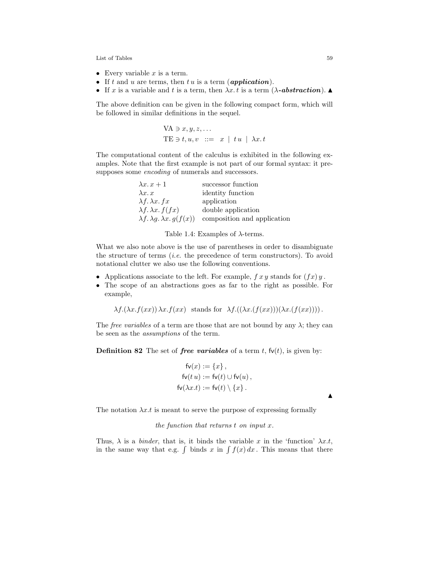- Every variable  $x$  is a term.
- If t and u are terms, then  $t u$  is a term (*application*).
- If x is a variable and t is a term, then  $\lambda x. t$  is a term  $(\lambda$ -abstraction).

The above definition can be given in the following compact form, which will be followed in similar definitions in the sequel.

$$
VA \ni x, y, z, ...
$$
  
TE  $\ni t, u, v ::= x \mid tu \mid \lambda x. t$ 

The computational content of the calculus is exhibited in the following examples. Note that the first example is not part of our formal syntax: it presupposes some encoding of numerals and successors.

| $\lambda x \cdot x + 1$                    | successor function          |
|--------------------------------------------|-----------------------------|
| $\lambda x. x$                             | identity function           |
| $\lambda f. \lambda x. fx$                 | application                 |
| $\lambda f. \lambda x. f(fx)$              | double application          |
| $\lambda f. \lambda g. \lambda x. g(f(x))$ | composition and application |

Table 1.4: Examples of  $\lambda$ -terms.

What we also note above is the use of parentheses in order to disambiguate the structure of terms  $(i.e.$  the precedence of term constructors). To avoid notational clutter we also use the following conventions.

- Applications associate to the left. For example,  $f xy$  stands for  $(fx)y$ .
- The scope of an abstractions goes as far to the right as possible. For example,

 $\lambda f.(\lambda x.f(xx)) \lambda x.f(xx)$  stands for  $\lambda f.((\lambda x.(f(xx)))(\lambda x.(f(xx))))$ .

The *free variables* of a term are those that are not bound by any  $\lambda$ ; they can be seen as the assumptions of the term.

**Definition 82** The set of *free variables* of a term t,  $f\nu(t)$ , is given by:

$$
\begin{aligned} \mathsf{fv}(x) &:= \{x\} \,, \\ \mathsf{fv}(t\,u) &:= \mathsf{fv}(t) \cup \mathsf{fv}(u) \,, \\ \mathsf{fv}(\lambda x.t) &:= \mathsf{fv}(t) \setminus \{x\} \,. \end{aligned}
$$

 $\blacktriangle$ 

The notation  $\lambda x.t$  is meant to serve the purpose of expressing formally

the function that returns  $t$  on input  $x$ .

Thus,  $\lambda$  is a *binder*, that is, it binds the variable x in the 'function'  $\lambda x.t$ , in the same way that e.g.  $\int$  binds x in  $\int f(x) dx$ . This means that there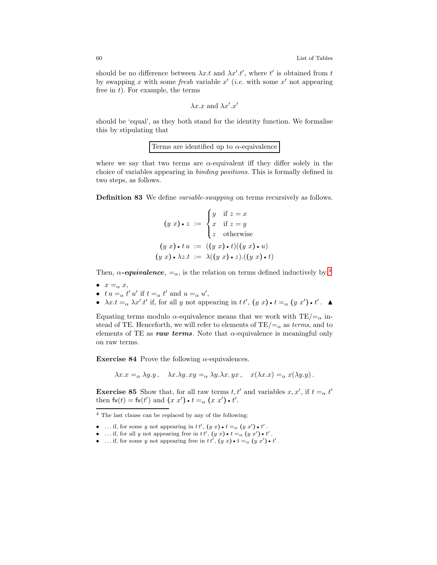should be no difference between  $\lambda x.t$  and  $\lambda x' . t'$ , where t' is obtained from t by swapping x with some fresh variable  $x'$  (*i.e.* with some  $x'$  not appearing free in  $t$ ). For example, the terms

$$
\lambda x.x
$$
 and  $\lambda x'.x'$ 

should be 'equal', as they both stand for the identity function. We formalise this by stipulating that

#### Terms are identified up to  $\alpha$ -equivalence

where we say that two terms are  $\alpha$ -equivalent iff they differ solely in the choice of variables appearing in binding positions. This is formally defined in two steps, as follows.

Definition 83 We define variable-swapping on terms recursively as follows.

$$
(y \ x) \cdot z := \begin{cases} y & \text{if } z = x \\ x & \text{if } z = y \\ z & \text{otherwise} \end{cases}
$$

$$
(y \ x) \cdot tu := ((y \ x) \cdot t)((y \ x) \cdot u)
$$

$$
(y \ x) \cdot \lambda z \cdot t := \lambda((y \ x) \cdot z).((y \ x) \cdot t)
$$

Then,  $\alpha$ -equivalence,  $=_{\alpha}$ , is the relation on terms defined inductively by:<sup>[4](#page-59-0)</sup>

- $x =_{\alpha} x$ ,
- $tu =_{\alpha} t' u'$  if  $t =_{\alpha} t'$  and  $u =_{\alpha} u'$ ,
- $\lambda x.t =_{\alpha} \lambda x'.t'$  if, for all y not appearing in t t',  $(yx) \cdot t =_{\alpha} (yx') \cdot t'$ .

Equating terms modulo  $\alpha$ -equivalence means that we work with TE/= $_{\alpha}$  instead of TE. Henceforth, we will refer to elements of  $TE/=\alpha$  as terms, and to elements of TE as raw terms. Note that  $\alpha$ -equivalence is meaningful only on raw terms.

**Exercise 84** Prove the following  $\alpha$ -equivalences.

$$
\lambda x . x =_{\alpha} \lambda y . y , \quad \lambda x . \lambda y . x y =_{\alpha} \lambda y . \lambda x . y x , \quad x(\lambda x . x) =_{\alpha} x(\lambda y . y) .
$$

**Exercise 85** Show that, for all raw terms  $t, t'$  and variables  $x, x'$ , if  $t =_{\alpha} t'$ then  $f\nu(t) = f\nu(t')$  and  $(x x') \cdot t =_{\alpha} (x x') \cdot t'.$ 

- <span id="page-59-0"></span>• ... if, for some y not appearing in  $tt'$ ,  $(yx) \cdot t =_{\alpha} (yx') \cdot t'$ .
- ... if, for all y not appearing free in  $tt'$ ,  $(yx) \cdot t = \alpha (y'x') \cdot t'$ .
- ... if, for some y not appearing free in  $tt'$ ,  $(yx) \cdot t = \alpha (y'x') \cdot t'$ .

<sup>4</sup> The last clause can be replaced by any of the following: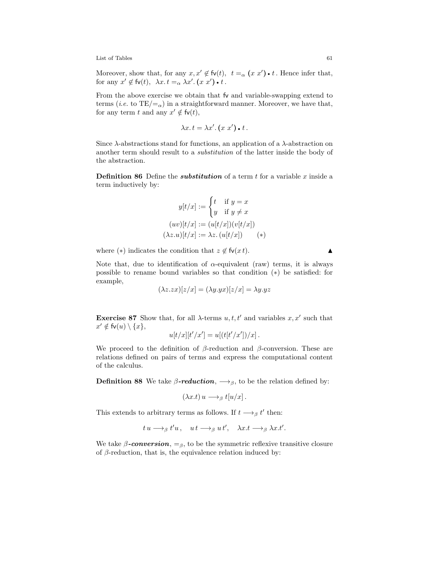Moreover, show that, for any  $x, x' \notin f(v(t)), t = \alpha (x x') \cdot t$ . Hence infer that, for any  $x' \notin \mathsf{fv}(t)$ ,  $\lambda x. t =_{\alpha} \lambda x'. (x x') \cdot t$ .

From the above exercise we obtain that fv and variable-swapping extend to terms (*i.e.* to TE/ $=\alpha$ ) in a straightforward manner. Moreover, we have that, for any term t and any  $x' \notin f(v(t))$ ,

$$
\lambda x. t = \lambda x'. (x x') \cdot t.
$$

Since  $\lambda$ -abstractions stand for functions, an application of a  $\lambda$ -abstraction on another term should result to a substitution of the latter inside the body of the abstraction.

**Definition 86** Define the *substitution* of a term  $t$  for a variable  $x$  inside a term inductively by:

$$
y[t/x] := \begin{cases} t & \text{if } y = x \\ y & \text{if } y \neq x \end{cases}
$$

$$
(uv)[t/x] := (u[t/x])(v[t/x])
$$

$$
(\lambda z.u)[t/x] := \lambda z.(u[t/x]) \quad (*)
$$

where (\*) indicates the condition that  $z \notin \mathsf{fv}(x t)$ .

Note that, due to identification of  $\alpha$ -equivalent (raw) terms, it is always possible to rename bound variables so that condition (∗) be satisfied: for example,

$$
(\lambda z.zx)[z/x] = (\lambda y.yx)[z/x] = \lambda y.yz
$$

<span id="page-60-0"></span>Exercise 87 Show that, for all  $\lambda$ -terms  $u, t, t'$  and variables  $x, x'$  such that  $x' \notin \mathsf{fv}(u) \setminus \{x\},\$ 

$$
u[t/x][t'/x'] = u[(t[t'/x'])/x].
$$

We proceed to the definition of  $\beta$ -reduction and  $\beta$ -conversion. These are relations defined on pairs of terms and express the computational content of the calculus.

**Definition 88** We take  $\beta$ -reduction,  $\rightarrow$ <sub> $\beta$ </sub>, to be the relation defined by:

$$
(\lambda x.t) u \longrightarrow_{\beta} t[u/x].
$$

This extends to arbitrary terms as follows. If  $t \rightarrow_{\beta} t'$  then:

$$
t u \longrightarrow_{\beta} t' u, \quad u t \longrightarrow_{\beta} u t', \quad \lambda x.t \longrightarrow_{\beta} \lambda x.t'.
$$

We take  $\beta$ -conversion,  $=\beta$ , to be the symmetric reflexive transitive closure of  $\beta$ -reduction, that is, the equivalence relation induced by: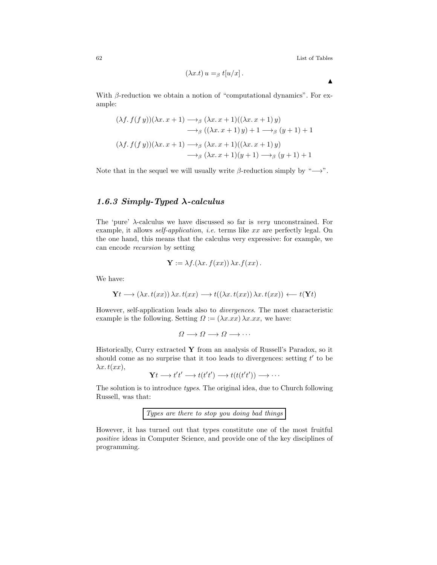$$
(\lambda x.t) u =_{\beta} t[u/x].
$$

With  $\beta$ -reduction we obtain a notion of "computational dynamics". For example:

$$
(\lambda f. f(f y))(\lambda x. x + 1) \longrightarrow_{\beta} (\lambda x. x + 1)((\lambda x. x + 1) y)
$$
  
\n
$$
\longrightarrow_{\beta} ((\lambda x. x + 1) y) + 1 \longrightarrow_{\beta} (y + 1) + 1
$$
  
\n
$$
(\lambda f. f(f y))(\lambda x. x + 1) \longrightarrow_{\beta} (\lambda x. x + 1)((\lambda x. x + 1) y)
$$
  
\n
$$
\longrightarrow_{\beta} (\lambda x. x + 1)(y + 1) \longrightarrow_{\beta} (y + 1) + 1
$$

Note that in the sequel we will usually write  $\beta$ -reduction simply by " $\longrightarrow$ ".

# 1.6.3 Simply-Typed λ-calculus

The 'pure'  $\lambda$ -calculus we have discussed so far is *very* unconstrained. For example, it allows *self-application*, *i.e.* terms like xx are perfectly legal. On the one hand, this means that the calculus very expressive: for example, we can encode recursion by setting

$$
\mathbf{Y} := \lambda f.(\lambda x. f(xx)) \lambda x. f(xx).
$$

We have:

$$
\mathbf{Y}t \longrightarrow (\lambda x. t(xx)) \lambda x. t(xx) \longrightarrow t((\lambda x. t(xx)) \lambda x. t(xx)) \longleftarrow t(\mathbf{Y}t)
$$

However, self-application leads also to divergences. The most characteristic example is the following. Setting  $\Omega := (\lambda x . x x) \lambda x . x x$ , we have:

$$
\Omega \longrightarrow \Omega \longrightarrow \Omega \longrightarrow \cdots
$$

Historically, Curry extracted  $\bf{Y}$  from an analysis of Russell's Paradox, so it should come as no surprise that it too leads to divergences: setting  $t'$  to be  $\lambda x. t(xx),$ 

$$
\mathbf{Y}t \longrightarrow t't' \longrightarrow t(t't') \longrightarrow t(t(t't')) \longrightarrow \cdots
$$

The solution is to introduce types. The original idea, due to Church following Russell, was that:

Types are there to stop you doing bad things

However, it has turned out that types constitute one of the most fruitful positive ideas in Computer Science, and provide one of the key disciplines of programming.

N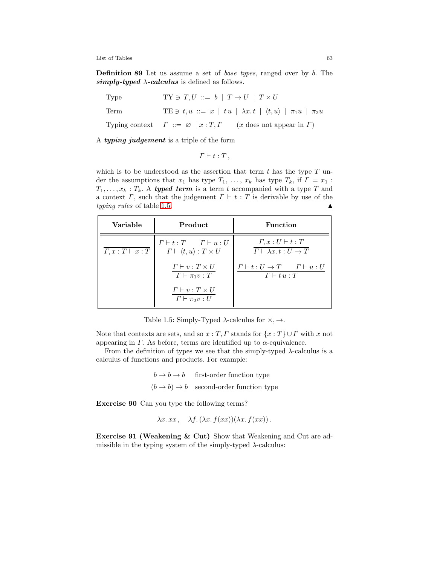Definition 89 Let us assume a set of base types, ranged over by b. The simply-typed  $\lambda$ -calculus is defined as follows.

| Type | $TY \ni T, U ::= b   T \rightarrow U   T \times U$ |                                                                                              |
|------|----------------------------------------------------|----------------------------------------------------------------------------------------------|
| Term |                                                    | TE $\ni$ t, u ::= x   t u   $\lambda x. t$   $\langle t, u \rangle$   $\pi_1 u$   $\pi_2 u$  |
|      |                                                    | Typing context $\Gamma ::= \emptyset   x : T, \Gamma \text{ (x does not appear in } \Gamma)$ |

A typing judgement is a triple of the form

$$
\Gamma \vdash t : T \,,
$$

which is to be understood as the assertion that term  $t$  has the type  $T$  under the assumptions that  $x_1$  has type  $T_1, \ldots, x_k$  has type  $T_k$ , if  $\Gamma = x_1$ :  $T_1, \ldots, x_k : T_k$ . A typed term is a term t accompanied with a type T and a context  $\Gamma$ , such that the judgement  $\Gamma \vdash t : T$  is derivable by use of the typing rules of table [1.5.](#page-62-0)  $\blacksquare$ 

| Variable                     | Product                                                                                               | <b>Function</b>                                                              |
|------------------------------|-------------------------------------------------------------------------------------------------------|------------------------------------------------------------------------------|
| $\Gamma, x : T \vdash x : T$ | $\Gamma \vdash t : T \qquad \Gamma \vdash u : U$<br>$\Gamma \vdash \langle t, u \rangle : T \times U$ | $\Gamma, x: U \vdash t : T$<br>$\Gamma \vdash \lambda x. t : U \to T$        |
|                              | $\Gamma \vdash v : T \times U$<br>$\Gamma \vdash \pi_1 v : T$                                         | $\Gamma \vdash t : U \to T$ $\Gamma \vdash u : U$<br>$\Gamma \vdash t u : T$ |
|                              | $\Gamma\vdash v:T\times U$<br>$\Gamma \vdash \pi_2 v : U$                                             |                                                                              |

<span id="page-62-0"></span>Table 1.5: Simply-Typed  $\lambda$ -calculus for  $\times, \rightarrow$ .

Note that contexts are sets, and so  $x : T, T$  stands for  $\{x : T\} \cup T$  with x not appearing in  $\Gamma$ . As before, terms are identified up to  $\alpha$ -equivalence.

From the definition of types we see that the simply-typed  $\lambda$ -calculus is a calculus of functions and products. For example:

> $b \to b \to b$  first-order function type  $(b \to b) \to b$  second-order function type

Exercise 90 Can you type the following terms?

$$
\lambda x. xx
$$
,  $\lambda f.(\lambda x. f(xx))(\lambda x. f(xx))$ .

Exercise 91 (Weakening & Cut) Show that Weakening and Cut are admissible in the typing system of the simply-typed  $\lambda$ -calculus: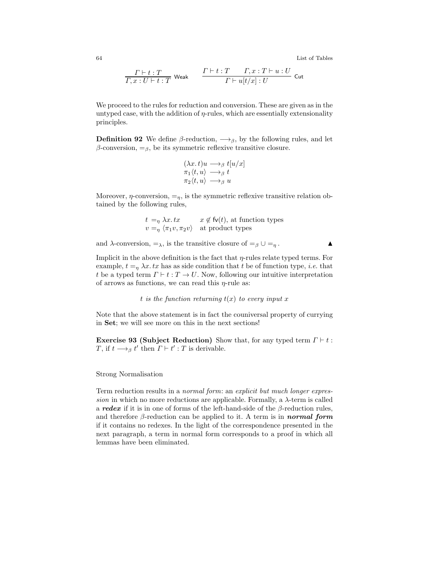$$
\frac{\varGamma\vdash t:T}{\varGamma,x:U\vdash t:T}\text{ Weak}\qquad\frac{\varGamma\vdash t:T\qquad \varGamma,x:T\vdash u:U}{\varGamma\vdash u[t/x]:U}\text{ Cut}
$$

We proceed to the rules for reduction and conversion. These are given as in the untyped case, with the addition of  $\eta$ -rules, which are essentially extensionality principles.

**Definition 92** We define  $\beta$ -reduction,  $\rightarrow$ <sub> $\beta$ </sub>, by the following rules, and let  $β$ -conversion,  $=β$ , be its symmetric reflexive transitive closure.

$$
(\lambda x. t)u \longrightarrow_{\beta} t[u/x]
$$
  
\n
$$
\pi_1 \langle t, u \rangle \longrightarrow_{\beta} t
$$
  
\n
$$
\pi_2 \langle t, u \rangle \longrightarrow_{\beta} u
$$

Moreover,  $\eta$ -conversion,  $=_{\eta}$ , is the symmetric reflexive transitive relation obtained by the following rules,

$$
\begin{array}{ll} t \, =_\eta \, \lambda x.\,tx & x \not\in \mathsf{fv}(t), \text{ at function types} \\ v \, =_\eta \, \langle \pi_1 v, \pi_2 v \rangle & \text{ at product types} \end{array}
$$

and  $\lambda$ -conversion,  $=_{\lambda}$ , is the transitive closure of  $=_{\beta} \cup =_{n}$ .

Implicit in the above definition is the fact that  $\eta$ -rules relate typed terms. For example,  $t = \eta \lambda x$ . tx has as side condition that t be of function type, *i.e.* that t be a typed term  $\Gamma \vdash t : T \to U$ . Now, following our intuitive interpretation of arrows as functions, we can read this  $\eta$ -rule as:

t is the function returning  $t(x)$  to every input x

Note that the above statement is in fact the couniversal property of currying in Set; we will see more on this in the next sections!

**Exercise 93 (Subject Reduction)** Show that, for any typed term  $\Gamma \vdash t$ : T, if  $t \longrightarrow_{\beta} t'$  then  $\Gamma \vdash t' : T$  is derivable.

Strong Normalisation

Term reduction results in a normal form: an explicit but much longer expression in which no more reductions are applicable. Formally, a  $\lambda$ -term is called a **redex** if it is in one of forms of the left-hand-side of the  $\beta$ -reduction rules, and therefore  $\beta$ -reduction can be applied to it. A term is in normal form if it contains no redexes. In the light of the correspondence presented in the next paragraph, a term in normal form corresponds to a proof in which all lemmas have been eliminated.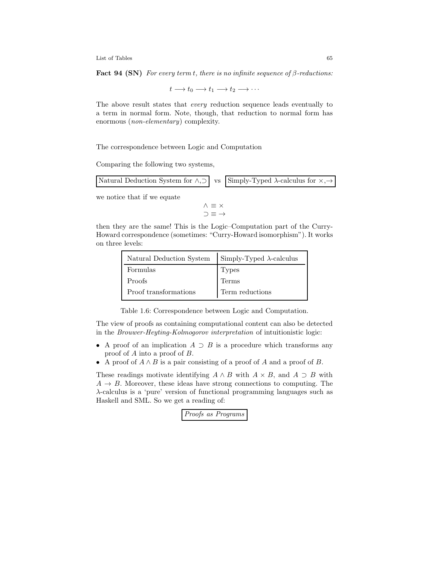Fact 94 (SN) For every term t, there is no infinite sequence of  $\beta$ -reductions:

$$
t \longrightarrow t_0 \longrightarrow t_1 \longrightarrow t_2 \longrightarrow \cdots
$$

The above result states that every reduction sequence leads eventually to a term in normal form. Note, though, that reduction to normal form has enormous (non-elementary) complexity.

The correspondence between Logic and Computation

Comparing the following two systems,

Natural Deduction System for  $\wedge$ ,  $\supset$  vs Simply-Typed  $\lambda$ -calculus for  $\times$ ,  $\rightarrow$ 

we notice that if we equate

 $\wedge \equiv \times$ ⊃ ≡ →

then they are the same! This is the Logic–Computation part of the Curry-Howard correspondence (sometimes: "Curry-Howard isomorphism"). It works on three levels:

| Natural Deduction System | Simply-Typed $\lambda\text{-calculus}$ |
|--------------------------|----------------------------------------|
| Formulas                 | <b>Types</b>                           |
| Proofs                   | Terms                                  |
| Proof transformations    | Term reductions                        |

Table 1.6: Correspondence between Logic and Computation.

The view of proofs as containing computational content can also be detected in the Brouwer-Heyting-Kolmogorov interpretation of intuitionistic logic:

- A proof of an implication  $A \supset B$  is a procedure which transforms any proof of A into a proof of B.
- A proof of  $A \wedge B$  is a pair consisting of a proof of A and a proof of B.

These readings motivate identifying  $A \wedge B$  with  $A \times B$ , and  $A \supset B$  with  $A \rightarrow B$ . Moreover, these ideas have strong connections to computing. The λ-calculus is a 'pure' version of functional programming languages such as Haskell and SML. So we get a reading of:

Proofs as Programs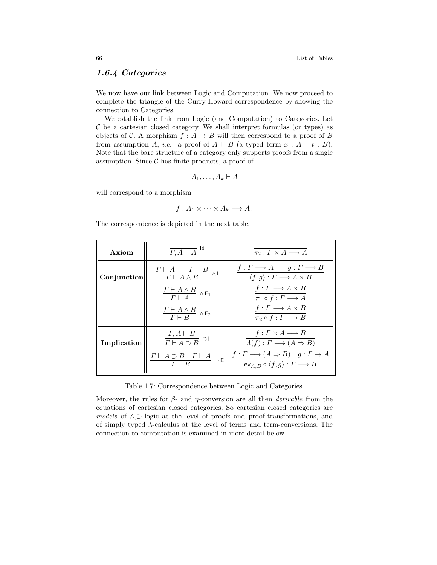#### 1.6.4 Categories

We now have our link between Logic and Computation. We now proceed to complete the triangle of the Curry-Howard correspondence by showing the connection to Categories.

We establish the link from Logic (and Computation) to Categories. Let  $\mathcal C$  be a cartesian closed category. We shall interpret formulas (or types) as objects of C. A morphism  $f : A \to B$  will then correspond to a proof of B from assumption A, *i.e.* a proof of  $A \vdash B$  (a typed term  $x : A \vdash t : B$ ). Note that the bare structure of a category only supports proofs from a single assumption. Since  $\mathcal C$  has finite products, a proof of

$$
A_1,\ldots,A_k\vdash A
$$

will correspond to a morphism

$$
f: A_1 \times \cdots \times A_k \longrightarrow A.
$$

The correspondence is depicted in the next table.

| Axiom       | $\overline{\Gamma, A \vdash A}$ Id                                                    | $\pi_2: \Gamma \times A \longrightarrow A$                                                                                                                                |
|-------------|---------------------------------------------------------------------------------------|---------------------------------------------------------------------------------------------------------------------------------------------------------------------------|
| Conjunction | $\frac{\Gamma\vdash A\qquad \Gamma\vdash B}{\Gamma\vdash A\land B}\land\mathsf{I}$    | $f: \Gamma \longrightarrow A$ $g: \Gamma \longrightarrow B$<br>$\langle f,g \rangle : \Gamma \longrightarrow A \times B$                                                  |
|             | $\frac{\Gamma\vdash A\land B}{\Gamma\vdash A}\land\mathsf{E}_1$                       | $f: \Gamma \longrightarrow A \times B$<br>$\pi_1 \circ f : \Gamma \longrightarrow A$                                                                                      |
|             | $\frac{\Gamma\vdash A\land B}{\Gamma\vdash B}\land\mathsf{E}_2$                       | $f: \Gamma \longrightarrow A \times B$<br>$\pi_2 \circ f : \Gamma \longrightarrow B$                                                                                      |
| Implication | $\Gamma, A \vdash B$<br>$\frac{1}{\Gamma\vdash A\supset B} \supset \mathsf{I}$        | $f: \Gamma \times A \longrightarrow B$<br>$\Lambda(f): \Gamma \longrightarrow (A \Rightarrow B)$                                                                          |
|             | $\frac{\Gamma\vdash A\supset B\quad \Gamma\vdash A}{\Gamma\vdash B}\supset\mathsf{E}$ | $f: \Gamma \longrightarrow (A \Rightarrow B)$ $g: \Gamma \longrightarrow A$<br>$\operatorname{\sf ev}_{A,B}\circ\langle f,g\rangle:\overline{\varGamma\longrightarrow B}$ |

Table 1.7: Correspondence between Logic and Categories.

Moreover, the rules for  $\beta$ - and  $\eta$ -conversion are all then *derivable* from the equations of cartesian closed categories. So cartesian closed categories are models of ∧,⊃-logic at the level of proofs and proof-transformations, and of simply typed  $\lambda$ -calculus at the level of terms and term-conversions. The connection to computation is examined in more detail below.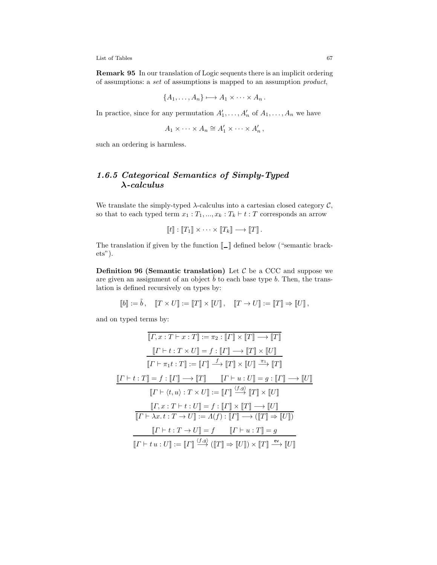Remark 95 In our translation of Logic sequents there is an implicit ordering of assumptions: a set of assumptions is mapped to an assumption product,

$$
\{A_1,\ldots,A_n\}\longmapsto A_1\times\cdots\times A_n.
$$

In practice, since for any permutation  $A'_1, \ldots, A'_n$  of  $A_1, \ldots, A_n$  we have

$$
A_1 \times \cdots \times A_n \cong A'_1 \times \cdots \times A'_n,
$$

such an ordering is harmless.

# 1.6.5 Categorical Semantics of Simply-Typed λ-calculus

We translate the simply-typed  $\lambda$ -calculus into a cartesian closed category  $\mathcal{C},$ so that to each typed term  $x_1 : T_1, ..., x_k : T_k \vdash t : T$  corresponds an arrow

$$
\llbracket t \rrbracket : \llbracket T_1 \rrbracket \times \cdots \times \llbracket T_k \rrbracket \longrightarrow \llbracket T \rrbracket.
$$

<span id="page-66-0"></span>The translation if given by the function  $\llbracket \_ \rrbracket$  defined below ("semantic brackets").

**Definition 96 (Semantic translation)** Let  $\mathcal{C}$  be a CCC and suppose we are given an assignment of an object  $\tilde{b}$  to each base type b. Then, the translation is defined recursively on types by:

$$
\llbracket b \rrbracket := \tilde{b}, \quad \llbracket T \times U \rrbracket := \llbracket T \rrbracket \times \llbracket U \rrbracket \,, \quad \llbracket T \to U \rrbracket := \llbracket T \rrbracket \Rightarrow \llbracket U \rrbracket \,,
$$

and on typed terms by:

$$
\boxed{[\![\boldsymbol{\varGamma},\boldsymbol{x}:\boldsymbol{T}\vdash\boldsymbol{x}:\boldsymbol{T}]\!]:=\pi_{2}:\llbracket\boldsymbol{\varGamma}\rrbracket\times\llbracket\boldsymbol{T}\rrbracket\longrightarrow\llbracket\boldsymbol{T}\rrbracket}\\\boxed{[\![\boldsymbol{\varGamma}\vdash\boldsymbol{t}:\boldsymbol{T}\times\boldsymbol{U}]\!]=f:\llbracket\boldsymbol{\varGamma}\rrbracket\rightarrow\llbracket\boldsymbol{T}\rrbracket\times\llbracket\boldsymbol{U}\rrbracket}\\\boxed{[\![\boldsymbol{\varGamma}\vdash\boldsymbol{\pi}_{1}\boldsymbol{t}:\boldsymbol{T}]\!]:=\llbracket\boldsymbol{\varGamma}\rrbracket\stackrel{f}{\longrightarrow}\llbracket\boldsymbol{T}\rrbracket\times\llbracket\boldsymbol{U}\rrbracket\stackrel{\pi_{1}}{\longrightarrow}\llbracket\boldsymbol{T}\rrbracket}\\\boxed{[\![\boldsymbol{\varGamma}\vdash\boldsymbol{t}:\boldsymbol{T}]\!]=f:\llbracket\boldsymbol{\varGamma}\rrbracket\longrightarrow\llbracket\boldsymbol{T}\rrbracket\qquad\llbracket\boldsymbol{T}\vdash u:\boldsymbol{U}\rrbracket=g:\llbracket\boldsymbol{\varGamma}\rrbracket\longrightarrow\llbracket\boldsymbol{U}\rrbracket}\\\boxed{[\![\boldsymbol{\varGamma}\vdash\langle\boldsymbol{t},\boldsymbol{u}\rangle:\boldsymbol{T}\times\boldsymbol{U}]\!]:=\llbracket\boldsymbol{T}\rrbracket]\stackrel{\langle f,g\rangle}{\longrightarrow}\llbracket\boldsymbol{T}\rrbracket\rightarrow\llbracket\boldsymbol{U}\rrbracket}\\\boxed{[\![\boldsymbol{\varGamma}\vdash\lambda\boldsymbol{x}:\boldsymbol{t}:\boldsymbol{T}\rightarrow\boldsymbol{U}]\!]:=\boldsymbol{A}(\boldsymbol{f}):\llbracket\boldsymbol{T}\rrbracket\longrightarrow\llbracket\boldsymbol{T}\rrbracket\rightarrow\llbracket\boldsymbol{U}\rrbracket)}\\\boxed{[\![\boldsymbol{\varGamma}\vdash\boldsymbol{t}:\boldsymbol{T}\rightarrow\boldsymbol{U}]\!]=\boldsymbol{A}(\boldsymbol{f}):\llbracket\boldsymbol{T}\rrbracket\rightarrow\llbracket\boldsymbol{T}\rrbracket=g\\\boxed{[\![\boldsymbol{\varGamma}\vdash\boldsymbol{t}:\boldsymbol{T}\rightarrow\boldsymbol{U}]\!]=\boldsymbol{f}\quad[\![\boldsymbol{\varGamma}\vdash u:\boldsymbol{T}\rrbracket=g\\\boxed{[\![\boldsymbol{\varGamma}\vdash\boldsymbol{t}:\boldsymbol{U}]\!]:=\llbracket\boldsymbol{T}\rrbracket\stackrel{\langle f
$$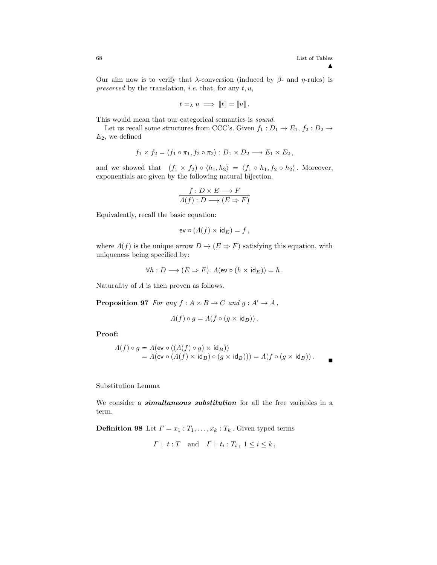Our aim now is to verify that  $\lambda$ -conversion (induced by β- and η-rules) is preserved by the translation, *i.e.* that, for any  $t, u$ ,

$$
t =_{\lambda} u \implies \llbracket t \rrbracket = \llbracket u \rrbracket.
$$

This would mean that our categorical semantics is sound.

Let us recall some structures from CCC's. Given  $f_1 : D_1 \to E_1$ ,  $f_2 : D_2 \to$  $E_2$ , we defined

$$
f_1 \times f_2 = \langle f_1 \circ \pi_1, f_2 \circ \pi_2 \rangle : D_1 \times D_2 \longrightarrow E_1 \times E_2,
$$

and we showed that  $(f_1 \times f_2) \circ \langle h_1, h_2 \rangle = \langle f_1 \circ h_1, f_2 \circ h_2 \rangle$ . Moreover, exponentials are given by the following natural bijection.

$$
\frac{f: D \times E \longrightarrow F}{\Lambda(f): D \longrightarrow (E \Rightarrow F)}
$$

Equivalently, recall the basic equation:

$$
\text{ev} \circ (A(f) \times \text{id}_E) = f,
$$

where  $\Lambda(f)$  is the unique arrow  $D \to (E \Rightarrow F)$  satisfying this equation, with uniqueness being specified by:

$$
\forall h: D \longrightarrow (E \Rightarrow F). \ A(\text{ev} \circ (h \times \text{id}_E)) = h.
$$

<span id="page-67-0"></span>Naturality of  $\Lambda$  is then proven as follows.

**Proposition 97** For any  $f : A \times B \to C$  and  $g : A' \to A$ ,

$$
\Lambda(f) \circ g = \Lambda(f \circ (g \times \mathsf{id}_B)).
$$

Proof:

$$
\Lambda(f) \circ g = \Lambda(\text{ev} \circ ((\Lambda(f) \circ g) \times \text{id}_B))
$$
  
=  $\Lambda(\text{ev} \circ (\Lambda(f) \times \text{id}_B) \circ (g \times \text{id}_B))) = \Lambda(f \circ (g \times \text{id}_B)).$ 

Substitution Lemma

We consider a *simultaneous substitution* for all the free variables in a term.

**Definition 98** Let  $\Gamma = x_1 : T_1, \ldots, x_k : T_k$ . Given typed terms

$$
\Gamma \vdash t : T
$$
 and  $\Gamma \vdash t_i : T_i$ ,  $1 \leq i \leq k$ ,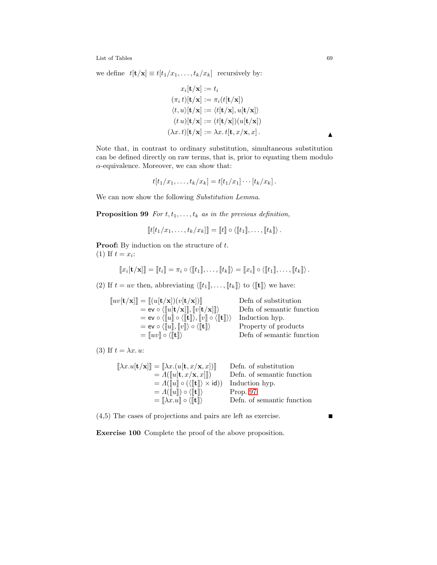we define  $t[\mathbf{t}/\mathbf{x}] \equiv t[t_1/x_1, \ldots, t_k/x_k]$  recursively by:

$$
x_i[\mathbf{t}/\mathbf{x}] := t_i
$$
  
\n
$$
(\pi_i t)[\mathbf{t}/\mathbf{x}] := \pi_i(t[\mathbf{t}/\mathbf{x}])
$$
  
\n
$$
\langle t, u \rangle [\mathbf{t}/\mathbf{x}] := \langle t[\mathbf{t}/\mathbf{x}], u[\mathbf{t}/\mathbf{x}] \rangle
$$
  
\n
$$
(t u)[\mathbf{t}/\mathbf{x}] := (t[\mathbf{t}/\mathbf{x}])(u[\mathbf{t}/\mathbf{x}])
$$
  
\n
$$
(\lambda x. t)[\mathbf{t}/\mathbf{x}] := \lambda x. t[\mathbf{t}, x/\mathbf{x}, x].
$$

Note that, in contrast to ordinary substitution, simultaneous substitution can be defined directly on raw terms, that is, prior to equating them modulo  $\alpha$ -equivalence. Moreover, we can show that:

$$
t[t_1/x_1,\ldots,t_k/x_k]=t[t_1/x_1]\cdots[t_k/x_k].
$$

We can now show the following Substitution Lemma.

**Proposition 99** For  $t, t_1, \ldots, t_k$  as in the previous definition,

 $[[t[t_1/x_1, \ldots, t_k/x_k]]] = [[t]] \circ \langle [[t_1]], \ldots, [[t_k]] \rangle$ .

**Proof:** By induction on the structure of t. (1) If  $t = x_i$ :

$$
[\![x_i[\mathbf{t}/\mathbf{x}]\!]]=[\![t_i]\!] = \pi_i \circ \langle [\![t_1]\!], \ldots, [\![t_k]\!] \rangle = [\![x_i]\!] \circ \langle [\![t_1]\!], \ldots, [\![t_k]\!] \rangle.
$$

(2) If  $t = uv$  then, abbreviating  $\langle [t_1], \ldots, [t_k] \rangle$  to  $\langle [t]] \rangle$  we have:

$$
\begin{array}{ll}\n\llbracket uv[\mathbf{t}/\mathbf{x}]\rrbracket = \llbracket (u[\mathbf{t}/\mathbf{x}])(v[\mathbf{t}/\mathbf{x}]]],\n\llbracket v[\mathbf{t}/\mathbf{x}]\rrbracket, \llbracket v[\mathbf{t}/\mathbf{x}]\rrbracket, \end{array}\n\quad \text{Define of substitution}\n\begin{array}{ll}\n\quad & \text{Define of semantic function} \\
\quad = \mathbf{e} \mathbf{v} \circ \langle [\![u]\!] \circ \langle [\![\mathbf{t}]\!] \rangle, [\![v]\!] \circ \langle [\![\mathbf{t}]\!] \rangle \rangle & \text{Induction hyp.} \\
\quad = \mathbf{e} \mathbf{v} \circ \langle [\![u]\!], [\![v]\!] \rangle \circ \langle [\![\mathbf{t}]\!] \rangle & \text{Property of products} \\
\quad = [\![uv]\!] \circ \langle [\![\mathbf{t}]\!] \rangle & \text{Define of semantic function}\n\end{array}
$$

(3) If  $t = \lambda x. u$ :

$$
\llbracket \lambda x. u[\mathbf{t}/\mathbf{x}]\rrbracket = \llbracket \lambda x. (u[\mathbf{t}, x/\mathbf{x}, x])\rrbracket \qquad \text{Define. of substitution} \n= A(\llbracket u[\mathbf{t}, x/\mathbf{x}, x]\rrbracket) \qquad \text{Define. of semantic function} \n= A(\llbracket u \rrbracket \circ (\llbracket \mathbf{t} \rrbracket) \times \mathsf{id}) \qquad \text{Induction hyp.} \n= A(\llbracket u \rrbracket) \circ (\llbracket \mathbf{t} \rrbracket) \qquad \text{Prop. 97} \n= \llbracket \lambda x. u \rrbracket \circ (\llbracket \mathbf{t} \rrbracket) \qquad \text{Defn. of semantic function}
$$

(4,5) The cases of projections and pairs are left as exercise.

Exercise 100 Complete the proof of the above proposition.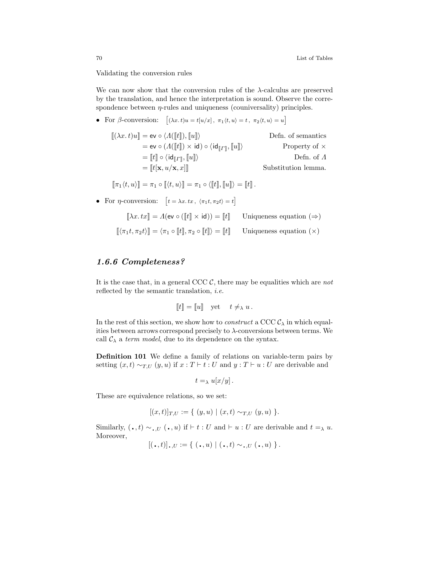Validating the conversion rules

We can now show that the conversion rules of the  $\lambda$ -calculus are preserved by the translation, and hence the interpretation is sound. Observe the correspondence between  $\eta$ -rules and uniqueness (couniversality) principles.

• For  $\beta$ -conversion:  $[(\lambda x. t)u = t[u/x], \pi_1 \langle t, u \rangle = t, \pi_2 \langle t, u \rangle = u]$ 

| $[(\lambda x. t)u] = \mathsf{ev} \circ \langle \Lambda([\![t]\!]), [\![u]\!] \rangle$                                      | Defn. of semantics   |
|----------------------------------------------------------------------------------------------------------------------------|----------------------|
| $=$ ev $\circ$ $(A([\![t]\!]) \times id) \circ \langle id_{\llbracket \Gamma \rrbracket}, \llbracket u \rrbracket \rangle$ | Property of $\times$ |
| $=\llbracket t \rrbracket \circ \langle \mathsf{id}_{\llbracket \varGamma \rrbracket}, \llbracket u \rrbracket \rangle.$   | Defn. of $\Lambda$   |
| $= \llbracket t[\mathbf{x}, u/\mathbf{x}, x] \rrbracket$                                                                   | Substitution lemma.  |

$$
[\![\pi_1 \langle t, u \rangle]\!] = \pi_1 \circ [\![(t, u)]\!] = \pi_1 \circ \langle [\![t]\!], [\![u]\!] \rangle = [\![t]\!].
$$

- For  $\eta$ -conversion:  $\left[t = \lambda x. tx, \langle \pi_1 t, \pi_2 t \rangle = t\right]$ 
	- $[\lambda x. tx] = \Lambda(\text{ev} \circ (\llbracket t \rrbracket \times \text{id})) = \llbracket t \rrbracket$  Uniqueness equation  $(\Rightarrow)$
	- $[\langle \pi_1t, \pi_2t \rangle] = \langle \pi_1 \circ [t], \pi_2 \circ [t] \rangle = [t]$  Uniqueness equation  $(\times)$

# 1.6.6 Completeness?

It is the case that, in a general CCC  $\mathcal{C}$ , there may be equalities which are not reflected by the semantic translation, i.e.

$$
\llbracket t \rrbracket = \llbracket u \rrbracket \quad \text{yet} \quad t \neq_\lambda u.
$$

In the rest of this section, we show how to *construct* a CCC  $C_{\lambda}$  in which equalities between arrows correspond precisely to  $\lambda$ -conversions between terms. We call  $C_{\lambda}$  a *term model*, due to its dependence on the syntax.

<span id="page-69-0"></span>Definition 101 We define a family of relations on variable-term pairs by setting  $(x, t) \sim_{T,U} (y, u)$  if  $x : T \vdash t : U$  and  $y : T \vdash u : U$  are derivable and

$$
t =_{\lambda} u[x/y].
$$

These are equivalence relations, so we set:

$$
[(x,t)]_{T,U} := \{ (y,u) \mid (x,t) \sim_{T,U} (y,u) \}.
$$

Similarly,  $( \cdot, t) \sim u$ ,  $U(\cdot, u)$  if  $\vdash t : U$  and  $\vdash u : U$  are derivable and  $t =_\lambda u$ . Moreover,

$$
[(\,\centerdot\,,t)]_{\,\centerdot\,,U} := \{\ (\centerdot\,,u) \mid (\centerdot\,,t) \sim \centerdot\,,U (\centerdot\,,u) \ \}.
$$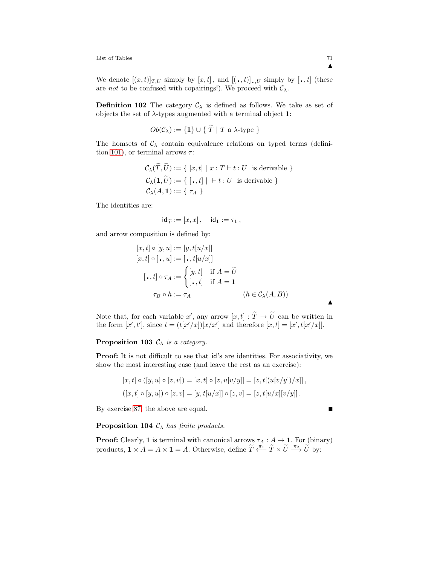We denote  $[(x, t)]_{T,U}$  simply by  $[x, t]$ , and  $[(\cdot, t)]_{I,U}$  simply by  $[\cdot, t]$  (these are not to be confused with copairings!). We proceed with  $C_{\lambda}$ .

**Definition 102** The category  $C_{\lambda}$  is defined as follows. We take as set of objects the set of  $\lambda$ -types augmented with a terminal object 1:

$$
Ob(\mathcal{C}_{\lambda}) := \{1\} \cup \{ \overline{T} \mid T \text{ a } \lambda \text{-type } \}
$$

The homsets of  $\mathcal{C}_{\lambda}$  contain equivalence relations on typed terms (defini-tion [101\)](#page-69-0), or terminal arrows  $\tau$ :

$$
\mathcal{C}_{\lambda}(\widetilde{T}, \widetilde{U}) := \{ [x, t] \mid x : T \vdash t : U \text{ is derivable } \}
$$
  

$$
\mathcal{C}_{\lambda}(\mathbf{1}, \widetilde{U}) := \{ [ \cdot, t] \mid \vdash t : U \text{ is derivable } \}
$$
  

$$
\mathcal{C}_{\lambda}(A, \mathbf{1}) := \{ \tau_A \}
$$

The identities are:

$$
\mathrm{id}_{\widetilde{T}}:=[x,x]\,,\quad\mathrm{id}_\mathbf{1}:=\tau_\mathbf{1}\,,
$$

and arrow composition is defined by:

$$
[x,t] \circ [y,u] := [y,t[u/x]]
$$
  
\n
$$
[x,t] \circ [\cdot, u] := [\cdot, t[u/x]]
$$
  
\n
$$
[\cdot, t] \circ \tau_A := \begin{cases} [y,t] & \text{if } A = \widetilde{U} \\ [\cdot, t] & \text{if } A = 1 \end{cases}
$$
  
\n
$$
\tau_B \circ h := \tau_A \qquad (h \in \mathcal{C}_{\lambda}(A, B))
$$

Note that, for each variable x', any arrow  $[x,t] : \tilde{T} \to \tilde{U}$  can be written in the form  $[x', t']$ , since  $t = (t[x'/x])[x/x']$  and therefore  $[x, t] = [x', t[x'/x]]$ .

#### **Proposition 103**  $C_{\lambda}$  is a category.

Proof: It is not difficult to see that id's are identities. For associativity, we show the most interesting case (and leave the rest as an exercise):

$$
[x, t] \circ ([y, u] \circ [z, v]) = [x, t] \circ [z, u[v/y]] = [z, t[(u[v/y])/x]],
$$
  

$$
([x, t] \circ [y, u]) \circ [z, v] = [y, t[u/x]] \circ [z, v] = [z, t[u/x][v/y]].
$$

By exercise [87,](#page-60-0) the above are equal.

**Proposition 104**  $C_{\lambda}$  has finite products.

**Proof:** Clearly, 1 is terminal with canonical arrows  $\tau_A : A \to \mathbf{1}$ . For (binary) products,  $\mathbf{1} \times A = A \times \mathbf{1} = A$ . Otherwise, define  $\widetilde{T} \stackrel{\pi_1}{\longleftarrow} \widetilde{T} \times \widetilde{U} \stackrel{\pi_2}{\longrightarrow} \widetilde{U}$  by:

 $\blacktriangle$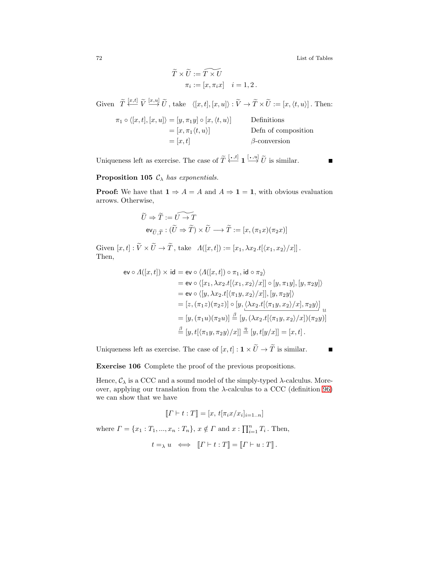$$
\widetilde{T} \times \widetilde{U} := \widetilde{T \times U}
$$

$$
\pi_i := [x, \pi_i x] \quad i = 1, 2.
$$

Given  $\widetilde{T} \stackrel{[x,t]}{\longleftrightarrow} \widetilde{V} \stackrel{[x,u]}{\longrightarrow} \widetilde{U}$ , take  $\langle [x,t],[x,u] \rangle : \widetilde{V} \to \widetilde{T} \times \widetilde{U} := [x,\langle t,u \rangle]$ . Then:

$$
\pi_1 \circ \langle [x, t], [x, u] \rangle = [y, \pi_1 y] \circ [x, \langle t, u \rangle]
$$
 Definitions  
\n
$$
= [x, \pi_1 \langle t, u \rangle]
$$
Definition  
\n
$$
= [x, t]
$$
Definition  
\n
$$
\beta
$$
-conversion

Uniqueness left as exercise. The case of  $\widetilde{T} \stackrel{[ \cdot , t]}{\longleftarrow} \mathbf{1} \stackrel{[ \cdot , u]}{\longrightarrow} \widetilde{U}$  is similar.

**Proposition 105**  $C_{\lambda}$  has exponentials.

**Proof:** We have that  $1 \Rightarrow A = A$  and  $A \Rightarrow 1 = 1$ , with obvious evaluation arrows. Otherwise,

$$
\widetilde{U} \Rightarrow \widetilde{T} := \widetilde{U \to T}
$$
  
\n
$$
\text{ev}_{\widetilde{U}, \widetilde{T}} : (\widetilde{U} \Rightarrow \widetilde{T}) \times \widetilde{U} \longrightarrow \widetilde{T} := [x, (\pi_1 x)(\pi_2 x)]
$$

Given  $[x, t] : \widetilde{V} \times \widetilde{U} \to \widetilde{T}$ , take  $\Lambda([x, t]) := [x_1, \lambda x_2.t \{ \langle x_1, x_2 \rangle / x \}]$ . Then,

$$
\begin{aligned}\n\text{ev} \circ A([x,t]) \times \text{id} &= \text{ev} \circ \langle A([x,t]) \circ \pi_1, \text{id} \circ \pi_2 \rangle \\
&= \text{ev} \circ \langle [x_1, \lambda x_2.t[\langle x_1, x_2 \rangle / x]] \circ [y, \pi_1 y], [y, \pi_2 y] \rangle \\
&= \text{ev} \circ \langle [y, \lambda x_2.t[\langle \pi_1 y, x_2 \rangle / x]], [y, \pi_2 y] \rangle \\
&= [z, (\pi_1 z)(\pi_2 z)] \circ [y, \langle \lambda x_2.t[\langle \pi_1 y, x_2 \rangle / x], \pi_2 y] \rangle \\
&= [y, (\pi_1 u)(\pi_2 u)] \stackrel{\beta}{=} [y, (\lambda x_2.t[\langle \pi_1 y, x_2 \rangle / x])(\pi_2 y)] \\
&= [y, t[\langle \pi_1 y, \pi_2 y \rangle / x]] \stackrel{\eta}{=} [y, t[y/x]] = [x, t]\n\end{aligned}
$$

Uniqueness left as exercise. The case of  $[x, t] : \mathbf{1} \times \widetilde{U} \to \widetilde{T}$  is similar.

Exercise 106 Complete the proof of the previous propositions.

Hence,  $C_{\lambda}$  is a CCC and a sound model of the simply-typed  $\lambda$ -calculus. Moreover, applying our translation from the  $\lambda$ -calculus to a CCC (definition [96\)](#page-66-0) we can show that we have

$$
[[\Gamma \vdash t : T]] = [x, t[\pi_i x / x_i]_{i=1..n}]
$$

where  $\Gamma = \{x_1 : T_1, ..., x_n : T_n\}$ ,  $x \notin \Gamma$  and  $x : \prod_{i=1}^n T_i$ . Then,

$$
t =_{\lambda} u \iff [ [ \Gamma \vdash t : T ] ] = [ [ \Gamma \vdash u : T ] ] .
$$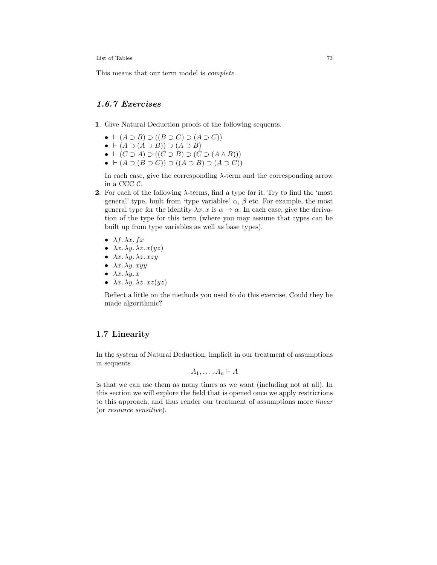This means that our term model is complete.

# 1.6.7 Exercises

- 1. Give Natural Deduction proofs of the following sequents.
	- $\bullet \vdash (A \supset B) \supset ((B \supset C) \supset (A \supset C))$
	- $\bullet \vdash (A \supset (A \supset B)) \supset (A \supset B)$
	- $\bullet + (C \supset A) \supset ((C \supset B) \supset (C \supset (A \wedge B)))$
	- $\bullet \vdash (A \supset (B \supset C)) \supset ((A \supset B) \supset (A \supset C))$

In each case, give the corresponding  $\lambda$ -term and the corresponding arrow in a CCC C.

- 2. For each of the following  $\lambda$ -terms, find a type for it. Try to find the 'most general' type, built from 'type variables'  $\alpha$ ,  $\beta$  etc. For example, the most general type for the identity  $\lambda x. x$  is  $\alpha \to \alpha$ . In each case, give the derivation of the type for this term (where you may assume that types can be built up from type variables as well as base types).
	- $\lambda f. \lambda x. fx$
	- $\lambda x. \lambda y. \lambda z. x(yz)$
	- $\lambda x. \lambda y. \lambda z. xzy$
	- $\lambda x. \lambda y. xyy$
	- $\lambda x. \lambda y. x$
	- $\lambda x. \lambda y. \lambda z. xz(yz)$

Reflect a little on the methods you used to do this exercise. Could they be made algorithmic?

# 1.7 Linearity

In the system of Natural Deduction, implicit in our treatment of assumptions in sequents

$$
A_1,\ldots,A_n\vdash A
$$

is that we can use them as many times as we want (including not at all). In this section we will explore the field that is opened once we apply restrictions to this approach, and thus render our treatment of assumptions more linear (or resource sensitive).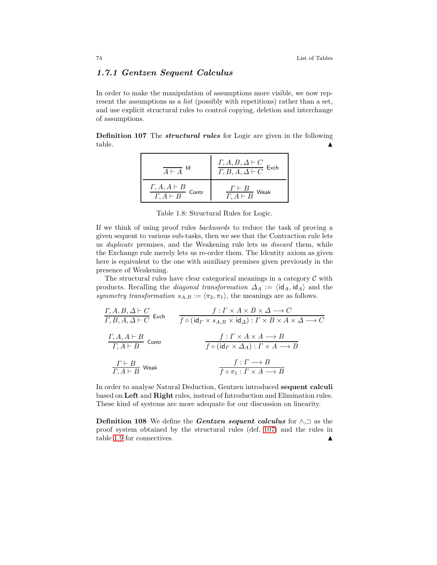## 1.7.1 Gentzen Sequent Calculus

In order to make the manipulation of assumptions more visible, we now represent the assumptions as a *list* (possibly with repetitions) rather than a set, and use explicit structural rules to control copying, deletion and interchange of assumptions.

<span id="page-73-0"></span>Definition 107 The *structural rules* for Logic are given in the following table.  $\qquad \qquad \blacktriangle$ 

| $A \vdash A$ <sup>Id</sup>                                  | $\frac{\Gamma, A, B, \Delta \vdash C}{\Gamma, B, A, \Delta \vdash C}$ Exch |
|-------------------------------------------------------------|----------------------------------------------------------------------------|
| $\frac{\Gamma, A, A \vdash B}{\Gamma, A \vdash B}$<br>Contr | $\frac{\Gamma \vdash B}{\Gamma \cdot A \vdash B}$ Weak                     |

Table 1.8: Structural Rules for Logic.

If we think of using proof rules backwards to reduce the task of proving a given sequent to various sub-tasks, then we see that the Contraction rule lets us duplicate premises, and the Weakening rule lets us discard them, while the Exchange rule merely lets us re-order them. The Identity axiom as given here is equivalent to the one with auxiliary premises given previously in the presence of Weakening.

The structural rules have clear categorical meanings in a category  $\mathcal C$  with products. Recalling the *diagonal transformation*  $\Delta_A := \langle id_A, id_A \rangle$  and the symmetry transformation  $s_{A,B} := \langle \pi_2, \pi_1 \rangle$ , the meanings are as follows.

$$
\begin{array}{ccc}\n\Gamma, A, B, \Delta \vdash C & f : \Gamma \times A \times B \times \Delta \longrightarrow C \\
\overline{\Gamma}, B, A, \Delta \vdash C & \text{Exch} & f \circ (\mathop{\mathsf{id}}\nolimits_{\Gamma} \times s_{A,B} \times \mathop{\mathsf{id}}\nolimits_{\Delta}) : \Gamma \times B \times A \times \Delta \longrightarrow C \\
\frac{\Gamma, A, A \vdash B}{\Gamma, A \vdash B} & \text{Contr} & f : \Gamma \times A \times A \longrightarrow B \\
\frac{\Gamma \vdash B}{\Gamma, A \vdash B} & \text{Weak} & f : \Gamma \longrightarrow B \\
\frac{f : \Gamma \longrightarrow B}{f \circ \pi_1 : \Gamma \times A \longrightarrow B}\n\end{array}
$$

In order to analyse Natural Deduction, Gentzen introduced sequent calculi based on Left and Right rules, instead of Introduction and Elimination rules. These kind of systems are more adequate for our discussion on linearity.

Definition 108 We define the Gentzen sequent calculus for  $\wedge$ ,  $\supset$  as the proof system obtained by the structural rules (def. [107\)](#page-73-0) and the rules in table [1.9](#page-74-0) for connectives.  $\blacktriangle$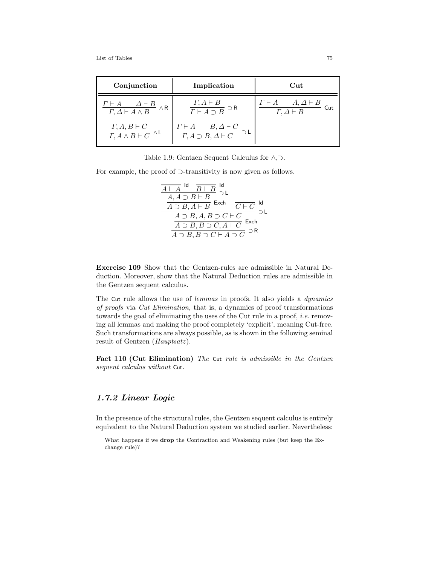| Conjunction                                                                               | Implication                                                                                      | $\mathrm{Cut}$                                                                  |
|-------------------------------------------------------------------------------------------|--------------------------------------------------------------------------------------------------|---------------------------------------------------------------------------------|
| $\frac{\Gamma \vdash A \quad \Delta \vdash B}{\Gamma, \Delta \vdash A \wedge B} \wedge R$ | $\frac{\Gamma, A \vdash B}{\Gamma \vdash A \supset B} \supset R$                                 | $\Gamma \vdash A \qquad A, \Delta \vdash B$<br>Cut<br>$\Gamma, \Delta \vdash B$ |
| $\frac{\Gamma, A, B \vdash C}{\Gamma, A \land B \vdash C} \land L$                        | $\frac{\Gamma\vdash A\quad B,\Delta\vdash C}{\Gamma,A\supset B,\Delta\vdash C}\supset\mathsf{L}$ |                                                                                 |

Table 1.9: Gentzen Sequent Calculus for ∧,⊃.

For example, the proof of ⊃-transitivity is now given as follows.

<span id="page-74-0"></span>

| ld<br>$B \vdash B$<br>$A \vdash A$                                      |  |
|-------------------------------------------------------------------------|--|
| $A, A \supset B \vdash B$                                               |  |
| $\overline{A \supset B, A \vdash B}$ Exch<br>$\overline{C \vdash C}$ ld |  |
| $A \supset B, A, B \supset C \vdash \overline{C}$<br>Exch               |  |
| $A \supset B, B \supset C, A \vdash C$<br>$\supset$ R                   |  |
| $A \supset B, B \supset C \vdash A \supset C$                           |  |

Exercise 109 Show that the Gentzen-rules are admissible in Natural Deduction. Moreover, show that the Natural Deduction rules are admissible in the Gentzen sequent calculus.

The Cut rule allows the use of *lemmas* in proofs. It also yields a *dynamics* of proofs via Cut Elimination, that is, a dynamics of proof transformations towards the goal of eliminating the uses of the Cut rule in a proof, *i.e.* removing all lemmas and making the proof completely 'explicit', meaning Cut-free. Such transformations are always possible, as is shown in the following seminal result of Gentzen (Hauptsatz).

Fact 110 (Cut Elimination) The Cut rule is admissible in the Gentzen sequent calculus without Cut.

# 1.7.2 Linear Logic

In the presence of the structural rules, the Gentzen sequent calculus is entirely equivalent to the Natural Deduction system we studied earlier. Nevertheless:

What happens if we drop the Contraction and Weakening rules (but keep the Exchange rule)?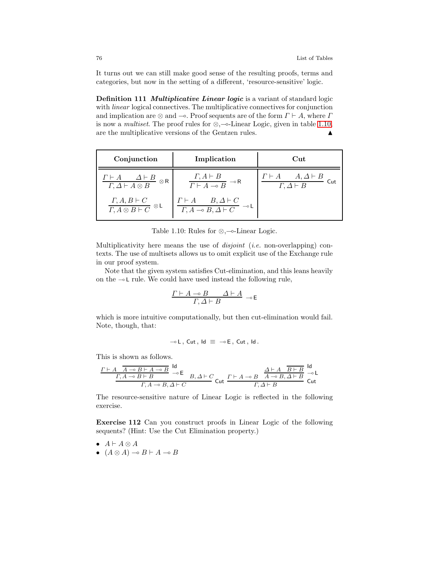Id

It turns out we can still make good sense of the resulting proofs, terms and categories, but now in the setting of a different, 'resource-sensitive' logic.

Definition 111 *Multiplicative Linear logic* is a variant of standard logic with *linear* logical connectives. The multiplicative connectives for conjunction and implication are  $\otimes$  and  $\multimap$ . Proof sequents are of the form  $\Gamma \vdash A$ , where  $\Gamma$ is now a multiset. The proof rules for ⊗,⊸-Linear Logic, given in table [1.10,](#page-75-0) are the multiplicative versions of the Gentzen rules.  $\blacktriangle$ 

| Conjunction                                                                                   | Implication                                                                                                 | $\mathrm{Cut}$                                                           |
|-----------------------------------------------------------------------------------------------|-------------------------------------------------------------------------------------------------------------|--------------------------------------------------------------------------|
| $\frac{\Gamma\vdash A\qquad \Delta\vdash B}{\Gamma,\Delta\vdash A\otimes B}\otimes\mathsf{R}$ | $\frac{\Gamma, A \vdash B}{\Gamma \vdash A \multimap B} \multimap R$                                        | $A, \Delta \vdash B$<br>$\Gamma \vdash A$<br>$T, \Delta \vdash B$<br>Cut |
| $\frac{\Gamma, A, B \vdash C}{\Gamma, A \otimes B \vdash C}$ $\otimes$ L                      | $\frac{\varGamma\vdash A\qquad B,\Delta\vdash C}{\varGamma,A\multimap B,\Delta\vdash C}\multimap\textsf{L}$ |                                                                          |

<span id="page-75-0"></span>Table 1.10: Rules for ⊗,⊸-Linear Logic.

Multiplicativity here means the use of *disjoint* (*i.e.* non-overlapping) contexts. The use of multisets allows us to omit explicit use of the Exchange rule in our proof system.

Note that the given system satisfies Cut-elimination, and this leans heavily on the ⊸L rule. We could have used instead the following rule,

$$
\frac{\varGamma\vdash A\multimap B\qquad\varDelta\vdash A}{\varGamma,\varDelta\vdash B}\multimap \mathsf{E}
$$

which is more intuitive computationally, but then cut-elimination would fail. Note, though, that:

$$
\multimap \mathsf{L}\:, \: \mathsf{Cut}\:, \: \mathsf{Id}\: \: \equiv \: \multimap \mathsf{E}\:, \: \mathsf{Cut}\:, \: \mathsf{Id}\:.
$$

This is shown as follows.

$$
\frac{\Gamma \vdash A \quad \overline{A \multimap B \vdash A \multimap B} \quad \text{Id}}{\Gamma, A \multimap B \vdash B} \multimap \text{E} \quad B, \Delta \vdash C \quad \text{Cut} \quad \frac{\Gamma \vdash A \quad \overline{B \vdash B} \quad \text{Id}}{\Gamma, \Delta \vdash B} \quad \text{Cut} \quad \frac{\Gamma \vdash A \multimap B \quad \overline{A \multimap B, \Delta \vdash B}}{\Gamma, \Delta \vdash B} \quad \text{Cut}
$$

The resource-sensitive nature of Linear Logic is reflected in the following exercise.

Exercise 112 Can you construct proofs in Linear Logic of the following sequents? (Hint: Use the Cut Elimination property.)

- $A \vdash A \otimes A$
- $(A \otimes A) \multimap B \vdash A \multimap B$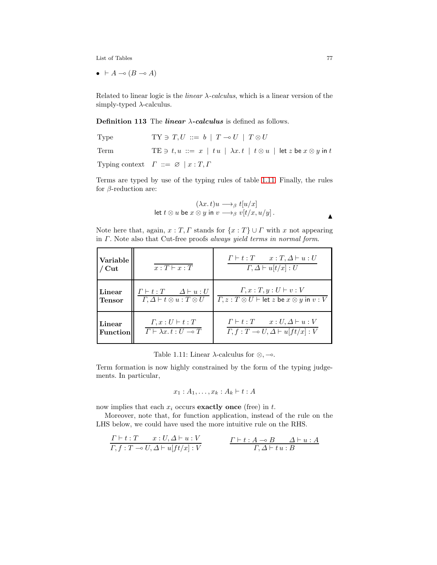$\bullet$   $\vdash A \multimap (B \multimap A)$ 

Related to linear logic is the *linear*  $\lambda$ -calculus, which is a linear version of the simply-typed  $\lambda$ -calculus.

Definition 113 The *linear*  $\lambda$ -calculus is defined as follows.

| Type | $TY \ni T, U := b \mid T \neg U \mid T \otimes U$                                                                      |
|------|------------------------------------------------------------------------------------------------------------------------|
| Term | $TE \ni t, u := x \mid tu \mid \lambda x. t \mid t \otimes u \mid \text{let } z \text{ be } x \otimes y \text{ in } t$ |

Typing context  $\Gamma ::= \emptyset | x : T, \Gamma$ 

Terms are typed by use of the typing rules of table [1.11.](#page-76-0) Finally, the rules for  $\beta$ -reduction are:

$$
(\lambda x. t)u \longrightarrow_{\beta} t[u/x]
$$
  
let  $t \otimes u$  be  $x \otimes y$  in  $v \longrightarrow_{\beta} v[t/x, u/y]$ .

Note here that, again,  $x : T, \Gamma$  stands for  $\{x : T\} \cup \Gamma$  with x not appearing in Γ. Note also that Cut-free proofs always yield terms in normal form.

| Variable<br>$\bf Cut$ | $x: T \vdash x: T$                                | $\Gamma \vdash t : T \quad x : T, \Delta \vdash u : U$<br>$\Gamma, \Delta \vdash u[t/x]: U$ |
|-----------------------|---------------------------------------------------|---------------------------------------------------------------------------------------------|
| Linear                | $\Gamma \vdash t : T \quad \Delta \vdash u : U$   | $\Gamma, x : T, y : U \vdash v : V$                                                         |
| <b>Tensor</b>         | $\Gamma, \Delta \vdash t \otimes u : T \otimes U$ | $\Gamma, z: T \otimes U \vdash$ let z be $x \otimes y$ in $v: V$                            |
| Linear                | $\Gamma, x: U \vdash t : T$                       | $\Gamma \vdash t : T \quad x : U, \Delta \vdash u : V$                                      |
| Function              | $\Gamma \vdash \lambda x. t : U \multimap T$      | $\Gamma, f: T \multimap U, \Delta \vdash u[ft/x]: V$                                        |

Table 1.11: Linear  $\lambda$ -calculus for  $\otimes, -\circ$ .

Term formation is now highly constrained by the form of the typing judgements. In particular,

<span id="page-76-0"></span>
$$
x_1:A_1,\ldots,x_k:A_k\vdash t:A
$$

now implies that each  $x_i$  occurs **exactly once** (free) in  $t$ .

Moreover, note that, for function application, instead of the rule on the LHS below, we could have used the more intuitive rule on the RHS.

$$
\frac{\Gamma\vdash t:T \qquad x:U,\Delta\vdash u:V}{\Gamma,f:T\multimap U,\Delta\vdash u[ft/x]:V} \qquad \qquad \frac{\Gamma\vdash t:A\multimap B\qquad \Delta\vdash u:A}{\Gamma,\Delta\vdash tu:B}
$$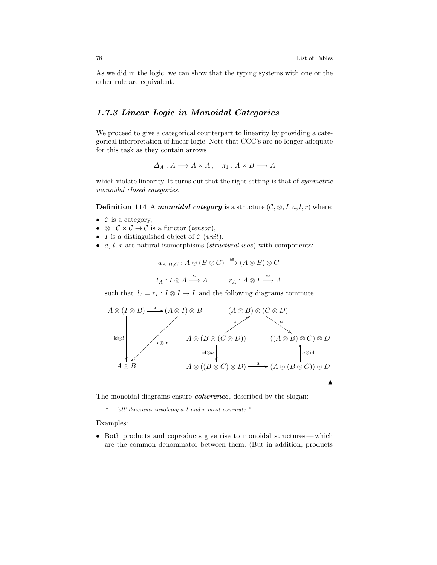As we did in the logic, we can show that the typing systems with one or the other rule are equivalent.

#### 1.7.3 Linear Logic in Monoidal Categories

We proceed to give a categorical counterpart to linearity by providing a categorical interpretation of linear logic. Note that CCC's are no longer adequate for this task as they contain arrows

$$
\Delta_A: A \longrightarrow A \times A, \quad \pi_1: A \times B \longrightarrow A
$$

which violate linearity. It turns out that the right setting is that of *symmetric* monoidal closed categories.

**Definition 114** A *monoidal category* is a structure  $(C, \otimes, I, a, l, r)$  where:

- $\mathcal C$  is a category,
- $\otimes$  :  $\mathcal{C} \times \mathcal{C} \rightarrow \mathcal{C}$  is a functor *(tensor)*,
- I is a distinguished object of  $\mathcal{C}$  (unit),
- $a, l, r$  are natural isomorphisms (*structural isos*) with components:

$$
a_{A,B,C}: A \otimes (B \otimes C) \xrightarrow{\cong} (A \otimes B) \otimes C
$$
  

$$
l_A: I \otimes A \xrightarrow{\cong} A \qquad r_A: A \otimes I \xrightarrow{\cong} A
$$

such that  $l_I = r_I : I \otimes I \to I$  and the following diagrams commute.



The monoidal diagrams ensure *coherence*, described by the slogan:

". . . 'all' diagrams involving a, l and r must commute."

Examples:

• Both products and coproducts give rise to monoidal structures—which are the common denominator between them. (But in addition, products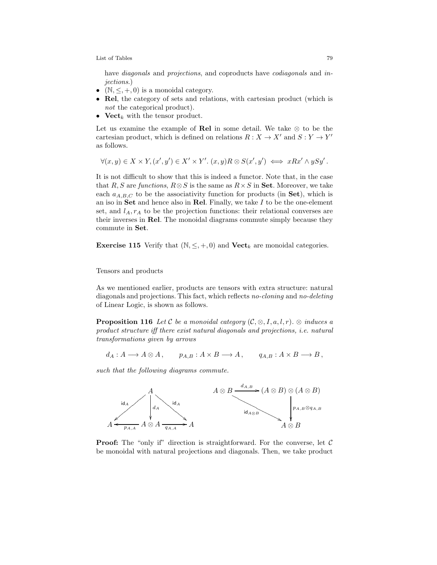have *diagonals* and *projections*, and coproducts have *codiagonals* and *in*jections.)

- $(N, \leq, +, 0)$  is a monoidal category.
- Rel, the category of sets and relations, with cartesian product (which is not the categorical product).
- Vect<sub>k</sub> with the tensor product.

Let us examine the example of Rel in some detail. We take  $\otimes$  to be the cartesian product, which is defined on relations  $R: X \to X'$  and  $S: Y \to Y'$ as follows.

$$
\forall (x, y) \in X \times Y, (x', y') \in X' \times Y'. (x, y)R \otimes S(x', y') \iff xRx' \wedge ySy'.
$$

It is not difficult to show that this is indeed a functor. Note that, in the case that R, S are functions,  $R \otimes S$  is the same as  $R \times S$  in Set. Moreover, we take each  $a_{A,B,C}$  to be the associativity function for products (in Set), which is an iso in Set and hence also in Rel. Finally, we take  $I$  to be the one-element set, and  $l_A, r_A$  to be the projection functions: their relational converses are their inverses in Rel. The monoidal diagrams commute simply because they commute in Set.

**Exercise 115** Verify that  $(N, \leq, +, 0)$  and **Vect**<sub>k</sub> are monoidal categories.

Tensors and products

As we mentioned earlier, products are tensors with extra structure: natural diagonals and projections. This fact, which reflects no-cloning and no-deleting of Linear Logic, is shown as follows.

**Proposition 116** Let C be a monoidal category  $(C, \otimes, I, a, l, r)$ .  $\otimes$  induces a product structure iff there exist natural diagonals and projections, i.e. natural transformations given by arrows

 $d_A: A \longrightarrow A \otimes A$ ,  $p_{A,B}: A \times B \longrightarrow A$ ,  $q_{A,B}: A \times B \longrightarrow B$ ,

such that the following diagrams commute.



**Proof:** The "only if" direction is straightforward. For the converse, let  $\mathcal{C}$ be monoidal with natural projections and diagonals. Then, we take product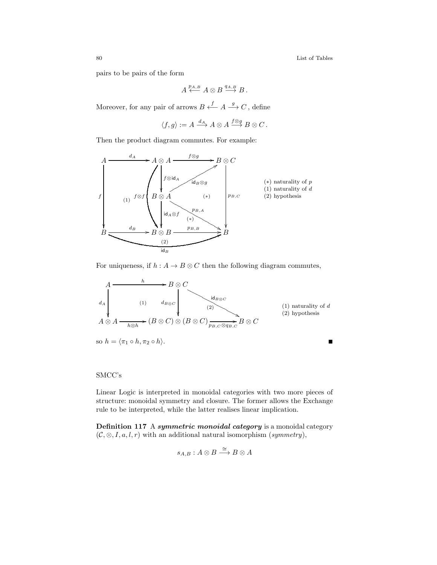pairs to be pairs of the form

$$
A \stackrel{p_{A,B}}{\longleftarrow} A \otimes B \stackrel{q_{A,B}}{\longrightarrow} B.
$$

Moreover, for any pair of arrows  $B \stackrel{f}{\longleftarrow} A \stackrel{g}{\longrightarrow} C$ , define

$$
\langle f, g \rangle := A \xrightarrow{d_A} A \otimes A \xrightarrow{f \otimes g} B \otimes C.
$$

Then the product diagram commutes. For example:



For uniqueness, if  $h : A \to B \otimes C$  then the following diagram commutes,



#### SMCC's

Linear Logic is interpreted in monoidal categories with two more pieces of structure: monoidal symmetry and closure. The former allows the Exchange rule to be interpreted, while the latter realises linear implication.

Definition 117 A symmetric monoidal category is a monoidal category  $(C, \otimes, I, a, l, r)$  with an additional natural isomorphism (symmetry),

$$
s_{A,B}: A \otimes B \stackrel{\cong}{\longrightarrow} B \otimes A
$$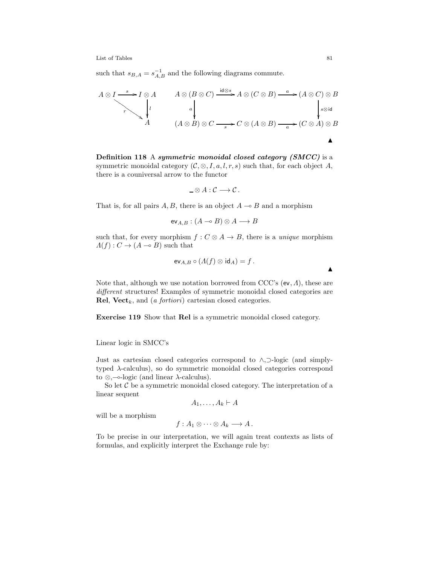such that  $s_{B,A} = s_{A,B}^{-1}$  and the following diagrams commute.

$$
A \otimes I \xrightarrow{s} I \otimes A
$$
  
\n
$$
A \otimes (B \otimes C) \xrightarrow{id \otimes s} A \otimes (C \otimes B) \xrightarrow{a} (A \otimes C) \otimes B
$$
  
\n
$$
\downarrow
$$
  
\n
$$
A \otimes (B \otimes C) \xrightarrow{id \otimes s} A \otimes (C \otimes B) \xrightarrow{a} (A \otimes C) \otimes B
$$
  
\n
$$
A \otimes (A \otimes B) \otimes C \xrightarrow{s} C \otimes (A \otimes B) \xrightarrow{a} (C \otimes A) \otimes B
$$

Definition 118 A symmetric monoidal closed category (SMCC) is a symmetric monoidal category  $(C, \otimes, I, a, l, r, s)$  such that, for each object A, there is a couniversal arrow to the functor

$$
\_ \otimes A : \mathcal{C} \longrightarrow \mathcal{C} \, .
$$

That is, for all pairs  $A, B$ , there is an object  $A \rightarrow B$  and a morphism

$$
\text{ev}_{A,B}: (A \multimap B) \otimes A \longrightarrow B
$$

such that, for every morphism  $f : C \otimes A \rightarrow B$ , there is a *unique* morphism  $\Lambda(f): C \to (A \multimap B)$  such that

$$
\operatorname{ev}_{A,B} \circ (A(f) \otimes \operatorname{id}_A) = f.
$$

Note that, although we use notation borrowed from CCC's  $(ev, A)$ , these are different structures! Examples of symmetric monoidal closed categories are **Rel, Vect**<sub>k</sub>, and (a *fortiori*) cartesian closed categories.

Exercise 119 Show that Rel is a symmetric monoidal closed category.

Linear logic in SMCC's

Just as cartesian closed categories correspond to ∧,⊃-logic (and simplytyped λ-calculus), so do symmetric monoidal closed categories correspond to  $\otimes$ ,  $\sim$ -logic (and linear  $\lambda$ -calculus).

So let  $\mathcal C$  be a symmetric monoidal closed category. The interpretation of a linear sequent

$$
A_1,\ldots,A_k\vdash A
$$

will be a morphism

$$
f:A_1\otimes\cdots\otimes A_k\longrightarrow A.
$$

To be precise in our interpretation, we will again treat contexts as lists of formulas, and explicitly interpret the Exchange rule by: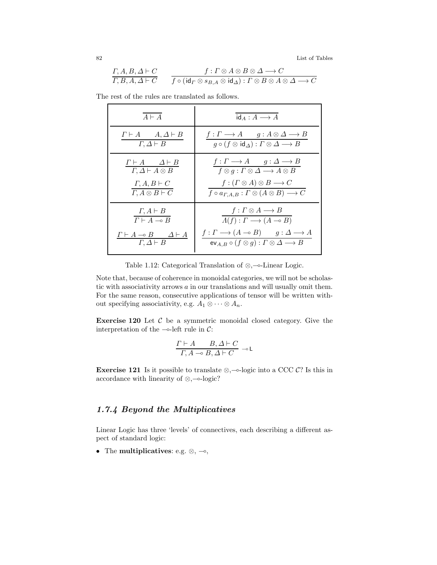$$
\frac{\Gamma, A, B, \Delta \vdash C}{\Gamma, B, A, \Delta \vdash C} \qquad \frac{f: \Gamma \otimes A \otimes B \otimes \Delta \longrightarrow C}{f \circ (\mathrm{id}_{\Gamma} \otimes s_{B,A} \otimes \mathrm{id}_{\Delta}) : \Gamma \otimes B \otimes A \otimes \Delta \longrightarrow C}
$$

| $A \vdash A$                                        | $\mathsf{id}_A: A \longrightarrow A$                                                 |
|-----------------------------------------------------|--------------------------------------------------------------------------------------|
| $\Gamma \vdash A \qquad A, \Delta \vdash B$         | $f: \Gamma \longrightarrow A$ $g: A \otimes \Delta \longrightarrow B$                |
| $\Gamma, \Delta \vdash B$                           | $g \circ (f \otimes id_{\Delta}) : \Gamma \otimes \Delta \longrightarrow B$          |
| $\Gamma \vdash A \qquad \Delta \vdash B$            | $f: \Gamma \longrightarrow A$ $g: \Delta \longrightarrow B$                          |
| $\Gamma, \Delta \vdash A \otimes B$                 | $f \otimes g : \Gamma \otimes \Delta \longrightarrow A \otimes \overline{B}$         |
| $\Gamma, A, B \vdash C$                             | $f:(\Gamma\otimes A)\otimes B\longrightarrow C$                                      |
| $\Gamma, A \otimes B \vdash C$                      | $f \circ a_{\Gamma,A,B} : \Gamma \otimes (A \otimes B) \longrightarrow C$            |
| $\Gamma, A \vdash B$                                | $f: \varGamma \otimes A \longrightarrow B$                                           |
| $\Gamma \vdash A \multimap B$                       | $\Lambda(f): \Gamma \longrightarrow (A \multimap B)$                                 |
| $\Gamma \vdash A \multimap B \quad \Delta \vdash A$ | $f: \Gamma \longrightarrow (A \longrightarrow B) \qquad g: \Delta \longrightarrow A$ |
| $\Gamma, \Delta \vdash B$                           | $ev_{A,B} \circ (f \otimes g) : \Gamma \otimes \Delta \longrightarrow B$             |

The rest of the rules are translated as follows.

Table 1.12: Categorical Translation of ⊗,⊸-Linear Logic.

Note that, because of coherence in monoidal categories, we will not be scholastic with associativity arrows  $a$  in our translations and will usually omit them. For the same reason, consecutive applications of tensor will be written without specifying associativity, e.g.  $A_1 \otimes \cdots \otimes A_n$ .

**Exercise 120** Let  $\mathcal C$  be a symmetric monoidal closed category. Give the interpretation of the ⊸-left rule in  $\mathcal{C}$ :

$$
\frac{\Gamma\vdash A\qquad B,\Delta\vdash C}{\Gamma,A\multimap B,\Delta\vdash C}\multimap\textsf{L}
$$

Exercise 121 Is it possible to translate ⊗, $\sim$ -logic into a CCC  $\mathcal{C}$ ? Is this in accordance with linearity of ⊗,⊸-logic?

# 1.7.4 Beyond the Multiplicatives

Linear Logic has three 'levels' of connectives, each describing a different aspect of standard logic:

• The **multiplicatives**: e.g.  $\otimes$ ,  $\multimap$ ,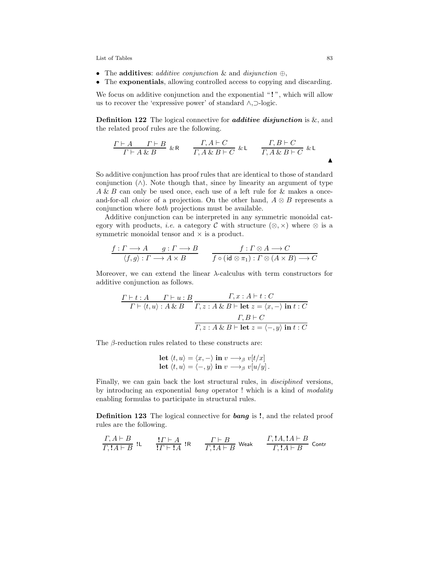- The **additives**: *additive conjunction* & and *disjunction*  $\oplus$ ,
- The exponentials, allowing controlled access to copying and discarding.

<span id="page-82-0"></span>We focus on additive conjunction and the exponential "!", which will allow us to recover the 'expressive power' of standard ∧,⊃-logic.

**Definition 122** The logical connective for **additive disjunction** is &, and the related proof rules are the following.

$$
\frac{\Gamma \vdash A \qquad \Gamma \vdash B}{\Gamma \vdash A \& B} \& R \qquad \frac{\Gamma, A \vdash C}{\Gamma, A \& B \vdash C} \& L \qquad \frac{\Gamma, B \vdash C}{\Gamma, A \& B \vdash C} \& L
$$

So additive conjunction has proof rules that are identical to those of standard conjunction  $(\wedge)$ . Note though that, since by linearity an argument of type A & B can only be used once, each use of a left rule for & makes a onceand-for-all *choice* of a projection. On the other hand,  $A \otimes B$  represents a conjunction where both projections must be available.

Additive conjunction can be interpreted in any symmetric monoidal category with products, *i.e.* a category C with structure  $(\otimes, \times)$  where  $\otimes$  is a symmetric monoidal tensor and  $\times$  is a product.

$$
\frac{f:\varGamma\longrightarrow A\qquad g:\varGamma\longrightarrow B}{\langle f,g\rangle:\varGamma\longrightarrow A\times B\qquad\qquad\frac{f:\varGamma\otimes A\longrightarrow C}{f\circ(\mathrm{id}\otimes\pi_1):\varGamma\otimes(A\times B)\longrightarrow C}
$$

Moreover, we can extend the linear  $\lambda$ -calculus with term constructors for additive conjunction as follows.

$$
\frac{\Gamma \vdash t:A \qquad \Gamma \vdash u:B}{\Gamma \vdash \langle t, u \rangle : A \& B} \frac{\Gamma, x:A \vdash t:C}{\Gamma, z:A \& B \vdash \text{let } z = \langle x, - \rangle \text{ in } t:C}
$$
\n
$$
\frac{\Gamma, B \vdash C}{\Gamma, z:A \& B \vdash \text{let } z = \langle -, y \rangle \text{ in } t:C}
$$

The β-reduction rules related to these constructs are:

<span id="page-82-1"></span>let 
$$
\langle t, u \rangle = \langle x, - \rangle
$$
 in  $v \longrightarrow_{\beta} v[t/x]$   
let  $\langle t, u \rangle = \langle -, y \rangle$  in  $v \longrightarrow_{\beta} v[u/y]$ .

Finally, we can gain back the lost structural rules, in disciplined versions, by introducing an exponential bang operator ! which is a kind of modality enabling formulas to participate in structural rules.

Definition 123 The logical connective for **bang** is !, and the related proof rules are the following.

$$
\frac{\Gamma, A \vdash B}{\Gamma, 1A \vdash B} \text{ IL} \qquad \frac{\text{!}\Gamma \vdash A}{\text{!}\Gamma \vdash \text{!}A} \text{ !R} \qquad \frac{\Gamma \vdash B}{\Gamma, 1A \vdash B} \text{ Weak} \qquad \frac{\Gamma, \text{!}\,A, \text{!}\,A \vdash B}{\Gamma, \text{!}\,A \vdash B} \text{ Contr}
$$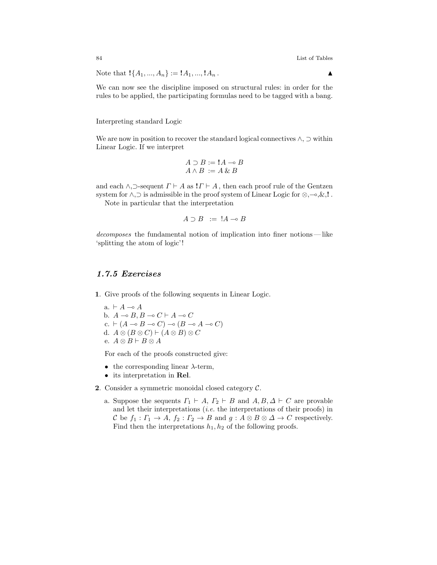Note that  $! \{A_1, ..., A_n\} := !A_1, ..., !A_n$ .

We can now see the discipline imposed on structural rules: in order for the rules to be applied, the participating formulas need to be tagged with a bang.

#### Interpreting standard Logic

We are now in position to recover the standard logical connectives  $\land$ ,  $\supset$  within Linear Logic. If we interpret

$$
A \supset B := A \to B
$$

$$
A \wedge B := A \& B
$$

and each  $\wedge$ ,  $\supset$ -sequent  $\Gamma \vdash A$  as  $!\Gamma \vdash A$ , then each proof rule of the Gentzen system for  $\land$ ,  $\supset$  is admissible in the proof system of Linear Logic for  $\otimes$ ,  $\neg$ ,  $\&$ ,!

Note in particular that the interpretation

$$
A \supset B \ := \ \mathord!A \multimap B
$$

decomposes the fundamental notion of implication into finer notions— like 'splitting the atom of logic'!

### 1.7.5 Exercises

1. Give proofs of the following sequents in Linear Logic.

a. ⊢  $A \multimap A$ b.  $A \rightarrow B, B \rightarrow C \vdash A \rightarrow C$ c.  $\vdash (A \multimap B \multimap C) \multimap (B \multimap A \multimap C)$ d.  $A \otimes (B \otimes C) \vdash (A \otimes B) \otimes C$ e.  $A \otimes B \vdash B \otimes A$ 

For each of the proofs constructed give:

- the corresponding linear  $\lambda$ -term,
- its interpretation in Rel.
- 2. Consider a symmetric monoidal closed category  $C$ .
	- a. Suppose the sequents  $\Gamma_1 \vdash A, \Gamma_2 \vdash B$  and  $A, B, \Delta \vdash C$  are provable and let their interpretations  $(i.e.$  the interpretations of their proofs) in C be  $f_1: \Gamma_1 \to A$ ,  $f_2: \Gamma_2 \to B$  and  $g: A \otimes B \otimes \Delta \to C$  respectively. Find then the interpretations  $h_1, h_2$  of the following proofs.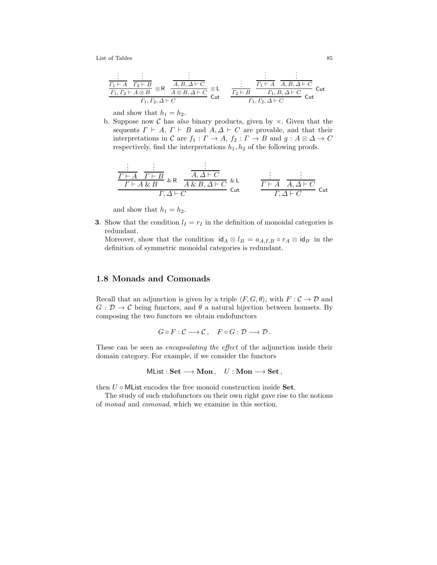$$
\frac{\begin{array}{c}\n\vdots \\
\frac{\Gamma_1 + A}{\Gamma_1 + A} & \frac{\Gamma_2 + B}{\Gamma_2 + B} \otimes R & \frac{A, B, \Delta + C}{A \otimes B, \Delta + C} \otimes L \\
\frac{\Gamma_1, \Gamma_2 + A \otimes B}{\Gamma_1, \Gamma_2, \Delta + C} & \frac{\Gamma_2 + B}{\Gamma_1, \Gamma_2, \Delta + C} & \frac{\Gamma_1 + A}{\Gamma_1, \Gamma_2, \Delta + C} & \frac{\Gamma_1 + A}{\Gamma_1, \Gamma_2, \Delta + C} \end{array} \text{Cut}
$$

and show that  $h_1 = h_2$ .

b. Suppose now  $\mathcal C$  has also binary products, given by  $\times$ . Given that the sequents  $\Gamma \vdash A, \Gamma \vdash B$  and  $A, \Delta \vdash C$  are provable, and that their interpretations in C are  $f_1: \Gamma \to A$ ,  $f_2: \Gamma \to B$  and  $g: A \otimes \Delta \to C$ respectively, find the interpretations  $h_1, h_2$  of the following proofs.

$$
\frac{\frac{\vdots}{\Gamma \vdash A} \frac{\vdots}{\Gamma \vdash B} \underset{\& R}{\Gamma \vdash A} \frac{\frac{\vdots}{A, \Delta \vdash C}}{A \& B, \Delta \vdash C} \underset{\text{Cut}}{\xrightarrow{\text{cut}}} \frac{\vdots}{\frac{\Gamma \vdash A} \frac{\vdots}{A, \Delta \vdash C}} \underset{\text{Cut}}{\xrightarrow{\text{cut}}}.
$$

and show that  $h_1 = h_2$ .

3. Show that the condition  $l_I = r_I$  in the definition of monoidal categories is redundant.

Moreover, show that the condition  $\mathsf{id}_A \otimes l_B = a_{A,I,B} \circ r_A \otimes \mathsf{id}_B$  in the definition of symmetric monoidal categories is redundant.

# 1.8 Monads and Comonads

Recall that an adjunction is given by a triple  $\langle F, G, \theta \rangle$ , with  $F : C \to \mathcal{D}$  and  $G: \mathcal{D} \to \mathcal{C}$  being functors, and  $\theta$  a natural bijection between homsets. By composing the two functors we obtain endofunctors

$$
G \circ F: \mathcal{C} \longrightarrow \mathcal{C}, \quad F \circ G: \mathcal{D} \longrightarrow \mathcal{D}.
$$

These can be seen as *encapsulating the effect* of the adjunction inside their domain category. For example, if we consider the functors

$$
\mathsf{MList} : \mathbf{Set} \longrightarrow \mathbf{Mon}\,, \quad U : \mathbf{Mon} \longrightarrow \mathbf{Set}\,,
$$

then  $U \circ M$ List encodes the free monoid construction inside Set.

The study of such endofunctors on their own right gave rise to the notions of monad and comonad, which we examine in this section.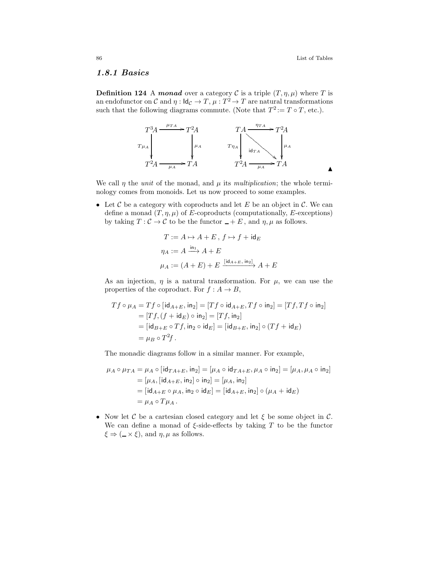## 1.8.1 Basics

**Definition 124** A *monad* over a category C is a triple  $(T, \eta, \mu)$  where T is an endofunctor on  ${\cal C}$  and  $\eta:\mathsf{Id}_{{\cal C}}\to T,\mu:T^2\to T$  are natural transformations such that the following diagrams commute. (Note that  $T^2 := T \circ T$ , etc.).



We call  $\eta$  the unit of the monad, and  $\mu$  its multiplication; the whole terminology comes from monoids. Let us now proceed to some examples.

• Let C be a category with coproducts and let E be an object in C. We can define a monad  $(T, \eta, \mu)$  of E-coproducts (computationally, E-exceptions) by taking  $T : \mathcal{C} \to \mathcal{C}$  to be the functor  $F + E$ , and  $\eta, \mu$  as follows.

$$
T := A \mapsto A + E, f \mapsto f + id_E
$$

$$
\eta_A := A \xrightarrow{\text{in}_1} A + E
$$

$$
\mu_A := (A + E) + E \xrightarrow{[\text{id}_{A+E}, \text{in}_2]} A + E
$$

As an injection,  $\eta$  is a natural transformation. For  $\mu$ , we can use the properties of the coproduct. For  $f : A \to B$ ,

$$
Tf \circ \mu_A = Tf \circ [id_{A+E}, in_2] = [Tf \circ id_{A+E}, Tf \circ in_2] = [Tf, Tf \circ in_2]
$$
  
=  $[Tf, (f + id_E) \circ in_2] = [Tf, in_2]$   
=  $[id_{B+E} \circ Tf, in_2 \circ id_E] = [id_{B+E}, in_2] \circ (Tf + id_E)$   
=  $\mu_B \circ T^2f$ .

The monadic diagrams follow in a similar manner. For example,

$$
\mu_A \circ \mu_{TA} = \mu_A \circ [\text{id}_{TA+E}, \text{in}_2] = [\mu_A \circ \text{id}_{TA+E}, \mu_A \circ \text{in}_2] = [\mu_A, \mu_A \circ \text{in}_2]
$$
  
\n
$$
= [\mu_A, [\text{id}_{A+E}, \text{in}_2] \circ \text{in}_2] = [\mu_A, \text{in}_2]
$$
  
\n
$$
= [\text{id}_{A+E} \circ \mu_A, \text{in}_2 \circ \text{id}_E] = [\text{id}_{A+E}, \text{in}_2] \circ (\mu_A + \text{id}_E)
$$
  
\n
$$
= \mu_A \circ T \mu_A.
$$

• Now let C be a cartesian closed category and let  $\xi$  be some object in C. We can define a monad of  $\xi$ -side-effects by taking T to be the functor  $\xi \Rightarrow (-\times \xi)$ , and  $\eta, \mu$  as follows.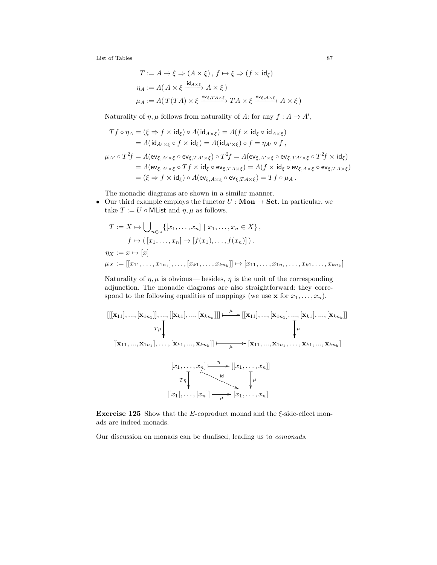$$
T := A \mapsto \xi \Rightarrow (A \times \xi), f \mapsto \xi \Rightarrow (f \times \mathrm{id}_{\xi})
$$
  

$$
\eta_A := A(A \times \xi \xrightarrow{\mathrm{id}_{A \times \xi}} A \times \xi)
$$
  

$$
\mu_A := A(T(TA) \times \xi \xrightarrow{\mathrm{ev}_{\xi, T A \times \xi}} T A \times \xi \xrightarrow{\mathrm{ev}_{\xi, A \times \xi}} A \times \xi)
$$

Naturality of  $\eta$ ,  $\mu$  follows from naturality of  $\Lambda$ : for any  $f: A \to A'$ ,

$$
Tf \circ \eta_A = (\xi \Rightarrow f \times \mathrm{id}_{\xi}) \circ \Lambda(\mathrm{id}_{A \times \xi}) = \Lambda(f \times \mathrm{id}_{\xi} \circ \mathrm{id}_{A \times \xi})
$$
  
=  $\Lambda(\mathrm{id}_{A' \times \xi} \circ f \times \mathrm{id}_{\xi}) = \Lambda(\mathrm{id}_{A' \times \xi}) \circ f = \eta_{A'} \circ f$ ,  
 $\mu_{A'} \circ T^2 f = \Lambda(\mathrm{ev}_{\xi, A' \times \xi} \circ \mathrm{ev}_{\xi, T A' \times \xi}) \circ T^2 f = \Lambda(\mathrm{ev}_{\xi, A' \times \xi} \circ \mathrm{ev}_{\xi, T A' \times \xi} \circ T^2 f \times \mathrm{id}_{\xi})$ 

$$
= \Lambda(\text{ev}_{\xi,A'\times\xi} \circ Tf \times \text{id}_{\xi} \circ \text{ev}_{\xi,TA\times\xi}) = \Lambda(f \times \text{id}_{\xi} \circ \text{ev}_{\xi,A\times\xi} \circ \text{ev}_{\xi,TA\times\xi})
$$

$$
= (\xi \Rightarrow f \times \text{id}_{\xi}) \circ \Lambda(\text{ev}_{\xi,A\times\xi} \circ \text{ev}_{\xi,TA\times\xi}) = Tf \circ \mu_A.
$$

The monadic diagrams are shown in a similar manner.

• Our third example employs the functor  $U : \mathbf{Mon} \to \mathbf{Set}$ . In particular, we take  $T := U \circ M$ List and  $\eta, \mu$  as follows.

$$
T := X \mapsto \bigcup_{n \in \omega} \{ [x_1, \dots, x_n] \mid x_1, \dots, x_n \in X \},
$$
  
\n
$$
f \mapsto ([x_1, \dots, x_n] \mapsto [f(x_1), \dots, f(x_n)] ).
$$
  
\n
$$
\eta_X := x \mapsto [x]
$$
  
\n
$$
\mu_X := [[x_{11}, \dots, x_{1n_1}], \dots, [x_{k1}, \dots, x_{kn_k}]] \mapsto [x_{11}, \dots, x_{1n_1}, \dots, x_{k1}, \dots, x_{kn_k}]
$$

Naturality of  $\eta$ ,  $\mu$  is obvious—besides,  $\eta$  is the unit of the corresponding adjunction. The monadic diagrams are also straightforward: they correspond to the following equalities of mappings (we use **x** for  $x_1, \ldots, x_n$ ).

[[[x11], ..., [x1n<sup>1</sup> ]], ..., [[x<sup>k</sup>1], ..., [xkn<sup>k</sup> ]]] µ / \_ T µ [[x11], ..., [x1n<sup>1</sup> ], ..., [x<sup>k</sup>1], ..., [xkn<sup>k</sup> ]] \_ µ [[x11, ..., x1n<sup>1</sup> ], . . . , [x<sup>k</sup>1, ..., xkn<sup>k</sup> ]] µ /[x11, ..., x1n<sup>1</sup> , . . . , x<sup>k</sup>1, ..., xkn<sup>k</sup> ] [x1, . . . , xn] η / id P( PP PP PP PP PP \_ P T η [[x1, . . . , xn]] \_ µ [[x1], . . . , [xn]] µ /[x1, . . . , xn]

**Exercise 125** Show that the *E*-coproduct monad and the  $\xi$ -side-effect monads are indeed monads.

Our discussion on monads can be dualised, leading us to comonads.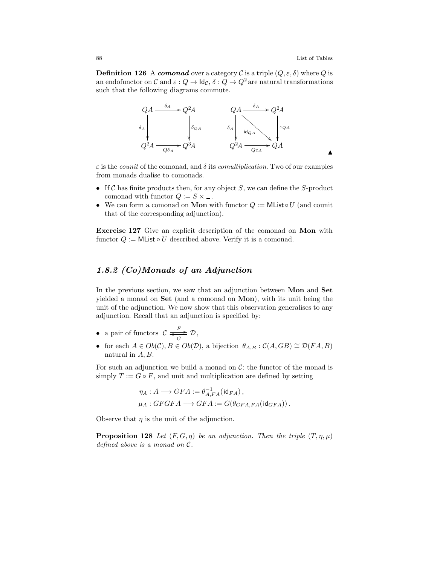**Definition 126** A comonad over a category C is a triple  $(Q, \varepsilon, \delta)$  where Q is an endofunctor on C and  $\varepsilon : Q \to \text{Id}_{\mathcal{C}}, \delta : Q \to Q^2$  are natural transformations such that the following diagrams commute.



 $\varepsilon$  is the *counit* of the comonad, and  $\delta$  its *comultiplication*. Two of our examples from monads dualise to comonads.

- If  $\mathcal C$  has finite products then, for any object  $S$ , we can define the  $S$ -product comonad with functor  $Q := S \times \_$ .
- We can form a comonad on **Mon** with functor  $Q := \mathsf{MList} \circ U$  (and counit that of the corresponding adjunction).

Exercise 127 Give an explicit description of the comonad on Mon with functor  $Q := M$ List  $\circ U$  described above. Verify it is a comonad.

# 1.8.2 (Co)Monads of an Adjunction

In the previous section, we saw that an adjunction between Mon and Set yielded a monad on Set (and a comonad on Mon), with its unit being the unit of the adjunction. We now show that this observation generalises to any adjunction. Recall that an adjunction is specified by:

- a pair of functors  $C \xrightarrow[G]{} \mathcal{D}$ ,
- for each  $A \in Ob(\mathcal{C}), B \in Ob(\mathcal{D})$ , a bijection  $\theta_{A,B} : \mathcal{C}(A, GB) \cong \mathcal{D}(FA, B)$ natural in A, B.

For such an adjunction we build a monad on  $\mathcal{C}$ : the functor of the monad is simply  $T := G \circ F$ , and unit and multiplication are defined by setting

$$
\eta_A: A \longrightarrow GFA := \theta_{A,FA}^{-1}(\text{id}_{FA}),
$$
  

$$
\mu_A: GFGFA \longrightarrow GFA := G(\theta_{GFA,FA}(\text{id}_{GFA})).
$$

Observe that  $\eta$  is the unit of the adjunction.

**Proposition 128** Let  $(F, G, \eta)$  be an adjunction. Then the triple  $(T, \eta, \mu)$ defined above is a monad on C.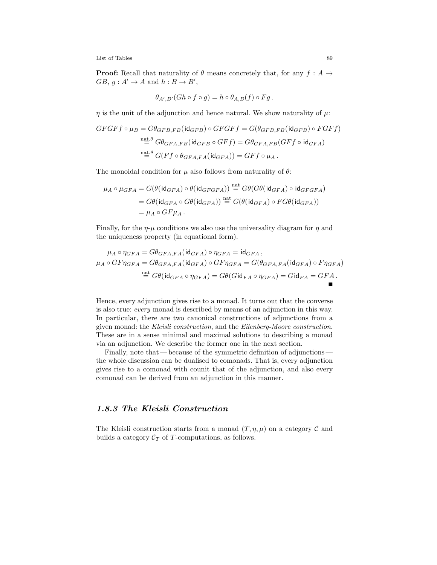**Proof:** Recall that naturality of  $\theta$  means concretely that, for any  $f : A \rightarrow$  $GB, g: A' \rightarrow A \text{ and } h: B \rightarrow B',$ 

$$
\theta_{A',B'}(Gh\circ f\circ g)=h\circ \theta_{A,B}(f)\circ Fg.
$$

 $\eta$  is the unit of the adjunction and hence natural. We show naturality of  $\mu$ :

$$
GFGFf \circ \mu_B = G\theta_{GFB,FB}(\text{id}_{GFB}) \circ GFGFf = G(\theta_{GFB,FB}(\text{id}_{GFB}) \circ FGFf)
$$
  
\n
$$
\lim_{\substack{\text{nat.}\theta \\ \text{mit.}\theta}} G\theta_{GFA,FB}(\text{id}_{GFB} \circ GFf) = G\theta_{GFA,FB}(GFf \circ \text{id}_{GFA})
$$
  
\n
$$
\lim_{\substack{\text{nat.}\theta \\ \text{mit.}\theta}} G(Ff \circ \theta_{GFA,FA}(\text{id}_{GFA})) = GFf \circ \mu_A.
$$

The monoidal condition for  $\mu$  also follows from naturality of  $\theta$ :

$$
\mu_A \circ \mu_{GFA} = G(\theta(\mathrm{id}_{GFA}) \circ \theta(\mathrm{id}_{GFGFA})) \stackrel{\text{nat}}{=} G\theta(G\theta(\mathrm{id}_{GFA}) \circ \mathrm{id}_{GFGFA})
$$

$$
= G\theta(\mathrm{id}_{GFA} \circ G\theta(\mathrm{id}_{GFA})) \stackrel{\text{nat}}{=} G(\theta(\mathrm{id}_{GFA}) \circ FG\theta(\mathrm{id}_{GFA}))
$$

$$
= \mu_A \circ GF\mu_A.
$$

Finally, for the  $\eta$ - $\mu$  conditions we also use the universality diagram for  $\eta$  and the uniqueness property (in equational form).

$$
\mu_A \circ \eta_{GFA} = G\theta_{GFA,FA}(\text{id}_{GFA}) \circ \eta_{GFA} = \text{id}_{GFA},
$$
  
\n
$$
\mu_A \circ GF\eta_{GFA} = G\theta_{GFA,FA}(\text{id}_{GFA}) \circ GF\eta_{GFA} = G(\theta_{GFA,FA}(\text{id}_{GFA}) \circ F\eta_{GFA})
$$
  
\n
$$
\stackrel{\text{nat}}{=} G\theta(\text{id}_{GFA} \circ \eta_{GFA}) = G\theta(G\text{id}_{FA} \circ \eta_{GFA}) = G\text{id}_{FA} = GFA.
$$

Hence, every adjunction gives rise to a monad. It turns out that the converse is also true: every monad is described by means of an adjunction in this way. In particular, there are two canonical constructions of adjunctions from a given monad: the Kleisli construction, and the Eilenberg-Moore construction. These are in a sense minimal and maximal solutions to describing a monad via an adjunction. We describe the former one in the next section.

Finally, note that— because of the symmetric definition of adjunctions the whole discussion can be dualised to comonads. That is, every adjunction gives rise to a comonad with counit that of the adjunction, and also every comonad can be derived from an adjunction in this manner.

# 1.8.3 The Kleisli Construction

The Kleisli construction starts from a monad  $(T, \eta, \mu)$  on a category C and builds a category  $C_T$  of T-computations, as follows.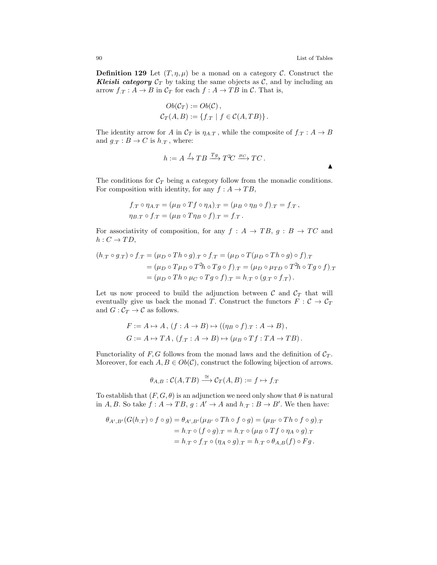$\blacktriangle$ 

**Definition 129** Let  $(T, \eta, \mu)$  be a monad on a category C. Construct the **Kleisli category**  $C_T$  by taking the same objects as  $C$ , and by including an arrow  $f_{\mathcal{F}}: A \to B$  in  $\mathcal{C}_{\mathcal{F}}$  for each  $f: A \to TB$  in  $\mathcal{C}$ . That is,

$$
Ob(\mathcal{C}_T) := Ob(\mathcal{C}),
$$
  

$$
\mathcal{C}_T(A, B) := \{f_{\cdot} \mid f \in \mathcal{C}(A, TB)\}.
$$

The identity arrow for A in  $C_T$  is  $\eta_{A,T}$ , while the composite of  $f_{.T}: A \rightarrow B$ and  $g_T : B \to C$  is  $h_T$ , where:

$$
h:=A\xrightarrow{f}TB\xrightarrow{Tg}T^2C\xrightarrow{\mu_C}TC\,.
$$

The conditions for  $C_T$  being a category follow from the monadic conditions. For composition with identity, for any  $f : A \to TB$ ,

$$
f_{\cdot T} \circ \eta_{A\cdot T} = (\mu_B \circ Tf \circ \eta_A)_{\cdot T} = (\mu_B \circ \eta_B \circ f)_{\cdot T} = f_{\cdot T},
$$
  

$$
\eta_{B\cdot T} \circ f_{\cdot T} = (\mu_B \circ T \eta_B \circ f)_{\cdot T} = f_{\cdot T}.
$$

For associativity of composition, for any  $f : A \rightarrow TB, g : B \rightarrow TC$  and  $h: C \to TD$ ,

$$
(h_T \circ g_T) \circ f_T = (\mu_D \circ Th \circ g)_T \circ f_T = (\mu_D \circ T(\mu_D \circ Th \circ g) \circ f)_T
$$
  
= 
$$
(\mu_D \circ T\mu_D \circ T^2h \circ Tg \circ f)_T = (\mu_D \circ \mu_{TD} \circ T^2h \circ Tg \circ f)_T
$$
  
= 
$$
(\mu_D \circ Th \circ \mu_C \circ Tg \circ f)_T = h_T \circ (g_T \circ f_T).
$$

Let us now proceed to build the adjunction between  $\mathcal C$  and  $\mathcal C_T$  that will eventually give us back the monad T. Construct the functors  $F : \mathcal{C} \to \mathcal{C}_T$ and  $G: \mathcal{C}_T \to \mathcal{C}$  as follows.

$$
F := A \mapsto A, (f : A \to B) \mapsto ((\eta_B \circ f)_T : A \to B),
$$
  
\n
$$
G := A \mapsto TA, (f_T : A \to B) \mapsto (\mu_B \circ Tf : TA \to TB).
$$

Functoriality of F, G follows from the monad laws and the definition of  $C_T$ . Moreover, for each  $A, B \in Ob(\mathcal{C})$ , construct the following bijection of arrows.

$$
\theta_{A,B} : \mathcal{C}(A, TB) \xrightarrow{\cong} \mathcal{C}_T(A, B) := f \mapsto f_{.T}
$$

To establish that  $(F, G, \theta)$  is an adjunction we need only show that  $\theta$  is natural in A, B. So take  $f: A \to TB$ ,  $g: A' \to A$  and  $h \to B'$ . We then have:

$$
\theta_{A',B'}(G(h_{.T}) \circ f \circ g) = \theta_{A',B'}(\mu_{B'} \circ Th \circ f \circ g) = (\mu_{B'} \circ Th \circ f \circ g)_{.T}
$$
  
=  $h_{.T} \circ (f \circ g)_{.T} = h_{.T} \circ (\mu_B \circ Tf \circ \eta_A \circ g)_{.T}$   
=  $h_{.T} \circ f_{.T} \circ (\eta_A \circ g)_{.T} = h_{.T} \circ \theta_{A,B}(f) \circ Fg$ .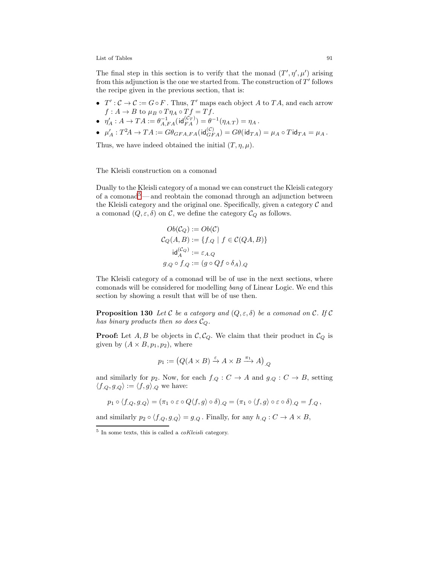The final step in this section is to verify that the monad  $(T', \eta', \mu')$  arising from this adjunction is the one we started from. The construction of  $T'$  follows the recipe given in the previous section, that is:

- $T': \mathcal{C} \to \mathcal{C} := G \circ F$ . Thus, T' maps each object A to TA, and each arrow  $f: A \to B$  to  $\mu_B \circ T \eta_A \circ Tf = Tf$ .
- $\eta'_A : A \to TA := \theta^{-1}_{A,FA}(\text{id}_{FA}^{(C_T)}) = \theta^{-1}(\eta_{A.T}) = \eta_A$ .

• 
$$
\mu'_A : T^2A \to TA := G\theta_{GFA,FA}(\text{id}_{GFA}^{(\mathcal{C})}) = G\theta(\text{id}_{TA}) = \mu_A \circ T \text{id}_{TA} = \mu_A.
$$

Thus, we have indeed obtained the initial  $(T, \eta, \mu)$ .

The Kleisli construction on a comonad

Dually to the Kleisli category of a monad we can construct the Kleisli category of a comonad<sup>[5](#page-90-0)</sup> — and reobtain the comonad through an adjunction between the Kleisli category and the original one. Specifically, given a category  $\mathcal C$  and a comonad  $(Q, \varepsilon, \delta)$  on C, we define the category  $\mathcal{C}_Q$  as follows.

<span id="page-90-1"></span>
$$
Ob(\mathcal{C}_Q) := Ob(\mathcal{C})
$$
  
\n
$$
\mathcal{C}_Q(A, B) := \{ f \in \mathcal{C}(QA, B) \}
$$
  
\n
$$
id_A^{(\mathcal{C}_Q)} := \varepsilon_{A \cdot Q}
$$
  
\n
$$
g \cdot_Q \circ f \cdot Q := (g \circ Qf \circ \delta_A) \cdot_Q
$$

The Kleisli category of a comonad will be of use in the next sections, where comonads will be considered for modelling bang of Linear Logic. We end this section by showing a result that will be of use then.

**Proposition 130** Let C be a category and  $(Q, \varepsilon, \delta)$  be a comonad on C. If C has binary products then so does  $C_Q$ .

**Proof:** Let A, B be objects in  $\mathcal{C}, \mathcal{C}_Q$ . We claim that their product in  $\mathcal{C}_Q$  is given by  $(A \times B, p_1, p_2)$ , where

$$
p_1 := \left(Q(A \times B) \xrightarrow{\varepsilon} A \times B \xrightarrow{\pi_1} A\right)_{\cdot Q}
$$

and similarly for  $p_2$ . Now, for each  $f_{Q}: C \rightarrow A$  and  $g_{Q}: C \rightarrow B$ , setting  $\langle f_{Q}, g_{Q}\rangle := \langle f, g\rangle_{Q}$  we have:

$$
p_1 \circ \langle f_{\cdot Q}, g_{\cdot Q} \rangle = (\pi_1 \circ \varepsilon \circ Q \langle f, g \rangle \circ \delta)_{{\cdot} Q} = (\pi_1 \circ \langle f, g \rangle \circ \varepsilon \circ \delta)_{{\cdot} Q} = f_{\cdot Q},
$$

and similarly  $p_2 \circ \langle f_{.Q}, g_{.Q} \rangle = g_{.Q}$ . Finally, for any  $h_{.Q}: C \to A \times B$ ,

<span id="page-90-0"></span> $5$  In some texts, this is called a *coKleisli* category.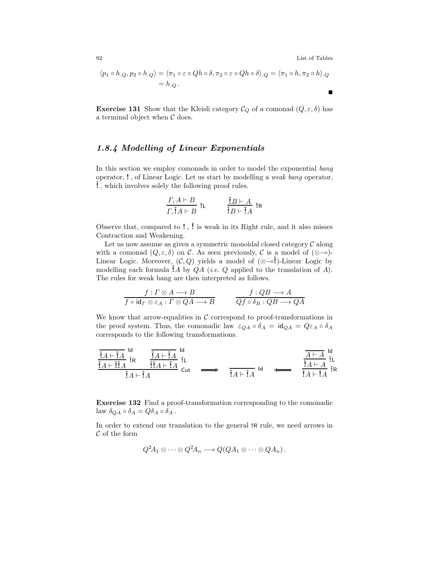<span id="page-91-0"></span>
$$
\langle p_1 \circ h_{\cdot Q}, p_2 \circ h_{\cdot Q} \rangle = \langle \pi_1 \circ \varepsilon \circ Qh \circ \delta, \pi_2 \circ \varepsilon \circ Qh \circ \delta \rangle_{\cdot Q} = \langle \pi_1 \circ h, \pi_2 \circ h \rangle_{\cdot Q}
$$
  
=  $h_{\cdot Q}$ .

**Exercise 131** Show that the Kleisli category  $C_Q$  of a comonad  $(Q, \varepsilon, \delta)$  has a terminal object when  $\mathcal C$  does.

### 1.8.4 Modelling of Linear Exponentials

In this section we employ comonads in order to model the exponential bang operator, ! , of Linear Logic. Let us start by modelling a weak bang operator, ˆ! , which involves solely the following proof rules.

$$
\frac{\Gamma, A \vdash B}{\Gamma, \hat{1}A \vdash B} \hat{1}L \qquad \frac{\hat{1}B \vdash A}{\hat{1}B \vdash \hat{1}A} \hat{1}R
$$

Observe that, compared to  $!, \hat{\mathbf{l}}$  is weak in its Right rule, and it also misses Contraction and Weakening.

Let us now assume as given a symmetric monoidal closed category  $\mathcal C$  along with a comonad  $(Q, \varepsilon, \delta)$  on C. As seen previously, C is a model of  $(\otimes \neg \circ)$ -Linear Logic. Moreover,  $(C, Q)$  yields a model of  $(\otimes \neg \cdot)$ -Linear Logic by modelling each formula  $A$  by  $QA$  (*i.e.*  $Q$  applied to the translation of  $A$ ). The rules for weak bang are then interpreted as follows.

$$
\frac{f: \Gamma \otimes A \longrightarrow B}{f \circ \mathrm{id}_{\Gamma} \otimes \varepsilon_A: \Gamma \otimes QA \longrightarrow B} \qquad \frac{f: QB \longrightarrow A}{Qf \circ \delta_B: QB \longrightarrow QA}
$$

We know that arrow-equalities in  $\mathcal C$  correspond to proof-transformations in the proof system. Thus, the comonadic law  $\varepsilon_{QA} \circ \delta_A = id_{QA} = Q \varepsilon_A \circ \delta_A$ corresponds to the following transformations.

$$
\frac{\overbrace{\mathbf{i}A\vdash\mathbf{\hat{i}}A}^{\mathsf{Id}}\mathbf{a}}{\mathbf{\hat{i}}A\vdash\mathbf{\hat{i}}A}\mathbf{\hat{i}}R \qquad \frac{\overbrace{\mathbf{i}A\vdash\mathbf{\hat{i}}A}^{\mathsf{Id}}}{\mathbf{\hat{i}}A\vdash\mathbf{\hat{i}}A}\mathbf{\hat{i}}L}{\mathsf{Cut} \qquad \Longleftrightarrow \qquad \frac{\overbrace{\mathbf{a}\vdash\mathbf{a}}^{\mathsf{Id}}}{\mathbf{\hat{i}}A\vdash\mathbf{\hat{i}}A}\mathbf{a}} \qquad \Longleftrightarrow \qquad \frac{\overbrace{\mathbf{a}\vdash A}^{\mathsf{Id}}}{\mathbf{\hat{i}}A\vdash\mathbf{\hat{i}}A}\mathbf{a}}\mathbf{a}
$$

Exercise 132 Find a proof-transformation corresponding to the comonadic law  $\delta_{QA} \circ \delta_A = Q \delta_A \circ \delta_A$ .

In order to extend our translation to the general !R rule, we need arrows in  $\mathcal C$  of the form

$$
Q^2A_1\otimes\cdots\otimes Q^2A_n\longrightarrow Q(QA_1\otimes\cdots\otimes QA_n).
$$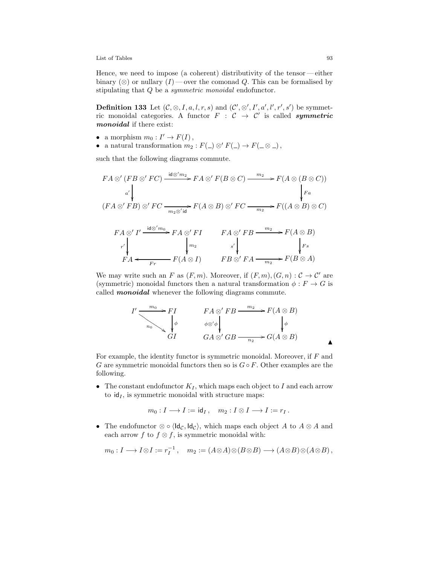Hence, we need to impose (a coherent) distributivity of the tensor— either binary  $(\otimes)$  or nullary  $(I)$ —over the comonad Q. This can be formalised by stipulating that Q be a *symmetric monoidal* endofunctor.

**Definition 133** Let  $(C, \otimes, I, a, l, r, s)$  and  $(C', \otimes', I', a', l', r', s')$  be symmetric monoidal categories. A functor  $F : \mathcal{C} \to \mathcal{C}'$  is called *symmetric* monoidal if there exist:

- a morphism  $m_0: I' \to F(I)$ ,
- a natural transformation  $m_2 : F(\_) \otimes' F(\_) \to F(\_ \otimes \_)$ ,

such that the following diagrams commute.

$$
FA \otimes'(FB \otimes' FC) \xrightarrow{\text{id} \otimes' m_2} FA \otimes' F(B \otimes C) \xrightarrow{m_2} F(A \otimes (B \otimes C))
$$
  
\n
$$
\downarrow^{a'} \qquad \qquad \downarrow^{a'}
$$
  
\n
$$
(FA \otimes' FB) \otimes' FC \xrightarrow{m_2 \otimes' \text{id}} F(A \otimes B) \otimes' FC \xrightarrow{m_2} F((A \otimes B) \otimes C)
$$

$$
FA \otimes' I' \xrightarrow{\text{id} \otimes' m_0} FA \otimes' FI \qquad FA \otimes' FB \xrightarrow{m_2} F(A \otimes B)
$$
  
\n
$$
r' \downarrow \qquad \qquad \downarrow m_2 \qquad \qquad s' \downarrow \qquad \qquad \downarrow Fs
$$
  
\n
$$
FA \xleftarrow{F} F(A \otimes I) \qquad FB \otimes' FA \xrightarrow{m_2} F(B \otimes A)
$$

We may write such an F as  $(F, m)$ . Moreover, if  $(F, m)$ ,  $(G, n) : C \to C'$  are (symmetric) monoidal functors then a natural transformation  $\phi : F \to G$  is called *monoidal* whenever the following diagrams commute.

$$
I' \xrightarrow{m_0} FI \qquad FA \otimes' FB \xrightarrow{m_2} F(A \otimes B)
$$
  
\n
$$
\downarrow^{\phi} \qquad \qquad \phi \otimes' \phi \qquad \qquad \downarrow^{\phi} \qquad \qquad \downarrow^{\phi} \qquad \qquad \downarrow^{\phi} \qquad \qquad \downarrow^{\phi} \qquad \qquad \downarrow^{\phi} \qquad \qquad \downarrow^{\phi} \qquad \qquad \downarrow^{\phi} \qquad \qquad \downarrow^{\phi} \qquad \qquad \downarrow^{\phi} \qquad \qquad \downarrow^{\phi} \qquad \qquad \downarrow^{\phi} \qquad \qquad \downarrow^{\phi} \qquad \qquad \downarrow^{\phi} \qquad \qquad \downarrow^{\phi} \qquad \qquad \downarrow^{\phi} \qquad \qquad \downarrow^{\phi} \qquad \qquad \downarrow^{\phi} \qquad \qquad \downarrow^{\phi} \qquad \qquad \downarrow^{\phi} \qquad \qquad \downarrow^{\phi} \qquad \qquad \downarrow^{\phi} \qquad \qquad \downarrow^{\phi} \qquad \qquad \downarrow^{\phi} \qquad \qquad \downarrow^{\phi} \qquad \qquad \downarrow^{\phi} \qquad \qquad \downarrow^{\phi} \qquad \qquad \downarrow^{\phi} \qquad \qquad \downarrow^{\phi} \qquad \qquad \downarrow^{\phi} \qquad \qquad \downarrow^{\phi} \qquad \qquad \downarrow^{\phi} \qquad \qquad \downarrow^{\phi} \qquad \qquad \downarrow^{\phi} \qquad \qquad \downarrow^{\phi} \qquad \qquad \downarrow^{\phi} \qquad \qquad \downarrow^{\phi} \qquad \qquad \downarrow^{\phi} \qquad \qquad \downarrow^{\phi} \qquad \qquad \downarrow^{\phi} \qquad \qquad \downarrow^{\phi} \qquad \qquad \downarrow^{\phi} \qquad \qquad \downarrow^{\phi} \qquad \qquad \downarrow^{\phi} \qquad \qquad \downarrow^{\phi} \qquad \qquad \downarrow^{\phi} \qquad \qquad \downarrow^{\phi} \qquad \qquad \downarrow^{\phi} \qquad \qquad \downarrow^{\phi} \qquad \qquad \downarrow^{\phi} \qquad \qquad \downarrow^{\phi} \qquad \qquad \downarrow^{\phi} \qquad \qquad \downarrow^{\phi} \qquad \qquad \downarrow^{\phi} \qquad \
$$

For example, the identity functor is symmetric monoidal. Moreover, if  $F$  and G are symmetric monoidal functors then so is  $G \circ F$ . Other examples are the following.

• The constant endofunctor  $K_I$ , which maps each object to I and each arrow to  $id<sub>I</sub>$ , is symmetric monoidal with structure maps:

$$
m_0: I \longrightarrow I := \mathrm{id}_I, \quad m_2: I \otimes I \longrightarrow I := r_I.
$$

• The endofunctor  $\otimes \circ \langle \mathsf{Id}_c, \mathsf{Id}_c \rangle$ , which maps each object A to  $A \otimes A$  and each arrow f to  $f \otimes f$ , is symmetric monoidal with:

$$
m_0: I \longrightarrow I \otimes I := r_I^{-1}, \quad m_2:=(A \otimes A) \otimes (B \otimes B) \longrightarrow (A \otimes B) \otimes (A \otimes B),
$$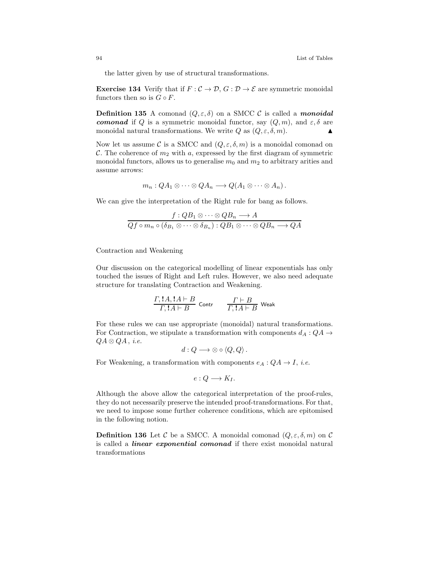the latter given by use of structural transformations.

**Exercise 134** Verify that if  $F : C \to \mathcal{D}, G : \mathcal{D} \to \mathcal{E}$  are symmetric monoidal functors then so is  $G \circ F$ .

**Definition 135** A comonad  $(Q, \varepsilon, \delta)$  on a SMCC C is called a *monoidal* **comonad** if Q is a symmetric monoidal functor, say  $(Q, m)$ , and  $\varepsilon, \delta$  are monoidal natural transformations. We write Q as  $(Q, \varepsilon, \delta, m)$ .

Now let us assume C is a SMCC and  $(Q, \varepsilon, \delta, m)$  is a monoidal comonad on C. The coherence of  $m_2$  with a, expressed by the first diagram of symmetric monoidal functors, allows us to generalise  $m_0$  and  $m_2$  to arbitrary arities and assume arrows:

$$
m_n:QA_1\otimes\cdots\otimes QA_n\longrightarrow Q(A_1\otimes\cdots\otimes A_n).
$$

We can give the interpretation of the Right rule for bang as follows.

$$
\frac{f:QB_1\otimes\cdots\otimes QB_n\longrightarrow A}{Qf\circ m_n\circ(\delta_{B_1}\otimes\cdots\otimes\delta_{B_n}):QB_1\otimes\cdots\otimes QB_n\longrightarrow QA}
$$

Contraction and Weakening

Our discussion on the categorical modelling of linear exponentials has only touched the issues of Right and Left rules. However, we also need adequate structure for translating Contraction and Weakening.

$$
\frac{\Gamma, 1A, 1A \vdash B}{\Gamma, 1A \vdash B} \quad \text{Contr} \qquad \frac{\Gamma \vdash B}{\Gamma, 1A \vdash B} \text{ Weak}
$$

For these rules we can use appropriate (monoidal) natural transformations. For Contraction, we stipulate a transformation with components  $d_A:QA\rightarrow$  $QA \otimes QA$ , *i.e.* 

$$
d:Q\longrightarrow\otimes\circ\langle Q,Q\rangle\,.
$$

For Weakening, a transformation with components  $e_A:QA \to I$ , *i.e.* 

$$
e: Q \longrightarrow K_I.
$$

Although the above allow the categorical interpretation of the proof-rules, they do not necessarily preserve the intended proof-transformations. For that, we need to impose some further coherence conditions, which are epitomised in the following notion.

**Definition 136** Let C be a SMCC. A monoidal comonad  $(Q, \varepsilon, \delta, m)$  on C is called a *linear exponential comonad* if there exist monoidal natural transformations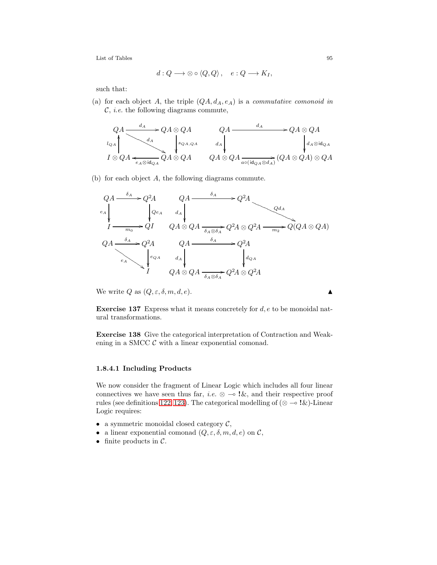$$
d: Q \longrightarrow \otimes \circ \langle Q, Q \rangle, \quad e: Q \longrightarrow K_I,
$$

such that:

(a) for each object A, the triple  $(QA, d<sub>A</sub>, e<sub>A</sub>)$  is a *commutative comonoid in*  $\mathcal{C}$ , *i.e.* the following diagrams commute,

$$
QA \xrightarrow{d_A} QA \otimes QA \xrightarrow{d_A} QA \otimes QA
$$
\n
$$
I \otimes QA \xrightarrow{d_A} QA \otimes QA
$$
\n
$$
I \otimes QA \xrightarrow{d_A} QA \otimes QA
$$
\n
$$
QA \otimes A \otimes QA
$$
\n
$$
QA \otimes A \otimes QA
$$
\n
$$
QA \otimes QA \xrightarrow{d_A} (d_A \otimes dd_A) (QA \otimes QA) \otimes QA
$$

(b) for each object A, the following diagrams commute.

$$
QA \xrightarrow{b_A} Q^2 A
$$
\n
$$
QA \xrightarrow{b_A} Q^2 A
$$
\n
$$
Q^2 A
$$
\n
$$
Q^2 A
$$
\n
$$
Q^2 A
$$
\n
$$
Q^2 A
$$
\n
$$
Q^2 A
$$
\n
$$
Q^2 A
$$
\n
$$
Q^2 A
$$
\n
$$
Q^2 A
$$
\n
$$
Q^2 A
$$
\n
$$
Q^2 A
$$
\n
$$
Q^2 A
$$
\n
$$
Q^2 A
$$
\n
$$
Q^2 A
$$
\n
$$
Q^2 A
$$
\n
$$
Q^2 A
$$
\n
$$
Q^2 A
$$
\n
$$
Q^2 A
$$
\n
$$
Q^2 A
$$
\n
$$
Q^2 A
$$
\n
$$
Q^2 A
$$
\n
$$
Q^2 A
$$
\n
$$
Q^2 A
$$
\n
$$
Q^2 A
$$
\n
$$
Q^2 A
$$
\n
$$
Q^2 A
$$
\n
$$
Q^2 A
$$
\n
$$
Q^2 A
$$
\n
$$
Q^2 A
$$
\n
$$
Q^2 A
$$
\n
$$
Q^2 A
$$
\n
$$
Q^2 A
$$
\n
$$
Q^2 A
$$
\n
$$
Q^2 A
$$
\n
$$
Q^2 A
$$

We write  $Q$  as  $(Q, \varepsilon, \delta, m, d, e)$ .

**Exercise 137** Express what it means concretely for  $d, e$  to be monoidal natural transformations.

Exercise 138 Give the categorical interpretation of Contraction and Weakening in a SMCC  $\mathcal C$  with a linear exponential comonad.

#### 1.8.4.1 Including Products

We now consider the fragment of Linear Logic which includes all four linear connectives we have seen thus far, *i.e.*  $\otimes \neg$  **!**&, and their respective proof rules (see definitions [122,](#page-82-0) [123\)](#page-82-1). The categorical modelling of  $(\otimes \neg \circ !\&)$ -Linear Logic requires:

- a symmetric monoidal closed category  $C$ ,
- a linear exponential comonad  $(Q, \varepsilon, \delta, m, d, e)$  on C,
- finite products in  $\mathcal{C}.$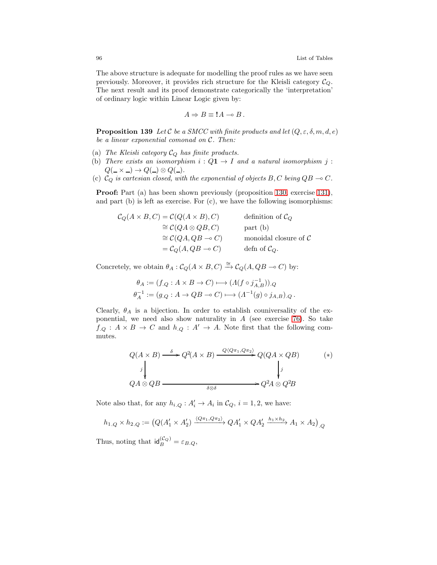The above structure is adequate for modelling the proof rules as we have seen previously. Moreover, it provides rich structure for the Kleisli category  $C_Q$ . The next result and its proof demonstrate categorically the 'interpretation' of ordinary logic within Linear Logic given by:

$$
A \Rightarrow B \equiv 1A \multimap B.
$$

<span id="page-95-0"></span>**Proposition 139** Let C be a SMCC with finite products and let  $(Q, \varepsilon, \delta, m, d, e)$ be a linear exponential comonad on  $C$ . Then:

- (a) The Kleisli category  $C_Q$  has finite products.
- (b) There exists an isomorphism  $i: Q1 \rightarrow I$  and a natural isomorphism j:  $Q(\_\times\_\) \to Q(\_\) \otimes Q(\_\).$
- (c)  $C_Q$  is cartesian closed, with the exponential of objects B, C being  $QB \rightarrow C$ .

Proof: Part (a) has been shown previously (proposition [130,](#page-90-1) exercise [131\)](#page-91-0), and part (b) is left as exercise. For  $(c)$ , we have the following isomorphisms:

| $\mathcal{C}_Q(A \times B, C) = \mathcal{C}(Q(A \times B), C)$ | definition of $\mathcal{C}_Q$    |
|----------------------------------------------------------------|----------------------------------|
| $\cong \mathcal{C}(QA \otimes QB, C)$                          | part (b)                         |
| $\cong \mathcal{C}(QA, QB \multimap C)$                        | monoidal closure of $\mathcal C$ |
| $=\mathcal{C}_Q(A,QB\multimap C)$                              | defin of $\mathcal{C}_Q$ .       |

Concretely, we obtain  $\theta_A : C_Q(A \times B, C) \stackrel{\cong}{\to} C_Q(A, QB \multimap C)$  by:

$$
\theta_A := (f_{\cdot Q} : A \times B \to C) \longmapsto (A(f \circ j_{A,B}^{-1}))._Q
$$
  

$$
\theta_A^{-1} := (g_{\cdot Q} : A \to QB \to C) \longmapsto (A^{-1}(g) \circ j_{A,B})._Q.
$$

Clearly,  $\theta_A$  is a bijection. In order to establish couniversality of the exponential, we need also show naturality in  $A$  (see exercise [76\)](#page-54-0). So take  $f_{\mathcal{Q}}: A \times B \to C$  and  $h_{\mathcal{Q}}: A' \to A$ . Note first that the following commutes.

$$
Q(A \times B) \xrightarrow{\delta} Q^2(A \times B) \xrightarrow{Q(Q\pi_1, Q\pi_2)} Q(QA \times QB)
$$
  
\n
$$
\downarrow \qquad \qquad \downarrow j
$$
  
\n
$$
QA \otimes QB
$$
  
\n
$$
\downarrow j
$$
  
\n
$$
Q^2A \otimes Q^2B
$$
  
\n
$$
\downarrow j
$$
  
\n
$$
Q^2A \otimes Q^2B
$$
  
\n
$$
(*)
$$

Note also that, for any  $h_{i,Q}: A'_i \to A_i$  in  $\mathcal{C}_Q$ ,  $i = 1,2$ , we have:

$$
h_{1,Q} \times h_{2,Q} := \left(Q(A'_1 \times A'_2) \xrightarrow{\langle Q\pi_1, Q\pi_2 \rangle} QA'_1 \times QA'_2 \xrightarrow{h_1 \times h_2} A_1 \times A_2\right)_{,Q}
$$

Thus, noting that  $\mathsf{id}_{B}^{(\mathcal{C}_Q)} = \varepsilon_{B,Q}$ ,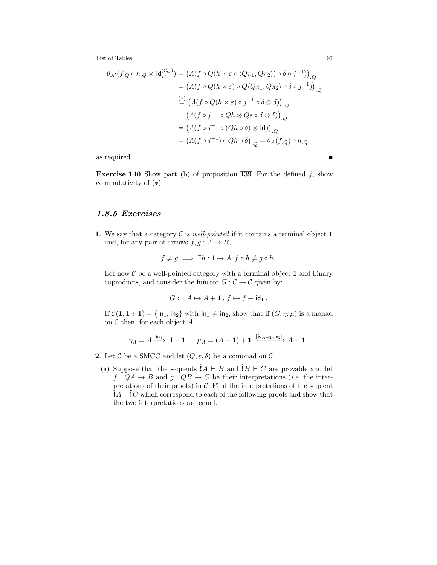$$
\theta_{A'}(f_{Q} \circ h_{Q} \times \mathrm{id}_{B}^{(C_{Q})}) = (A(f \circ Q(h \times \varepsilon \circ \langle Q\pi_{1}, Q\pi_{2}) ) \circ \delta \circ j^{-1}))_{Q}
$$
  
\n
$$
= (A(f \circ Q(h \times \varepsilon) \circ Q \langle Q\pi_{1}, Q\pi_{2} \rangle \circ \delta \circ j^{-1}))_{Q}
$$
  
\n
$$
\stackrel{(*)}{=} (A(f \circ Q(h \times \varepsilon) \circ j^{-1} \circ \delta \otimes \delta))_{Q}
$$
  
\n
$$
= (A(f \circ j^{-1} \circ Qh \otimes Q\varepsilon \circ \delta \otimes \delta))_{Q}
$$
  
\n
$$
= (A(f \circ j^{-1} \circ (Qh \circ \delta) \otimes \mathrm{id}))_{Q}
$$
  
\n
$$
= (A(f \circ j^{-1}) \circ Qh \circ \delta)_{Q} = \theta_{A}(f_{Q}) \circ h_{Q}
$$

as required.

**Exercise 140** Show part (b) of proposition [139.](#page-95-0) For the defined  $j$ , show commutativity of (∗).

### 1.8.5 Exercises

1. We say that a category  $\mathcal C$  is well-pointed if it contains a terminal object 1 and, for any pair of arrows  $f, g : A \to B$ ,

$$
f \neq g \implies \exists h: 1 \to A. \ f \circ h \neq g \circ h \, .
$$

Let now  $C$  be a well-pointed category with a terminal object  $1$  and binary coproducts, and consider the functor  $G : \mathcal{C} \to \mathcal{C}$  given by:

$$
G := A \mapsto A + \mathbf{1} \, , \, f \mapsto f + \mathrm{id}_{\mathbf{1}} \, .
$$

If  $C(1, 1+1) = \{in_1, in_2\}$  with  $in_1 \neq in_2$ , show that if  $(G, \eta, \mu)$  is a monad on  $C$  then, for each object  $A$ :

$$
\eta_A = A \xrightarrow{\text{in}_1} A + 1, \quad \mu_A = (A + 1) + 1 \xrightarrow{[\text{id}_{A+1}, \text{in}_2]} A + 1.
$$

2. Let C be a SMCC and let  $(Q, \varepsilon, \delta)$  be a comonad on C.

(a) Suppose that the sequents  $\hat{A} \vdash B$  and  $\hat{B} \vdash C$  are provable and let  $f: QA \rightarrow B$  and  $g: QB \rightarrow C$  be their interpretations (*i.e.* the interpretations of their proofs) in  $\mathcal{C}$ . Find the interpretations of the sequent  $^{\uparrow}$  **i**A  $\vdash$  **i**C which correspond to each of the following proofs and show that the two interpretations are equal.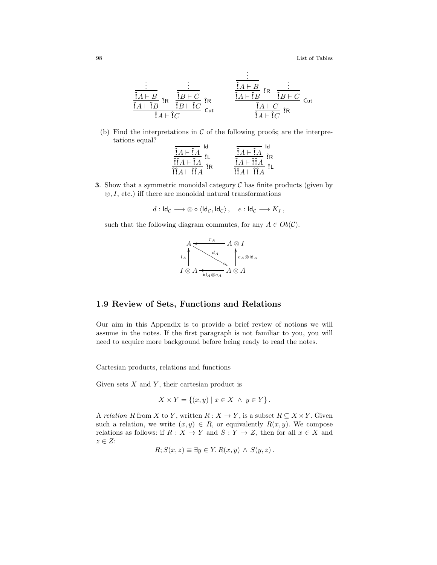$$
\frac{\frac{\vdots}{\mathbf{i}A \vdash B}}{\mathbf{i}A \vdash \mathbf{i}B} \mathbf{i}R \quad \frac{\mathbf{i}B \vdash C}{\mathbf{i}B \vdash \mathbf{i}C} \mathbf{i}R \quad \frac{\mathbf{i}A \vdash B}{\mathbf{i}A \vdash \mathbf{i}B} \mathbf{i}R \quad \frac{\vdots}{\mathbf{i}A \vdash \mathbf{i}B} \mathbf{i}C \quad \text{Cut}
$$

(b) Find the interpretations in  $\mathcal C$  of the following proofs; are the interpretations equal?

$$
\frac{\overbrace{\mathbf{i}A\vdash\mathbf{\hat{i}}A}^{\mathsf{Id}}}{\mathbf{\hat{i}}\mathbf{i}A\vdash\mathbf{\hat{i}}A}\mathbf{i}\mathbf{L}
$$
\n
$$
\frac{\overbrace{\mathbf{i}A\vdash\mathbf{\hat{i}}A}^{\mathsf{Id}}}{\mathbf{\hat{i}}\mathbf{A}\vdash\mathbf{\hat{i}}\mathbf{i}A}\mathbf{i}\mathbf{R}
$$
\n
$$
\frac{\overbrace{\mathbf{i}A\vdash\mathbf{\hat{i}}A}^{\mathsf{Id}}}{\mathbf{\hat{i}}\mathbf{A}\vdash\mathbf{\hat{i}}\mathbf{i}A}\mathbf{i}\mathbf{R}
$$

3. Show that a symmetric monoidal category  $\mathcal C$  has finite products (given by  $\otimes$ , I, etc.) iff there are monoidal natural transformations

$$
d: \mathsf{Id}_{\mathcal{C}} \longrightarrow \otimes \circ \langle \mathsf{Id}_{\mathcal{C}}, \mathsf{Id}_{\mathcal{C}} \rangle \,, \quad e: \mathsf{Id}_{\mathcal{C}} \longrightarrow K_{I} \,,
$$

such that the following diagram commutes, for any  $A \in Ob(\mathcal{C})$ .



#### 1.9 Review of Sets, Functions and Relations

Our aim in this Appendix is to provide a brief review of notions we will assume in the notes. If the first paragraph is not familiar to you, you will need to acquire more background before being ready to read the notes.

Cartesian products, relations and functions

Given sets  $X$  and  $Y$ , their cartesian product is

$$
X \times Y = \{(x, y) \mid x \in X \land y \in Y\}.
$$

A relation R from X to Y, written  $R: X \to Y$ , is a subset  $R \subseteq X \times Y$ . Given such a relation, we write  $(x, y) \in R$ , or equivalently  $R(x, y)$ . We compose relations as follows: if  $R: X \to Y$  and  $S: Y \to Z$ , then for all  $x \in X$  and  $z \in Z$ :

$$
R; S(x, z) \equiv \exists y \in Y. R(x, y) \land S(y, z).
$$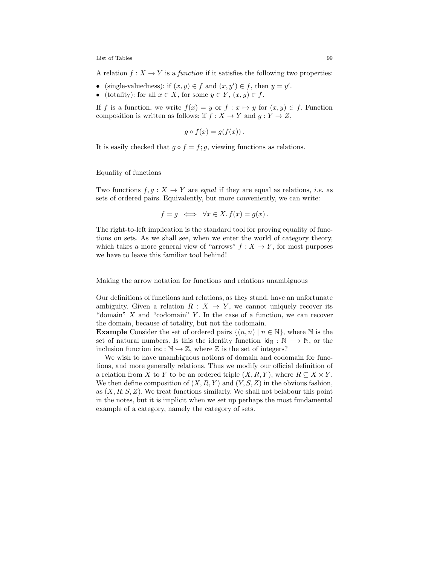A relation  $f: X \to Y$  is a function if it satisfies the following two properties:

- (single-valuedness): if  $(x, y) \in f$  and  $(x, y') \in f$ , then  $y = y'$ .
- (totality): for all  $x \in X$ , for some  $y \in Y$ ,  $(x, y) \in f$ .

If f is a function, we write  $f(x) = y$  or  $f: x \mapsto y$  for  $(x, y) \in f$ . Function composition is written as follows: if  $f : X \to Y$  and  $g : Y \to Z$ ,

$$
g \circ f(x) = g(f(x)).
$$

It is easily checked that  $g \circ f = f$ ; g, viewing functions as relations.

Equality of functions

Two functions  $f, g: X \to Y$  are equal if they are equal as relations, *i.e.* as sets of ordered pairs. Equivalently, but more conveniently, we can write:

$$
f = g \iff \forall x \in X. \ f(x) = g(x).
$$

The right-to-left implication is the standard tool for proving equality of functions on sets. As we shall see, when we enter the world of category theory, which takes a more general view of "arrows"  $f: X \to Y$ , for most purposes we have to leave this familiar tool behind!

Making the arrow notation for functions and relations unambiguous

Our definitions of functions and relations, as they stand, have an unfortunate ambiguity. Given a relation  $R : X \to Y$ , we cannot uniquely recover its "domain" X and "codomain" Y . In the case of a function, we can recover the domain, because of totality, but not the codomain.

**Example** Consider the set of ordered pairs  $\{(n, n) | n \in \mathbb{N}\}\$ , where  $\mathbb N$  is the set of natural numbers. Is this the identity function  $id_N : N \longrightarrow N$ , or the inclusion function inc :  $\mathbb{N} \hookrightarrow \mathbb{Z}$ , where  $\mathbb Z$  is the set of integers?

We wish to have unambiguous notions of domain and codomain for functions, and more generally relations. Thus we modify our official definition of a relation from X to Y to be an ordered triple  $(X, R, Y)$ , where  $R \subseteq X \times Y$ . We then define composition of  $(X, R, Y)$  and  $(Y, S, Z)$  in the obvious fashion, as  $(X, R; S, Z)$ . We treat functions similarly. We shall not belabour this point in the notes, but it is implicit when we set up perhaps the most fundamental example of a category, namely the category of sets.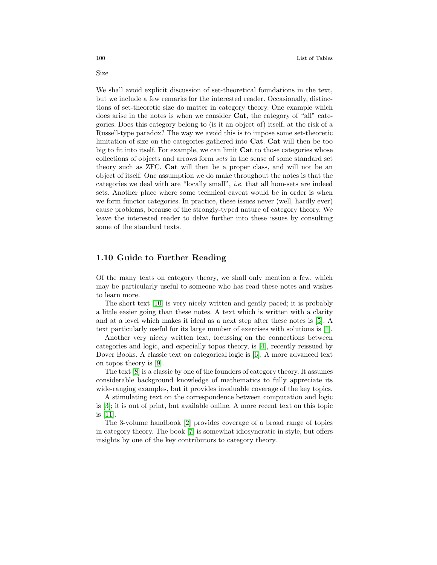We shall avoid explicit discussion of set-theoretical foundations in the text, but we include a few remarks for the interested reader. Occasionally, distinctions of set-theoretic size do matter in category theory. One example which does arise in the notes is when we consider Cat, the category of "all" categories. Does this category belong to (is it an object of) itself, at the risk of a Russell-type paradox? The way we avoid this is to impose some set-theoretic limitation of size on the categories gathered into Cat. Cat will then be too big to fit into itself. For example, we can limit Cat to those categories whose collections of objects and arrows form sets in the sense of some standard set theory such as ZFC. Cat will then be a proper class, and will not be an object of itself. One assumption we do make throughout the notes is that the categories we deal with are "locally small", i.e. that all hom-sets are indeed sets. Another place where some technical caveat would be in order is when we form functor categories. In practice, these issues never (well, hardly ever) cause problems, because of the strongly-typed nature of category theory. We leave the interested reader to delve further into these issues by consulting some of the standard texts.

### 1.10 Guide to Further Reading

Of the many texts on category theory, we shall only mention a few, which may be particularly useful to someone who has read these notes and wishes to learn more.

The short text [\[10\]](#page-100-0) is very nicely written and gently paced; it is probably a little easier going than these notes. A text which is written with a clarity and at a level which makes it ideal as a next step after these notes is [\[5\]](#page-100-1). A text particularly useful for its large number of exercises with solutions is [\[1\]](#page-100-2).

Another very nicely written text, focussing on the connections between categories and logic, and especially topos theory, is [\[4\]](#page-100-3), recently reissued by Dover Books. A classic text on categorical logic is [\[6\]](#page-100-4). A more advanced text on topos theory is [\[9\]](#page-100-5).

The text [\[8\]](#page-100-6) is a classic by one of the founders of category theory. It assumes considerable background knowledge of mathematics to fully appreciate its wide-ranging examples, but it provides invaluable coverage of the key topics.

A stimulating text on the correspondence between computation and logic is [\[3\]](#page-100-7); it is out of print, but available online. A more recent text on this topic is [\[11\]](#page-100-8).

The 3-volume handbook [\[2\]](#page-100-9) provides coverage of a broad range of topics in category theory. The book [\[7\]](#page-100-10) is somewhat idiosyncratic in style, but offers insights by one of the key contributors to category theory.

Size